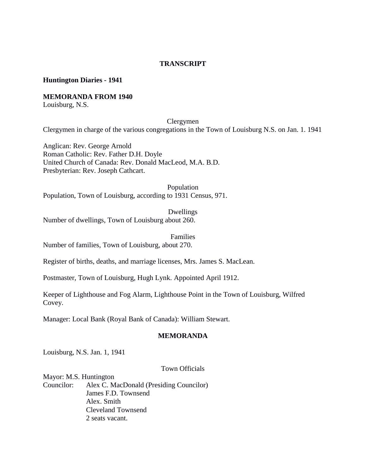### **TRANSCRIPT**

#### **Huntington Diaries - 1941**

#### **MEMORANDA FROM 1940**

Louisburg, N.S.

## Clergymen

Clergymen in charge of the various congregations in the Town of Louisburg N.S. on Jan. 1. 1941

Anglican: Rev. George Arnold Roman Catholic: Rev. Father D.H. Doyle United Church of Canada: Rev. Donald MacLeod, M.A. B.D. Presbyterian: Rev. Joseph Cathcart.

Population Population, Town of Louisburg, according to 1931 Census, 971.

Dwellings Number of dwellings, Town of Louisburg about 260.

Families Number of families, Town of Louisburg, about 270.

Register of births, deaths, and marriage licenses, Mrs. James S. MacLean.

Postmaster, Town of Louisburg, Hugh Lynk. Appointed April 1912.

Keeper of Lighthouse and Fog Alarm, Lighthouse Point in the Town of Louisburg, Wilfred Covey.

Manager: Local Bank (Royal Bank of Canada): William Stewart.

#### **MEMORANDA**

Louisburg, N.S. Jan. 1, 1941

#### Town Officials

Mayor: M.S. Huntington Councilor: Alex C. MacDonald (Presiding Councilor) James F.D. Townsend Alex. Smith Cleveland Townsend 2 seats vacant.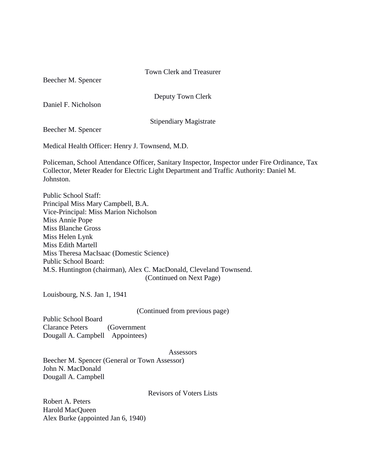#### Town Clerk and Treasurer

Beecher M. Spencer

Deputy Town Clerk

Daniel F. Nicholson

Stipendiary Magistrate

Beecher M. Spencer

Medical Health Officer: Henry J. Townsend, M.D.

Policeman, School Attendance Officer, Sanitary Inspector, Inspector under Fire Ordinance, Tax Collector, Meter Reader for Electric Light Department and Traffic Authority: Daniel M. Johnston.

Public School Staff: Principal Miss Mary Campbell, B.A. Vice-Principal: Miss Marion Nicholson Miss Annie Pope Miss Blanche Gross Miss Helen Lynk Miss Edith Martell Miss Theresa MacIsaac (Domestic Science) Public School Board: M.S. Huntington (chairman), Alex C. MacDonald, Cleveland Townsend. (Continued on Next Page)

Louisbourg, N.S. Jan 1, 1941

(Continued from previous page)

Public School Board Clarance Peters (Government Dougall A. Campbell Appointees)

#### **Assessors**

Beecher M. Spencer (General or Town Assessor) John N. MacDonald Dougall A. Campbell

#### Revisors of Voters Lists

Robert A. Peters Harold MacQueen Alex Burke (appointed Jan 6, 1940)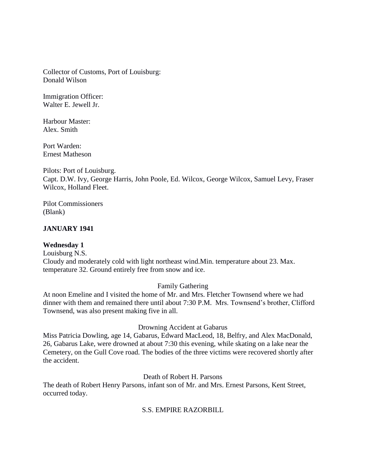Collector of Customs, Port of Louisburg: Donald Wilson

Immigration Officer: Walter E. Jewell Jr.

Harbour Master: Alex. Smith

Port Warden: Ernest Matheson

Pilots: Port of Louisburg. Capt. D.W. Ivy, George Harris, John Poole, Ed. Wilcox, George Wilcox, Samuel Levy, Fraser Wilcox, Holland Fleet.

Pilot Commissioners (Blank)

# **JANUARY 1941**

# **Wednesday 1**

Louisburg N.S. Cloudy and moderately cold with light northeast wind.Min. temperature about 23. Max. temperature 32. Ground entirely free from snow and ice.

Family Gathering

At noon Emeline and I visited the home of Mr. and Mrs. Fletcher Townsend where we had dinner with them and remained there until about 7:30 P.M. Mrs. Townsend's brother, Clifford Townsend, was also present making five in all.

### Drowning Accident at Gabarus

Miss Patricia Dowling, age 14, Gabarus, Edward MacLeod, 18, Belfry, and Alex MacDonald, 26, Gabarus Lake, were drowned at about 7:30 this evening, while skating on a lake near the Cemetery, on the Gull Cove road. The bodies of the three victims were recovered shortly after the accident.

Death of Robert H. Parsons

The death of Robert Henry Parsons, infant son of Mr. and Mrs. Ernest Parsons, Kent Street, occurred today.

# S.S. EMPIRE RAZORBILL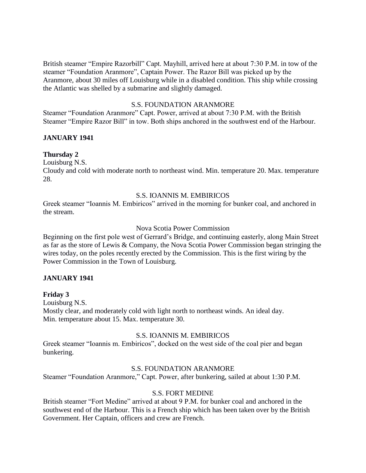British steamer "Empire Razorbill" Capt. Mayhill, arrived here at about 7:30 P.M. in tow of the steamer "Foundation Aranmore", Captain Power. The Razor Bill was picked up by the Aranmore, about 30 miles off Louisburg while in a disabled condition. This ship while crossing the Atlantic was shelled by a submarine and slightly damaged.

## S.S. FOUNDATION ARANMORE

Steamer "Foundation Aranmore" Capt. Power, arrived at about 7:30 P.M. with the British Steamer "Empire Razor Bill" in tow. Both ships anchored in the southwest end of the Harbour.

## **JANUARY 1941**

## **Thursday 2**

Louisburg N.S.

Cloudy and cold with moderate north to northeast wind. Min. temperature 20. Max. temperature 28.

## S.S. IOANNIS M. EMBIRICOS

Greek steamer "Ioannis M. Embiricos" arrived in the morning for bunker coal, and anchored in the stream.

### Nova Scotia Power Commission

Beginning on the first pole west of Gerrard's Bridge, and continuing easterly, along Main Street as far as the store of Lewis & Company, the Nova Scotia Power Commission began stringing the wires today, on the poles recently erected by the Commission. This is the first wiring by the Power Commission in the Town of Louisburg.

### **JANUARY 1941**

### **Friday 3**

Louisburg N.S. Mostly clear, and moderately cold with light north to northeast winds. An ideal day. Min. temperature about 15. Max. temperature 30.

### S.S. IOANNIS M. EMBIRICOS

Greek steamer "Ioannis m. Embiricos", docked on the west side of the coal pier and began bunkering.

### S.S. FOUNDATION ARANMORE

Steamer "Foundation Aranmore," Capt. Power, after bunkering, sailed at about 1:30 P.M.

#### S.S. FORT MEDINE

British steamer "Fort Medine" arrived at about 9 P.M. for bunker coal and anchored in the southwest end of the Harbour. This is a French ship which has been taken over by the British Government. Her Captain, officers and crew are French.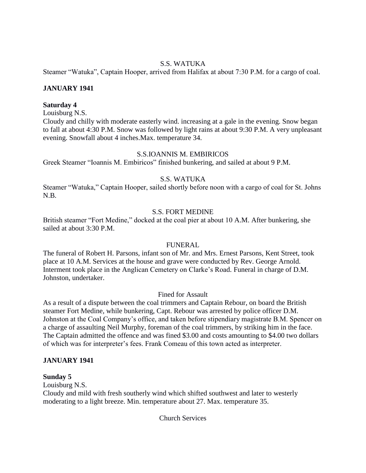# S.S. WATUKA

Steamer "Watuka", Captain Hooper, arrived from Halifax at about 7:30 P.M. for a cargo of coal.

# **JANUARY 1941**

## **Saturday 4**

Louisburg N.S.

Cloudy and chilly with moderate easterly wind. increasing at a gale in the evening. Snow began to fall at about 4:30 P.M. Snow was followed by light rains at about 9:30 P.M. A very unpleasant evening. Snowfall about 4 inches.Max. temperature 34.

## S.S.IOANNIS M. EMBIRICOS

Greek Steamer "Ioannis M. Embiricos" finished bunkering, and sailed at about 9 P.M.

# S.S. WATUKA

Steamer "Watuka," Captain Hooper, sailed shortly before noon with a cargo of coal for St. Johns N.B.

# S.S. FORT MEDINE

British steamer "Fort Medine," docked at the coal pier at about 10 A.M. After bunkering, she sailed at about 3:30 P.M.

# FUNERAL

The funeral of Robert H. Parsons, infant son of Mr. and Mrs. Ernest Parsons, Kent Street, took place at 10 A.M. Services at the house and grave were conducted by Rev. George Arnold. Interment took place in the Anglican Cemetery on Clarke's Road. Funeral in charge of D.M. Johnston, undertaker.

# Fined for Assault

As a result of a dispute between the coal trimmers and Captain Rebour, on board the British steamer Fort Medine, while bunkering, Capt. Rebour was arrested by police officer D.M. Johnston at the Coal Company's office, and taken before stipendiary magistrate B.M. Spencer on a charge of assaulting Neil Murphy, foreman of the coal trimmers, by striking him in the face. The Captain admitted the offence and was fined \$3.00 and costs amounting to \$4.00 two dollars of which was for interpreter's fees. Frank Comeau of this town acted as interpreter.

# **JANUARY 1941**

### **Sunday 5**

Louisburg N.S.

Cloudy and mild with fresh southerly wind which shifted southwest and later to westerly moderating to a light breeze. Min. temperature about 27. Max. temperature 35.

Church Services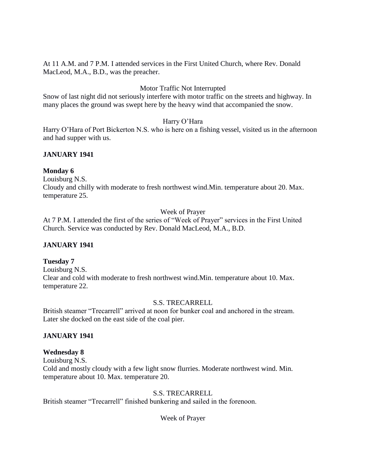At 11 A.M. and 7 P.M. I attended services in the First United Church, where Rev. Donald MacLeod, M.A., B.D., was the preacher.

# Motor Traffic Not Interrupted

Snow of last night did not seriously interfere with motor traffic on the streets and highway. In many places the ground was swept here by the heavy wind that accompanied the snow.

## Harry O'Hara

Harry O'Hara of Port Bickerton N.S. who is here on a fishing vessel, visited us in the afternoon and had supper with us.

# **JANUARY 1941**

### **Monday 6**

Louisburg N.S.

Cloudy and chilly with moderate to fresh northwest wind.Min. temperature about 20. Max. temperature 25.

### Week of Prayer

At 7 P.M. I attended the first of the series of "Week of Prayer" services in the First United Church. Service was conducted by Rev. Donald MacLeod, M.A., B.D.

### **JANUARY 1941**

### **Tuesday 7**

Louisburg N.S. Clear and cold with moderate to fresh northwest wind.Min. temperature about 10. Max. temperature 22.

### S.S. TRECARRELL

British steamer "Trecarrell" arrived at noon for bunker coal and anchored in the stream. Later she docked on the east side of the coal pier.

# **JANUARY 1941**

### **Wednesday 8**

Louisburg N.S. Cold and mostly cloudy with a few light snow flurries. Moderate northwest wind. Min. temperature about 10. Max. temperature 20.

### S.S. TRECARRELL

British steamer "Trecarrell" finished bunkering and sailed in the forenoon.

### Week of Prayer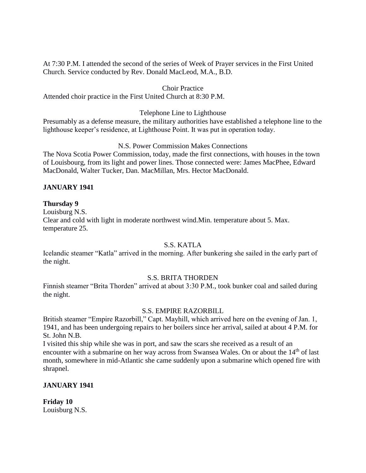At 7:30 P.M. I attended the second of the series of Week of Prayer services in the First United Church. Service conducted by Rev. Donald MacLeod, M.A., B.D.

### Choir Practice

Attended choir practice in the First United Church at 8:30 P.M.

#### Telephone Line to Lighthouse

Presumably as a defense measure, the military authorities have established a telephone line to the lighthouse keeper's residence, at Lighthouse Point. It was put in operation today.

### N.S. Power Commission Makes Connections

The Nova Scotia Power Commission, today, made the first connections, with houses in the town of Louisbourg, from its light and power lines. Those connected were: James MacPhee, Edward MacDonald, Walter Tucker, Dan. MacMillan, Mrs. Hector MacDonald.

## **JANUARY 1941**

## **Thursday 9**

Louisburg N.S.

Clear and cold with light in moderate northwest wind.Min. temperature about 5. Max. temperature 25.

### S.S. KATLA

Icelandic steamer "Katla" arrived in the morning. After bunkering she sailed in the early part of the night.

### S.S. BRITA THORDEN

Finnish steamer "Brita Thorden" arrived at about 3:30 P.M., took bunker coal and sailed during the night.

# S.S. EMPIRE RAZORBILL

British steamer "Empire Razorbill," Capt. Mayhill, which arrived here on the evening of Jan. 1, 1941, and has been undergoing repairs to her boilers since her arrival, sailed at about 4 P.M. for St. John N.B.

I visited this ship while she was in port, and saw the scars she received as a result of an encounter with a submarine on her way across from Swansea Wales. On or about the 14<sup>th</sup> of last month, somewhere in mid-Atlantic she came suddenly upon a submarine which opened fire with shrapnel.

# **JANUARY 1941**

**Friday 10** Louisburg N.S.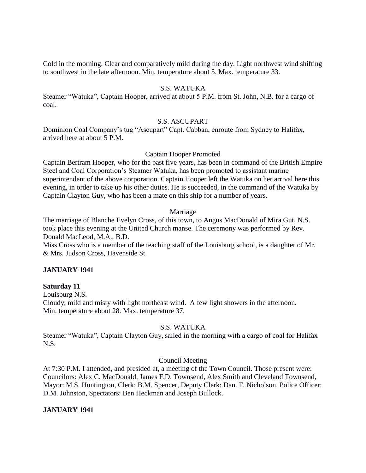Cold in the morning. Clear and comparatively mild during the day. Light northwest wind shifting to southwest in the late afternoon. Min. temperature about 5. Max. temperature 33.

### S.S. WATUKA

Steamer "Watuka", Captain Hooper, arrived at about 5 P.M. from St. John, N.B. for a cargo of coal.

### S.S. ASCUPART

Dominion Coal Company's tug "Ascupart" Capt. Cabban, enroute from Sydney to Halifax, arrived here at about 5 P.M.

### Captain Hooper Promoted

Captain Bertram Hooper, who for the past five years, has been in command of the British Empire Steel and Coal Corporation's Steamer Watuka, has been promoted to assistant marine superintendent of the above corporation. Captain Hooper left the Watuka on her arrival here this evening, in order to take up his other duties. He is succeeded, in the command of the Watuka by Captain Clayton Guy, who has been a mate on this ship for a number of years.

#### Marriage

The marriage of Blanche Evelyn Cross, of this town, to Angus MacDonald of Mira Gut, N.S. took place this evening at the United Church manse. The ceremony was performed by Rev. Donald MacLeod, M.A., B.D.

Miss Cross who is a member of the teaching staff of the Louisburg school, is a daughter of Mr. & Mrs. Judson Cross, Havenside St.

### **JANUARY 1941**

### **Saturday 11**

Louisburg N.S. Cloudy, mild and misty with light northeast wind. A few light showers in the afternoon. Min. temperature about 28. Max. temperature 37.

#### S.S. WATUKA

Steamer "Watuka", Captain Clayton Guy, sailed in the morning with a cargo of coal for Halifax N.S.

### Council Meeting

At 7:30 P.M. I attended, and presided at, a meeting of the Town Council. Those present were: Councilors: Alex C. MacDonald, James F.D. Townsend, Alex Smith and Cleveland Townsend, Mayor: M.S. Huntington, Clerk: B.M. Spencer, Deputy Clerk: Dan. F. Nicholson, Police Officer: D.M. Johnston, Spectators: Ben Heckman and Joseph Bullock.

### **JANUARY 1941**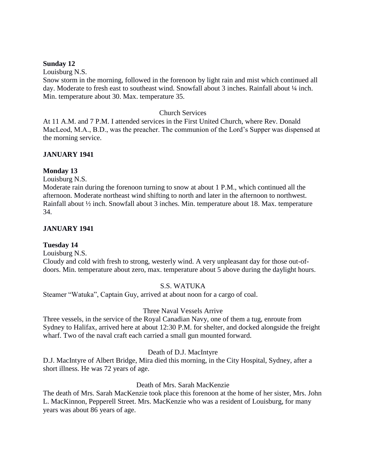#### **Sunday 12**

Louisburg N.S.

Snow storm in the morning, followed in the forenoon by light rain and mist which continued all day. Moderate to fresh east to southeast wind. Snowfall about 3 inches. Rainfall about 1/4 inch. Min. temperature about 30. Max. temperature 35.

#### Church Services

At 11 A.M. and 7 P.M. I attended services in the First United Church, where Rev. Donald MacLeod, M.A., B.D., was the preacher. The communion of the Lord's Supper was dispensed at the morning service.

## **JANUARY 1941**

### **Monday 13**

Louisburg N.S.

Moderate rain during the forenoon turning to snow at about 1 P.M., which continued all the afternoon. Moderate northeast wind shifting to north and later in the afternoon to northwest. Rainfall about ½ inch. Snowfall about 3 inches. Min. temperature about 18. Max. temperature 34.

### **JANUARY 1941**

### **Tuesday 14**

Louisburg N.S.

Cloudy and cold with fresh to strong, westerly wind. A very unpleasant day for those out-ofdoors. Min. temperature about zero, max. temperature about 5 above during the daylight hours.

### S.S. WATUKA

Steamer "Watuka", Captain Guy, arrived at about noon for a cargo of coal.

#### Three Naval Vessels Arrive

Three vessels, in the service of the Royal Canadian Navy, one of them a tug, enroute from Sydney to Halifax, arrived here at about 12:30 P.M. for shelter, and docked alongside the freight wharf. Two of the naval craft each carried a small gun mounted forward.

#### Death of D.J. MacIntyre

D.J. MacIntyre of Albert Bridge, Mira died this morning, in the City Hospital, Sydney, after a short illness. He was 72 years of age.

### Death of Mrs. Sarah MacKenzie

The death of Mrs. Sarah MacKenzie took place this forenoon at the home of her sister, Mrs. John L. MacKinnon, Pepperell Street. Mrs. MacKenzie who was a resident of Louisburg, for many years was about 86 years of age.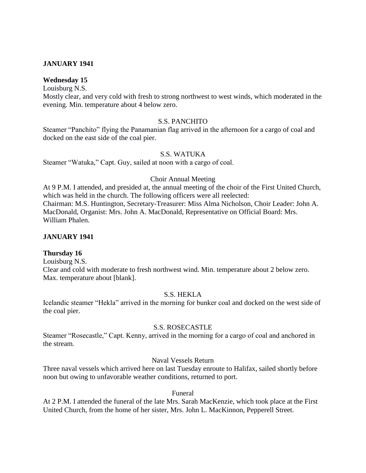## **JANUARY 1941**

## **Wednesday 15**

Louisburg N.S.

Mostly clear, and very cold with fresh to strong northwest to west winds, which moderated in the evening. Min. temperature about 4 below zero.

## S.S. PANCHITO

Steamer "Panchito" flying the Panamanian flag arrived in the afternoon for a cargo of coal and docked on the east side of the coal pier.

## S.S. WATUKA

Steamer "Watuka," Capt. Guy, sailed at noon with a cargo of coal.

### Choir Annual Meeting

At 9 P.M. I attended, and presided at, the annual meeting of the choir of the First United Church, which was held in the church. The following officers were all reelected: Chairman: M.S. Huntington, Secretary-Treasurer: Miss Alma Nicholson, Choir Leader: John A. MacDonald, Organist: Mrs. John A. MacDonald, Representative on Official Board: Mrs. William Phalen.

### **JANUARY 1941**

### **Thursday 16**

Louisburg N.S.

Clear and cold with moderate to fresh northwest wind. Min. temperature about 2 below zero. Max. temperature about [blank].

### S.S. HEKLA

Icelandic steamer "Hekla" arrived in the morning for bunker coal and docked on the west side of the coal pier.

#### S.S. ROSECASTLE

Steamer "Rosecastle," Capt. Kenny, arrived in the morning for a cargo of coal and anchored in the stream.

### Naval Vessels Return

Three naval vessels which arrived here on last Tuesday enroute to Halifax, sailed shortly before noon but owing to unfavorable weather conditions, returned to port.

#### Funeral

At 2 P.M. I attended the funeral of the late Mrs. Sarah MacKenzie, which took place at the First United Church, from the home of her sister, Mrs. John L. MacKinnon, Pepperell Street.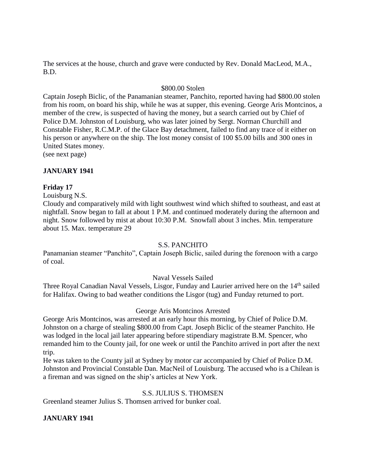The services at the house, church and grave were conducted by Rev. Donald MacLeod, M.A., B.D.

#### \$800.00 Stolen

Captain Joseph Biclic, of the Panamanian steamer, Panchito, reported having had \$800.00 stolen from his room, on board his ship, while he was at supper, this evening. George Aris Montcinos, a member of the crew, is suspected of having the money, but a search carried out by Chief of Police D.M. Johnston of Louisburg, who was later joined by Sergt. Norman Churchill and Constable Fisher, R.C.M.P. of the Glace Bay detachment, failed to find any trace of it either on his person or anywhere on the ship. The lost money consist of 100 \$5.00 bills and 300 ones in United States money.

(see next page)

### **JANUARY 1941**

### **Friday 17**

Louisburg N.S.

Cloudy and comparatively mild with light southwest wind which shifted to southeast, and east at nightfall. Snow began to fall at about 1 P.M. and continued moderately during the afternoon and night. Snow followed by mist at about 10:30 P.M. Snowfall about 3 inches. Min. temperature about 15. Max. temperature 29

### S.S. PANCHITO

Panamanian steamer "Panchito", Captain Joseph Biclic, sailed during the forenoon with a cargo of coal.

### Naval Vessels Sailed

Three Royal Canadian Naval Vessels, Lisgor, Funday and Laurier arrived here on the 14<sup>th</sup> sailed for Halifax. Owing to bad weather conditions the Lisgor (tug) and Funday returned to port.

### George Aris Montcinos Arrested

George Aris Montcinos, was arrested at an early hour this morning, by Chief of Police D.M. Johnston on a charge of stealing \$800.00 from Capt. Joseph Biclic of the steamer Panchito. He was lodged in the local jail later appearing before stipendiary magistrate B.M. Spencer, who remanded him to the County jail, for one week or until the Panchito arrived in port after the next trip.

He was taken to the County jail at Sydney by motor car accompanied by Chief of Police D.M. Johnston and Provincial Constable Dan. MacNeil of Louisburg. The accused who is a Chilean is a fireman and was signed on the ship's articles at New York.

# S.S. JULIUS S. THOMSEN

Greenland steamer Julius S. Thomsen arrived for bunker coal.

### **JANUARY 1941**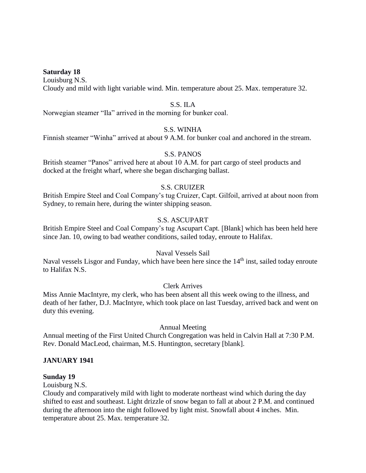#### **Saturday 18**

Louisburg N.S. Cloudy and mild with light variable wind. Min. temperature about 25. Max. temperature 32.

### S.S. ILA

Norwegian steamer "Ila" arrived in the morning for bunker coal.

# S.S. WINHA

Finnish steamer "Winha" arrived at about 9 A.M. for bunker coal and anchored in the stream.

### S.S. PANOS

British steamer "Panos" arrived here at about 10 A.M. for part cargo of steel products and docked at the freight wharf, where she began discharging ballast.

#### S.S. CRUIZER

British Empire Steel and Coal Company's tug Cruizer, Capt. Gilfoil, arrived at about noon from Sydney, to remain here, during the winter shipping season.

## S.S. ASCUPART

British Empire Steel and Coal Company's tug Ascupart Capt. [Blank] which has been held here since Jan. 10, owing to bad weather conditions, sailed today, enroute to Halifax.

## Naval Vessels Sail

Naval vessels Lisgor and Funday, which have been here since the  $14<sup>th</sup>$  inst, sailed today enroute to Halifax N.S.

#### Clerk Arrives

Miss Annie MacIntyre, my clerk, who has been absent all this week owing to the illness, and death of her father, D.J. MacIntyre, which took place on last Tuesday, arrived back and went on duty this evening.

#### Annual Meeting

Annual meeting of the First United Church Congregation was held in Calvin Hall at 7:30 P.M. Rev. Donald MacLeod, chairman, M.S. Huntington, secretary [blank].

### **JANUARY 1941**

#### **Sunday 19**

Louisburg N.S.

Cloudy and comparatively mild with light to moderate northeast wind which during the day shifted to east and southeast. Light drizzle of snow began to fall at about 2 P.M. and continued during the afternoon into the night followed by light mist. Snowfall about 4 inches. Min. temperature about 25. Max. temperature 32.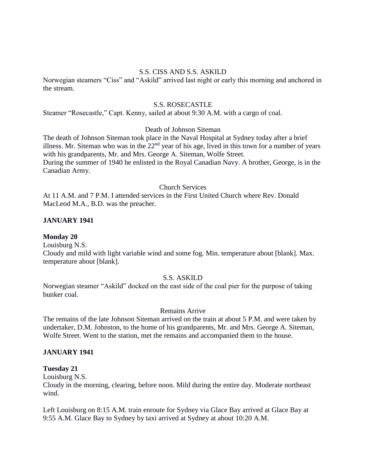#### S.S. CISS AND S.S. ASKILD

Norwegian steamers "Ciss" and "Askild" arrived last night or early this morning and anchored in the stream.

#### S.S. ROSECASTLE

Steamer "Rosecastle," Capt. Kenny, sailed at about 9:30 A.M. with a cargo of coal.

#### Death of Johnson Siteman

The death of Johnson Siteman took place in the Naval Hospital at Sydney today after a brief illness. Mr. Siteman who was in the  $22<sup>nd</sup>$  year of his age, lived in this town for a number of years with his grandparents, Mr. and Mrs. George A. Siteman, Wolfe Street. During the summer of 1940 he enlisted in the Royal Canadian Navy. A brother, George, is in the Canadian Army.

### Church Services

At 11 A.M. and 7 P.M. I attended services in the First United Church where Rev. Donald MacLeod M.A., B.D. was the preacher.

#### **JANUARY 1941**

#### **Monday 20**

Louisburg N.S. Cloudy and mild with light variable wind and some fog. Min. temperature about [blank]. Max. temperature about [blank].

### S.S. ASKILD

Norwegian steamer "Askild" docked on the east side of the coal pier for the purpose of taking bunker coal.

#### Remains Arrive

The remains of the late Johnson Siteman arrived on the train at about 5 P.M. and were taken by undertaker, D.M. Johnston, to the home of his grandparents, Mr. and Mrs. George A. Siteman, Wolfe Street. Went to the station, met the remains and accompanied them to the house.

### **JANUARY 1941**

#### **Tuesday 21**

Louisburg N.S.

Cloudy in the morning, clearing, before noon. Mild during the entire day. Moderate northeast wind.

Left Louisburg on 8:15 A.M. train enroute for Sydney via Glace Bay arrived at Glace Bay at 9:55 A.M. Glace Bay to Sydney by taxi arrived at Sydney at about 10:20 A.M.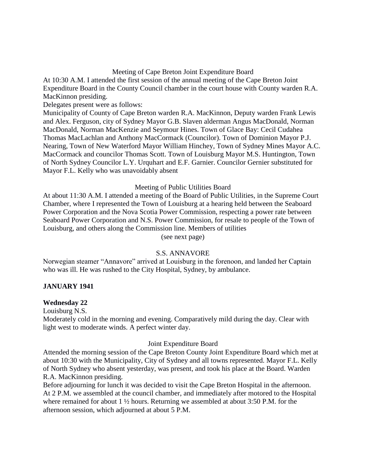## Meeting of Cape Breton Joint Expenditure Board

At 10:30 A.M. I attended the first session of the annual meeting of the Cape Breton Joint Expenditure Board in the County Council chamber in the court house with County warden R.A. MacKinnon presiding.

Delegates present were as follows:

Municipality of County of Cape Breton warden R.A. MacKinnon, Deputy warden Frank Lewis and Alex. Ferguson, city of Sydney Mayor G.B. Slaven alderman Angus MacDonald, Norman MacDonald, Norman MacKenzie and Seymour Hines. Town of Glace Bay: Cecil Cudahea Thomas MacLachlan and Anthony MacCormack (Councilor). Town of Dominion Mayor P.J. Nearing, Town of New Waterford Mayor William Hinchey, Town of Sydney Mines Mayor A.C. MacCormack and councilor Thomas Scott. Town of Louisburg Mayor M.S. Huntington, Town of North Sydney Councilor L.Y. Urquhart and E.F. Garnier. Councilor Gernier substituted for Mayor F.L. Kelly who was unavoidably absent

### Meeting of Public Utilities Board

At about 11:30 A.M. I attended a meeting of the Board of Public Utilities, in the Supreme Court Chamber, where I represented the Town of Louisburg at a hearing held between the Seaboard Power Corporation and the Nova Scotia Power Commission, respecting a power rate between Seaboard Power Corporation and N.S. Power Commission, for resale to people of the Town of Louisburg, and others along the Commission line. Members of utilities

(see next page)

## S.S. ANNAVORE

Norwegian steamer "Annavore" arrived at Louisburg in the forenoon, and landed her Captain who was ill. He was rushed to the City Hospital, Sydney, by ambulance.

### **JANUARY 1941**

#### **Wednesday 22**

Louisburg N.S.

Moderately cold in the morning and evening. Comparatively mild during the day. Clear with light west to moderate winds. A perfect winter day.

#### Joint Expenditure Board

Attended the morning session of the Cape Breton County Joint Expenditure Board which met at about 10:30 with the Municipality, City of Sydney and all towns represented. Mayor F.L. Kelly of North Sydney who absent yesterday, was present, and took his place at the Board. Warden R.A. MacKinnon presiding.

Before adjourning for lunch it was decided to visit the Cape Breton Hospital in the afternoon. At 2 P.M. we assembled at the council chamber, and immediately after motored to the Hospital where remained for about 1 ½ hours. Returning we assembled at about 3:50 P.M. for the afternoon session, which adjourned at about 5 P.M.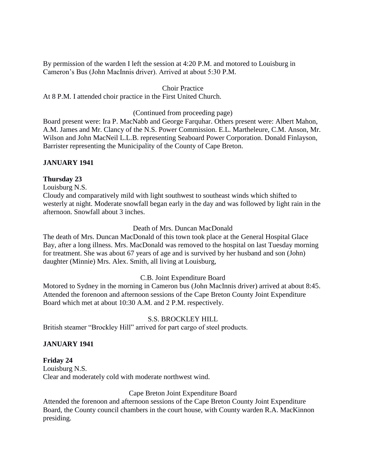By permission of the warden I left the session at 4:20 P.M. and motored to Louisburg in Cameron's Bus (John MacInnis driver). Arrived at about 5:30 P.M.

#### Choir Practice

At 8 P.M. I attended choir practice in the First United Church.

(Continued from proceeding page)

Board present were: Ira P. MacNabb and George Farquhar. Others present were: Albert Mahon, A.M. James and Mr. Clancy of the N.S. Power Commission. E.L. Martheleure, C.M. Anson, Mr. Wilson and John MacNeil L.L.B. representing Seaboard Power Corporation. Donald Finlayson, Barrister representing the Municipality of the County of Cape Breton.

### **JANUARY 1941**

### **Thursday 23**

Louisburg N.S.

Cloudy and comparatively mild with light southwest to southeast winds which shifted to westerly at night. Moderate snowfall began early in the day and was followed by light rain in the afternoon. Snowfall about 3 inches.

## Death of Mrs. Duncan MacDonald

The death of Mrs. Duncan MacDonald of this town took place at the General Hospital Glace Bay, after a long illness. Mrs. MacDonald was removed to the hospital on last Tuesday morning for treatment. She was about 67 years of age and is survived by her husband and son (John) daughter (Minnie) Mrs. Alex. Smith, all living at Louisburg,

### C.B. Joint Expenditure Board

Motored to Sydney in the morning in Cameron bus (John MacInnis driver) arrived at about 8:45. Attended the forenoon and afternoon sessions of the Cape Breton County Joint Expenditure Board which met at about 10:30 A.M. and 2 P.M. respectively.

### S.S. BROCKLEY HILL

British steamer "Brockley Hill" arrived for part cargo of steel products.

### **JANUARY 1941**

### **Friday 24**

Louisburg N.S. Clear and moderately cold with moderate northwest wind.

### Cape Breton Joint Expenditure Board

Attended the forenoon and afternoon sessions of the Cape Breton County Joint Expenditure Board, the County council chambers in the court house, with County warden R.A. MacKinnon presiding.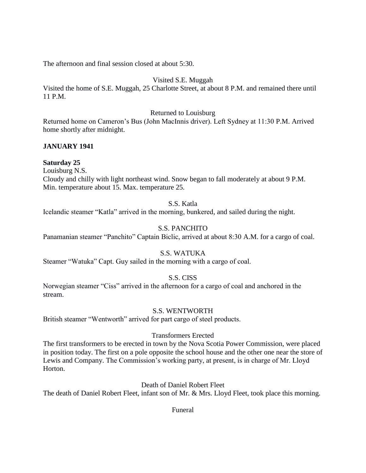The afternoon and final session closed at about 5:30.

# Visited S.E. Muggah

Visited the home of S.E. Muggah, 25 Charlotte Street, at about 8 P.M. and remained there until 11 P.M.

## Returned to Louisburg

Returned home on Cameron's Bus (John MacInnis driver). Left Sydney at 11:30 P.M. Arrived home shortly after midnight.

# **JANUARY 1941**

# **Saturday 25**

Louisburg N.S.

Cloudy and chilly with light northeast wind. Snow began to fall moderately at about 9 P.M. Min. temperature about 15. Max. temperature 25.

# S.S. Katla

Icelandic steamer "Katla" arrived in the morning, bunkered, and sailed during the night.

# S.S. PANCHITO

Panamanian steamer "Panchito" Captain Biclic, arrived at about 8:30 A.M. for a cargo of coal.

# S.S. WATUKA

Steamer "Watuka" Capt. Guy sailed in the morning with a cargo of coal.

# S.S. CISS

Norwegian steamer "Ciss" arrived in the afternoon for a cargo of coal and anchored in the stream.

# S.S. WENTWORTH

British steamer "Wentworth" arrived for part cargo of steel products.

# Transformers Erected

The first transformers to be erected in town by the Nova Scotia Power Commission, were placed in position today. The first on a pole opposite the school house and the other one near the store of Lewis and Company. The Commission's working party, at present, is in charge of Mr. Lloyd Horton.

Death of Daniel Robert Fleet

The death of Daniel Robert Fleet, infant son of Mr. & Mrs. Lloyd Fleet, took place this morning.

# Funeral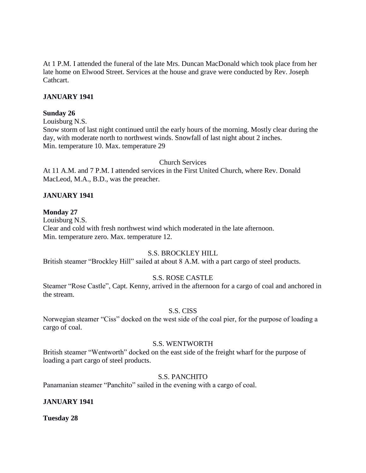At 1 P.M. I attended the funeral of the late Mrs. Duncan MacDonald which took place from her late home on Elwood Street. Services at the house and grave were conducted by Rev. Joseph Cathcart.

## **JANUARY 1941**

## **Sunday 26**

Louisburg N.S.

Snow storm of last night continued until the early hours of the morning. Mostly clear during the day, with moderate north to northwest winds. Snowfall of last night about 2 inches. Min. temperature 10. Max. temperature 29

### Church Services

At 11 A.M. and 7 P.M. I attended services in the First United Church, where Rev. Donald MacLeod, M.A., B.D., was the preacher.

# **JANUARY 1941**

## **Monday 27**

Louisburg N.S. Clear and cold with fresh northwest wind which moderated in the late afternoon. Min. temperature zero. Max. temperature 12.

# S.S. BROCKLEY HILL

British steamer "Brockley Hill" sailed at about 8 A.M. with a part cargo of steel products.

# S.S. ROSE CASTLE

Steamer "Rose Castle", Capt. Kenny, arrived in the afternoon for a cargo of coal and anchored in the stream.

# S.S. CISS

Norwegian steamer "Ciss" docked on the west side of the coal pier, for the purpose of loading a cargo of coal.

### S.S. WENTWORTH

British steamer "Wentworth" docked on the east side of the freight wharf for the purpose of loading a part cargo of steel products.

### S.S. PANCHITO

Panamanian steamer "Panchito" sailed in the evening with a cargo of coal.

# **JANUARY 1941**

**Tuesday 28**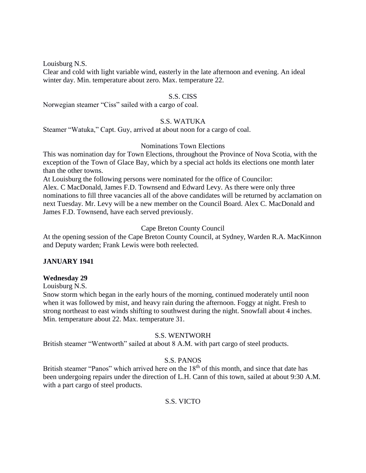Louisburg N.S.

Clear and cold with light variable wind, easterly in the late afternoon and evening. An ideal winter day. Min. temperature about zero. Max. temperature 22.

### S.S. CISS

Norwegian steamer "Ciss" sailed with a cargo of coal.

#### S.S. WATUKA

Steamer "Watuka," Capt. Guy, arrived at about noon for a cargo of coal.

#### Nominations Town Elections

This was nomination day for Town Elections, throughout the Province of Nova Scotia, with the exception of the Town of Glace Bay, which by a special act holds its elections one month later than the other towns.

At Louisburg the following persons were nominated for the office of Councilor: Alex. C MacDonald, James F.D. Townsend and Edward Levy. As there were only three nominations to fill three vacancies all of the above candidates will be returned by acclamation on next Tuesday. Mr. Levy will be a new member on the Council Board. Alex C. MacDonald and

James F.D. Townsend, have each served previously.

#### Cape Breton County Council

At the opening session of the Cape Breton County Council, at Sydney, Warden R.A. MacKinnon and Deputy warden; Frank Lewis were both reelected.

### **JANUARY 1941**

### **Wednesday 29**

Louisburg N.S.

Snow storm which began in the early hours of the morning, continued moderately until noon when it was followed by mist, and heavy rain during the afternoon. Foggy at night. Fresh to strong northeast to east winds shifting to southwest during the night. Snowfall about 4 inches. Min. temperature about 22. Max. temperature 31.

### S.S. WENTWORH

British steamer "Wentworth" sailed at about 8 A.M. with part cargo of steel products.

### S.S. PANOS

British steamer "Panos" which arrived here on the  $18<sup>th</sup>$  of this month, and since that date has been undergoing repairs under the direction of L.H. Cann of this town, sailed at about 9:30 A.M. with a part cargo of steel products.

### S.S. VICTO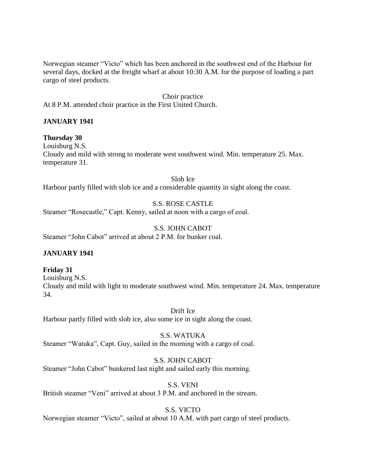Norwegian steamer "Victo" which has been anchored in the southwest end of the Harbour for several days, docked at the freight wharf at about 10:30 A.M. for the purpose of loading a part cargo of steel products.

Choir practice At 8 P.M. attended choir practice in the First United Church.

# **JANUARY 1941**

**Thursday 30**  Louisburg N.S. Cloudy and mild with strong to moderate west southwest wind. Min. temperature 25. Max. temperature 31.

Slob Ice Harbour partly filled with slob ice and a considerable quantity in sight along the coast.

S.S. ROSE CASTLE

Steamer "Rosecastle," Capt. Kenny, sailed at noon with a cargo of coal.

S.S. JOHN CABOT Steamer "John Cabot" arrived at about 2 P.M. for bunker coal.

# **JANUARY 1941**

**Friday 31**

Louisburg N.S. Cloudy and mild with light to moderate southwest wind. Min. temperature 24. Max. temperature 34.

Drift Ice Harbour partly filled with slob ice, also some ice in sight along the coast.

S.S. WATUKA Steamer "Watuka", Capt. Guy, sailed in the morning with a cargo of coal.

S.S. JOHN CABOT Steamer "John Cabot" bunkered last night and sailed early this morning.

S.S. VENI British steamer "Veni" arrived at about 3 P.M. and anchored in the stream.

S.S. VICTO

Norwegian steamer "Victo", sailed at about 10 A.M. with part cargo of steel products.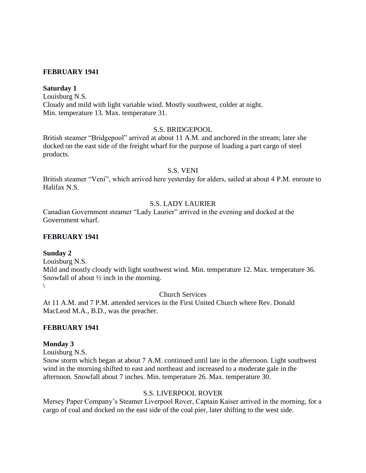## **FEBRUARY 1941**

#### **Saturday 1**

Louisburg N.S. Cloudy and mild with light variable wind. Mostly southwest, colder at night. Min. temperature 13. Max. temperature 31.

#### S.S. BRIDGEPOOL

British steamer "Bridgepool" arrived at about 11 A.M. and anchored in the stream; later she docked on the east side of the freight wharf for the purpose of loading a part cargo of steel products.

#### S.S. VENI

British steamer "Veni", which arrived here yesterday for alders, sailed at about 4 P.M. enroute to Halifax N.S.

## S.S. LADY LAURIER

Canadian Government steamer "Lady Laurier" arrived in the evening and docked at the Government wharf.

#### **FEBRUARY 1941**

#### **Sunday 2**

Louisburg N.S.

Mild and mostly cloudy with light southwest wind. Min. temperature 12. Max. temperature 36. Snowfall of about ½ inch in the morning.  $\setminus$ 

Church Services

At 11 A.M. and 7 P.M. attended services in the First United Church where Rev. Donald MacLeod M.A., B.D., was the preacher.

#### **FEBRUARY 1941**

#### **Monday 3**

Louisburg N.S.

Snow storm which began at about 7 A.M. continued until late in the afternoon. Light southwest wind in the morning shifted to east and northeast and increased to a moderate gale in the afternoon. Snowfall about 7 inches. Min. temperature 26. Max. temperature 30.

### S.S. LIVERPOOL ROVER

Mersey Paper Company's Steamer Liverpool Rover, Captain Kaiser arrived in the morning, for a cargo of coal and docked on the east side of the coal pier, later shifting to the west side.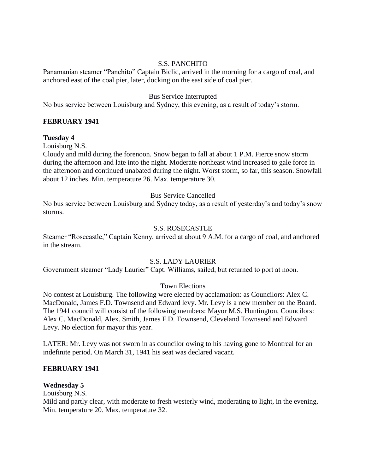#### S.S. PANCHITO

Panamanian steamer "Panchito" Captain Biclic, arrived in the morning for a cargo of coal, and anchored east of the coal pier, later, docking on the east side of coal pier.

#### Bus Service Interrupted

No bus service between Louisburg and Sydney, this evening, as a result of today's storm.

### **FEBRUARY 1941**

#### **Tuesday 4**

Louisburg N.S.

Cloudy and mild during the forenoon. Snow began to fall at about 1 P.M. Fierce snow storm during the afternoon and late into the night. Moderate northeast wind increased to gale force in the afternoon and continued unabated during the night. Worst storm, so far, this season. Snowfall about 12 inches. Min. temperature 26. Max. temperature 30.

#### Bus Service Cancelled

No bus service between Louisburg and Sydney today, as a result of yesterday's and today's snow storms.

### S.S. ROSECASTLE

Steamer "Rosecastle," Captain Kenny, arrived at about 9 A.M. for a cargo of coal, and anchored in the stream.

#### S.S. LADY LAURIER

Government steamer "Lady Laurier" Capt. Williams, sailed, but returned to port at noon.

### Town Elections

No contest at Louisburg. The following were elected by acclamation: as Councilors: Alex C. MacDonald, James F.D. Townsend and Edward levy. Mr. Levy is a new member on the Board. The 1941 council will consist of the following members: Mayor M.S. Huntington, Councilors: Alex C. MacDonald, Alex. Smith, James F.D. Townsend, Cleveland Townsend and Edward Levy. No election for mayor this year.

LATER: Mr. Levy was not sworn in as councilor owing to his having gone to Montreal for an indefinite period. On March 31, 1941 his seat was declared vacant.

#### **FEBRUARY 1941**

### **Wednesday 5**

Louisburg N.S.

Mild and partly clear, with moderate to fresh westerly wind, moderating to light, in the evening. Min. temperature 20. Max. temperature 32.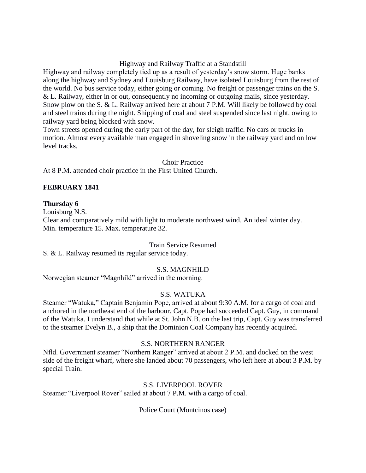# Highway and Railway Traffic at a Standstill

Highway and railway completely tied up as a result of yesterday's snow storm. Huge banks along the highway and Sydney and Louisburg Railway, have isolated Louisburg from the rest of the world. No bus service today, either going or coming. No freight or passenger trains on the S. & L. Railway, either in or out, consequently no incoming or outgoing mails, since yesterday. Snow plow on the S. & L. Railway arrived here at about 7 P.M. Will likely be followed by coal and steel trains during the night. Shipping of coal and steel suspended since last night, owing to railway yard being blocked with snow.

Town streets opened during the early part of the day, for sleigh traffic. No cars or trucks in motion. Almost every available man engaged in shoveling snow in the railway yard and on low level tracks.

#### Choir Practice

At 8 P.M. attended choir practice in the First United Church.

## **FEBRUARY 1841**

### **Thursday 6**

Louisburg N.S.

Clear and comparatively mild with light to moderate northwest wind. An ideal winter day. Min. temperature 15. Max. temperature 32.

### Train Service Resumed

S. & L. Railway resumed its regular service today.

### S.S. MAGNHILD

Norwegian steamer "Magnhild" arrived in the morning.

### S.S. WATUKA

Steamer "Watuka," Captain Benjamin Pope, arrived at about 9:30 A.M. for a cargo of coal and anchored in the northeast end of the harbour. Capt. Pope had succeeded Capt. Guy, in command of the Watuka. I understand that while at St. John N.B. on the last trip, Capt. Guy was transferred to the steamer Evelyn B., a ship that the Dominion Coal Company has recently acquired.

#### S.S. NORTHERN RANGER

Nfld. Government steamer "Northern Ranger" arrived at about 2 P.M. and docked on the west side of the freight wharf, where she landed about 70 passengers, who left here at about 3 P.M. by special Train.

### S.S. LIVERPOOL ROVER

Steamer "Liverpool Rover" sailed at about 7 P.M. with a cargo of coal.

Police Court (Montcinos case)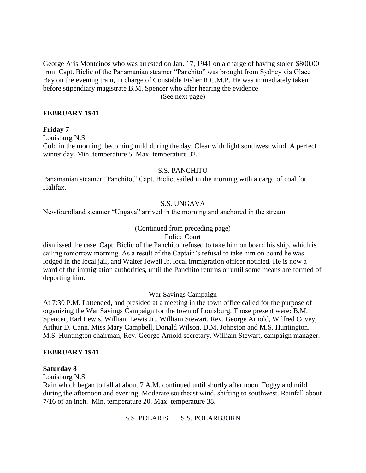George Aris Montcinos who was arrested on Jan. 17, 1941 on a charge of having stolen \$800.00 from Capt. Biclic of the Panamanian steamer "Panchito" was brought from Sydney via Glace Bay on the evening train, in charge of Constable Fisher R.C.M.P. He was immediately taken before stipendiary magistrate B.M. Spencer who after hearing the evidence

(See next page)

### **FEBRUARY 1941**

#### **Friday 7**

Louisburg N.S.

Cold in the morning, becoming mild during the day. Clear with light southwest wind. A perfect winter day. Min. temperature 5. Max. temperature 32.

#### S.S. PANCHITO

Panamanian steamer "Panchito," Capt. Biclic, sailed in the morning with a cargo of coal for Halifax.

### S.S. UNGAVA

Newfoundland steamer "Ungava" arrived in the morning and anchored in the stream.

### (Continued from preceding page)

#### Police Court

dismissed the case. Capt. Biclic of the Panchito, refused to take him on board his ship, which is sailing tomorrow morning. As a result of the Captain's refusal to take him on board he was lodged in the local jail, and Walter Jewell Jr. local immigration officer notified. He is now a ward of the immigration authorities, until the Panchito returns or until some means are formed of deporting him.

#### War Savings Campaign

At 7:30 P.M. I attended, and presided at a meeting in the town office called for the purpose of organizing the War Savings Campaign for the town of Louisburg. Those present were: B.M. Spencer, Earl Lewis, William Lewis Jr., William Stewart, Rev. George Arnold, Wilfred Covey, Arthur D. Cann, Miss Mary Campbell, Donald Wilson, D.M. Johnston and M.S. Huntington. M.S. Huntington chairman, Rev. George Arnold secretary, William Stewart, campaign manager.

#### **FEBRUARY 1941**

### **Saturday 8**

Louisburg N.S.

Rain which began to fall at about 7 A.M. continued until shortly after noon. Foggy and mild during the afternoon and evening. Moderate southeast wind, shifting to southwest. Rainfall about 7/16 of an inch. Min. temperature 20. Max. temperature 38.

S.S. POLARIS S.S. POLARBJORN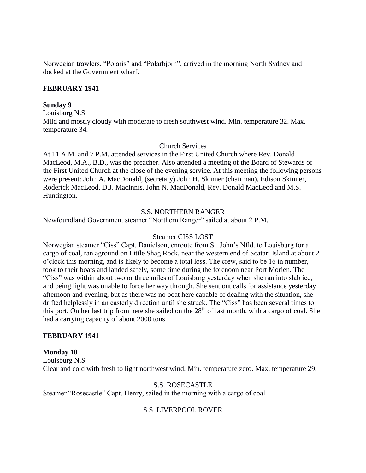Norwegian trawlers, "Polaris" and "Polarbjorn", arrived in the morning North Sydney and docked at the Government wharf.

### **FEBRUARY 1941**

#### **Sunday 9**

Louisburg N.S.

Mild and mostly cloudy with moderate to fresh southwest wind. Min. temperature 32. Max. temperature 34.

#### Church Services

At 11 A.M. and 7 P.M. attended services in the First United Church where Rev. Donald MacLeod, M.A., B.D., was the preacher. Also attended a meeting of the Board of Stewards of the First United Church at the close of the evening service. At this meeting the following persons were present: John A. MacDonald, (secretary) John H. Skinner (chairman), Edison Skinner, Roderick MacLeod, D.J. MacInnis, John N. MacDonald, Rev. Donald MacLeod and M.S. Huntington.

### S.S. NORTHERN RANGER

Newfoundland Government steamer "Northern Ranger" sailed at about 2 P.M.

#### Steamer CISS LOST

Norwegian steamer "Ciss" Capt. Danielson, enroute from St. John's Nfld. to Louisburg for a cargo of coal, ran aground on Little Shag Rock, near the western end of Scatari Island at about 2 o'clock this morning, and is likely to become a total loss. The crew, said to be 16 in number, took to their boats and landed safely, some time during the forenoon near Port Morien. The "Ciss" was within about two or three miles of Louisburg yesterday when she ran into slab ice, and being light was unable to force her way through. She sent out calls for assistance yesterday afternoon and evening, but as there was no boat here capable of dealing with the situation, she drifted helplessly in an easterly direction until she struck. The "Ciss" has been several times to this port. On her last trip from here she sailed on the  $28<sup>th</sup>$  of last month, with a cargo of coal. She had a carrying capacity of about 2000 tons.

### **FEBRUARY 1941**

#### **Monday 10**

Louisburg N.S. Clear and cold with fresh to light northwest wind. Min. temperature zero. Max. temperature 29.

### S.S. ROSECASTLE

Steamer "Rosecastle" Capt. Henry, sailed in the morning with a cargo of coal.

### S.S. LIVERPOOL ROVER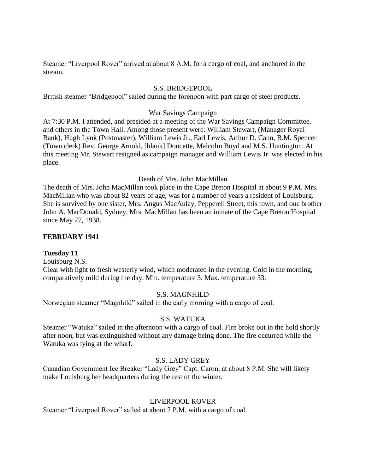Steamer "Liverpool Rover" arrived at about 8 A.M. for a cargo of coal, and anchored in the stream.

## S.S. BRIDGEPOOL

British steamer "Bridgepool" sailed during the forenoon with part cargo of steel products.

## War Savings Campaign

At 7:30 P.M. I attended, and presided at a meeting of the War Savings Campaign Committee, and others in the Town Hall. Among those present were: William Stewart, (Manager Royal Bank), Hugh Lynk (Postmaster), William Lewis Jr., Earl Lewis, Arthur D. Cann, B.M. Spencer (Town clerk) Rev. George Arnold, [blank] Doucette, Malcolm Boyd and M.S. Huntington. At this meeting Mr. Stewart resigned as campaign manager and William Lewis Jr. was elected in his place.

Death of Mrs. John MacMillan

The death of Mrs. John MacMillan took place in the Cape Breton Hospital at about 9 P.M. Mrs. MacMillan who was about 82 years of age, was for a number of years a resident of Louisburg. She is survived by one sister, Mrs. Angus MacAulay, Pepperell Street, this town, and one brother John A. MacDonald, Sydney. Mrs. MacMillan has been an inmate of the Cape Breton Hospital since May 27, 1938.

### **FEBRUARY 1941**

### **Tuesday 11**

Louisburg N.S.

Clear with light to fresh westerly wind, which moderated in the evening. Cold in the morning, comparatively mild during the day. Min. temperature 3. Max. temperature 33.

### S.S. MAGNHILD

Norwegian steamer "Magnhild" sailed in the early morning with a cargo of coal.

### S.S. WATUKA

Steamer "Watuka" sailed in the afternoon with a cargo of coal. Fire broke out in the hold shortly after noon, but was extinguished without any damage being done. The fire occurred while the Watuka was lying at the wharf.

### S.S. LADY GREY

Canadian Government Ice Breaker "Lady Grey" Capt. Caron, at about 8 P.M. She will likely make Louisburg her headquarters during the rest of the winter.

# LIVERPOOL ROVER

Steamer "Liverpool Rover" sailed at about 7 P.M. with a cargo of coal.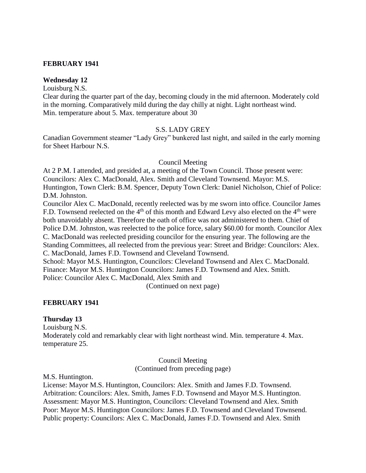### **FEBRUARY 1941**

## **Wednesday 12**

Louisburg N.S.

Clear during the quarter part of the day, becoming cloudy in the mid afternoon. Moderately cold in the morning. Comparatively mild during the day chilly at night. Light northeast wind. Min. temperature about 5. Max. temperature about 30

### S.S. LADY GREY

Canadian Government steamer "Lady Grey" bunkered last night, and sailed in the early morning for Sheet Harbour N.S.

### Council Meeting

At 2 P.M. I attended, and presided at, a meeting of the Town Council. Those present were: Councilors: Alex C. MacDonald, Alex. Smith and Cleveland Townsend. Mayor: M.S. Huntington, Town Clerk: B.M. Spencer, Deputy Town Clerk: Daniel Nicholson, Chief of Police: D.M. Johnston.

Councilor Alex C. MacDonald, recently reelected was by me sworn into office. Councilor James F.D. Townsend reelected on the  $4<sup>th</sup>$  of this month and Edward Levy also elected on the  $4<sup>th</sup>$  were both unavoidably absent. Therefore the oath of office was not administered to them. Chief of Police D.M. Johnston, was reelected to the police force, salary \$60.00 for month. Councilor Alex C. MacDonald was reelected presiding councilor for the ensuring year. The following are the Standing Committees, all reelected from the previous year: Street and Bridge: Councilors: Alex. C. MacDonald, James F.D. Townsend and Cleveland Townsend.

School: Mayor M.S. Huntington, Councilors: Cleveland Townsend and Alex C. MacDonald. Finance: Mayor M.S. Huntington Councilors: James F.D. Townsend and Alex. Smith. Police: Councilor Alex C. MacDonald, Alex Smith and

(Continued on next page)

### **FEBRUARY 1941**

#### **Thursday 13**

Louisburg N.S.

Moderately cold and remarkably clear with light northeast wind. Min. temperature 4. Max. temperature 25.

> Council Meeting (Continued from preceding page)

M.S. Huntington.

License: Mayor M.S. Huntington, Councilors: Alex. Smith and James F.D. Townsend. Arbitration: Councilors: Alex. Smith, James F.D. Townsend and Mayor M.S. Huntington. Assessment: Mayor M.S. Huntington, Councilors: Cleveland Townsend and Alex. Smith Poor: Mayor M.S. Huntington Councilors: James F.D. Townsend and Cleveland Townsend. Public property: Councilors: Alex C. MacDonald, James F.D. Townsend and Alex. Smith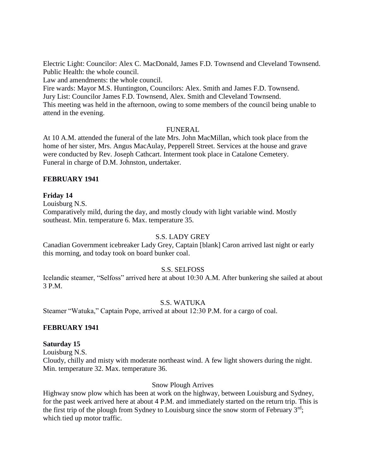Electric Light: Councilor: Alex C. MacDonald, James F.D. Townsend and Cleveland Townsend. Public Health: the whole council.

Law and amendments: the whole council.

Fire wards: Mayor M.S. Huntington, Councilors: Alex. Smith and James F.D. Townsend. Jury List: Councilor James F.D. Townsend, Alex. Smith and Cleveland Townsend. This meeting was held in the afternoon, owing to some members of the council being unable to attend in the evening.

## FUNERAL

At 10 A.M. attended the funeral of the late Mrs. John MacMillan, which took place from the home of her sister, Mrs. Angus MacAulay, Pepperell Street. Services at the house and grave were conducted by Rev. Joseph Cathcart. Interment took place in Catalone Cemetery. Funeral in charge of D.M. Johnston, undertaker.

## **FEBRUARY 1941**

## **Friday 14**

Louisburg N.S.

Comparatively mild, during the day, and mostly cloudy with light variable wind. Mostly southeast. Min. temperature 6. Max. temperature 35.

### S.S. LADY GREY

Canadian Government icebreaker Lady Grey, Captain [blank] Caron arrived last night or early this morning, and today took on board bunker coal.

### S.S. SELFOSS

Icelandic steamer, "Selfoss" arrived here at about 10:30 A.M. After bunkering she sailed at about 3 P.M.

# S.S. WATUKA

Steamer "Watuka," Captain Pope, arrived at about 12:30 P.M. for a cargo of coal.

### **FEBRUARY 1941**

### **Saturday 15**

Louisburg N.S.

Cloudy, chilly and misty with moderate northeast wind. A few light showers during the night. Min. temperature 32. Max. temperature 36.

### Snow Plough Arrives

Highway snow plow which has been at work on the highway, between Louisburg and Sydney, for the past week arrived here at about 4 P.M. and immediately started on the return trip. This is the first trip of the plough from Sydney to Louisburg since the snow storm of February  $3<sup>rd</sup>$ ; which tied up motor traffic.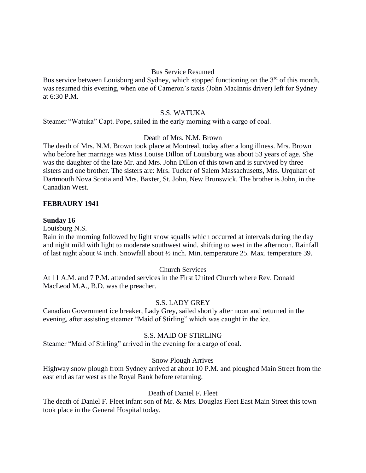### Bus Service Resumed

Bus service between Louisburg and Sydney, which stopped functioning on the  $3<sup>rd</sup>$  of this month, was resumed this evening, when one of Cameron's taxis (John MacInnis driver) left for Sydney at 6:30 P.M.

#### S.S. WATUKA

Steamer "Watuka" Capt. Pope, sailed in the early morning with a cargo of coal.

## Death of Mrs. N.M. Brown

The death of Mrs. N.M. Brown took place at Montreal, today after a long illness. Mrs. Brown who before her marriage was Miss Louise Dillon of Louisburg was about 53 years of age. She was the daughter of the late Mr. and Mrs. John Dillon of this town and is survived by three sisters and one brother. The sisters are: Mrs. Tucker of Salem Massachusetts, Mrs. Urquhart of Dartmouth Nova Scotia and Mrs. Baxter, St. John, New Brunswick. The brother is John, in the Canadian West.

#### **FEBRAURY 1941**

#### **Sunday 16**

Louisburg N.S.

Rain in the morning followed by light snow squalls which occurred at intervals during the day and night mild with light to moderate southwest wind. shifting to west in the afternoon. Rainfall of last night about ¼ inch. Snowfall about ½ inch. Min. temperature 25. Max. temperature 39.

#### Church Services

At 11 A.M. and 7 P.M. attended services in the First United Church where Rev. Donald MacLeod M.A., B.D. was the preacher.

#### S.S. LADY GREY

Canadian Government ice breaker, Lady Grey, sailed shortly after noon and returned in the evening, after assisting steamer "Maid of Stirling" which was caught in the ice.

#### S.S. MAID OF STIRLING

Steamer "Maid of Stirling" arrived in the evening for a cargo of coal.

#### Snow Plough Arrives

Highway snow plough from Sydney arrived at about 10 P.M. and ploughed Main Street from the east end as far west as the Royal Bank before returning.

#### Death of Daniel F. Fleet

The death of Daniel F. Fleet infant son of Mr. & Mrs. Douglas Fleet East Main Street this town took place in the General Hospital today.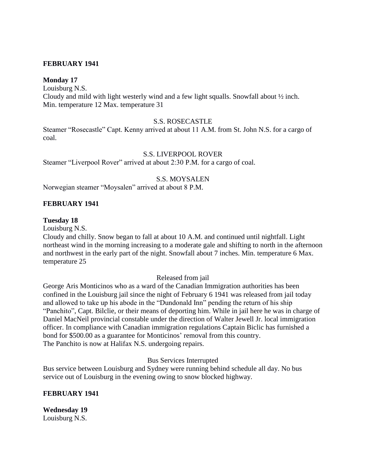## **FEBRUARY 1941**

### **Monday 17**

Louisburg N.S.

Cloudy and mild with light westerly wind and a few light squalls. Snowfall about ½ inch. Min. temperature 12 Max. temperature 31

#### S.S. ROSECASTLE

Steamer "Rosecastle" Capt. Kenny arrived at about 11 A.M. from St. John N.S. for a cargo of coal.

### S.S. LIVERPOOL ROVER

Steamer "Liverpool Rover" arrived at about 2:30 P.M. for a cargo of coal.

#### S.S. MOYSALEN

Norwegian steamer "Moysalen" arrived at about 8 P.M.

#### **FEBRUARY 1941**

#### **Tuesday 18**

Louisburg N.S.

Cloudy and chilly. Snow began to fall at about 10 A.M. and continued until nightfall. Light northeast wind in the morning increasing to a moderate gale and shifting to north in the afternoon and northwest in the early part of the night. Snowfall about 7 inches. Min. temperature 6 Max. temperature 25

#### Released from jail

George Aris Monticinos who as a ward of the Canadian Immigration authorities has been confined in the Louisburg jail since the night of February 6 1941 was released from jail today and allowed to take up his abode in the "Dundonald Inn" pending the return of his ship "Panchito", Capt. Bilclie, or their means of deporting him. While in jail here he was in charge of Daniel MacNeil provincial constable under the direction of Walter Jewell Jr. local immigration officer. In compliance with Canadian immigration regulations Captain Biclic has furnished a bond for \$500.00 as a guarantee for Monticinos' removal from this country. The Panchito is now at Halifax N.S. undergoing repairs.

Bus Services Interrupted

Bus service between Louisburg and Sydney were running behind schedule all day. No bus service out of Louisburg in the evening owing to snow blocked highway.

#### **FEBRUARY 1941**

**Wednesday 19** Louisburg N.S.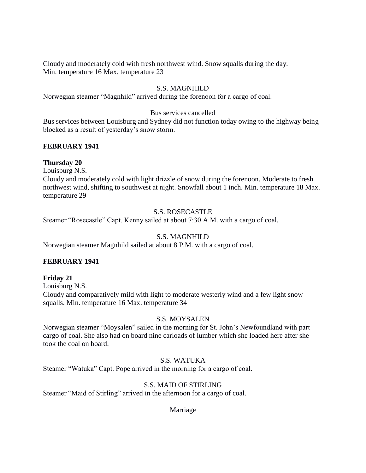Cloudy and moderately cold with fresh northwest wind. Snow squalls during the day. Min. temperature 16 Max. temperature 23

# S.S. MAGNHILD

Norwegian steamer "Magnhild" arrived during the forenoon for a cargo of coal.

## Bus services cancelled

Bus services between Louisburg and Sydney did not function today owing to the highway being blocked as a result of yesterday's snow storm.

## **FEBRUARY 1941**

### **Thursday 20**

Louisburg N.S.

Cloudy and moderately cold with light drizzle of snow during the forenoon. Moderate to fresh northwest wind, shifting to southwest at night. Snowfall about 1 inch. Min. temperature 18 Max. temperature 29

## S.S. ROSECASTLE

Steamer "Rosecastle" Capt. Kenny sailed at about 7:30 A.M. with a cargo of coal.

# S.S. MAGNHILD

Norwegian steamer Magnhild sailed at about 8 P.M. with a cargo of coal.

# **FEBRUARY 1941**

### **Friday 21**

Louisburg N.S. Cloudy and comparatively mild with light to moderate westerly wind and a few light snow squalls. Min. temperature 16 Max. temperature 34

# S.S. MOYSALEN

Norwegian steamer "Moysalen" sailed in the morning for St. John's Newfoundland with part cargo of coal. She also had on board nine carloads of lumber which she loaded here after she took the coal on board.

# S.S. WATUKA

Steamer "Watuka" Capt. Pope arrived in the morning for a cargo of coal.

# S.S. MAID OF STIRLING

Steamer "Maid of Stirling" arrived in the afternoon for a cargo of coal.

Marriage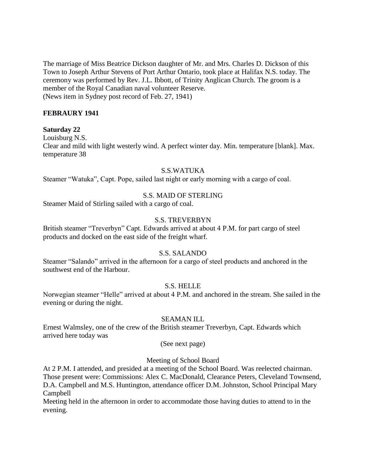The marriage of Miss Beatrice Dickson daughter of Mr. and Mrs. Charles D. Dickson of this Town to Joseph Arthur Stevens of Port Arthur Ontario, took place at Halifax N.S. today. The ceremony was performed by Rev. J.L. Ibbott, of Trinity Anglican Church. The groom is a member of the Royal Canadian naval volunteer Reserve. (News item in Sydney post record of Feb. 27, 1941)

## **FEBRAURY 1941**

#### **Saturday 22**

Louisburg N.S.

Clear and mild with light westerly wind. A perfect winter day. Min. temperature [blank]. Max. temperature 38

#### S.S.WATUKA

Steamer "Watuka", Capt. Pope, sailed last night or early morning with a cargo of coal.

#### S.S. MAID OF STERLING

Steamer Maid of Stirling sailed with a cargo of coal.

#### S.S. TREVERBYN

British steamer "Treverbyn" Capt. Edwards arrived at about 4 P.M. for part cargo of steel products and docked on the east side of the freight wharf.

### S.S. SALANDO

Steamer "Salando" arrived in the afternoon for a cargo of steel products and anchored in the southwest end of the Harbour.

## S.S. HELLE

Norwegian steamer "Helle" arrived at about 4 P.M. and anchored in the stream. She sailed in the evening or during the night.

#### SEAMAN ILL

Ernest Walmsley, one of the crew of the British steamer Treverbyn, Capt. Edwards which arrived here today was

(See next page)

#### Meeting of School Board

At 2 P.M. I attended, and presided at a meeting of the School Board. Was reelected chairman. Those present were: Commissions: Alex C. MacDonald, Clearance Peters, Cleveland Townsend, D.A. Campbell and M.S. Huntington, attendance officer D.M. Johnston, School Principal Mary Campbell

Meeting held in the afternoon in order to accommodate those having duties to attend to in the evening.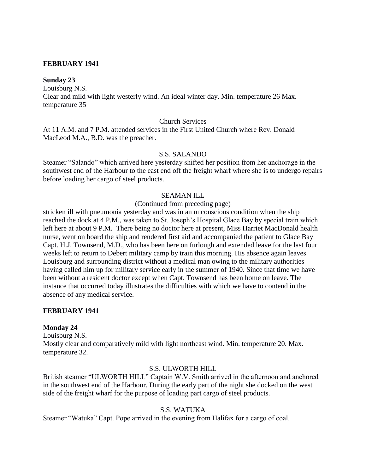### **FEBRUARY 1941**

#### **Sunday 23**

Louisburg N.S.

Clear and mild with light westerly wind. An ideal winter day. Min. temperature 26 Max. temperature 35

#### Church Services

At 11 A.M. and 7 P.M. attended services in the First United Church where Rev. Donald MacLeod M.A., B.D. was the preacher.

## S.S. SALANDO

Steamer "Salando" which arrived here yesterday shifted her position from her anchorage in the southwest end of the Harbour to the east end off the freight wharf where she is to undergo repairs before loading her cargo of steel products.

#### SEAMAN ILL

#### (Continued from preceding page)

stricken ill with pneumonia yesterday and was in an unconscious condition when the ship reached the dock at 4 P.M., was taken to St. Joseph's Hospital Glace Bay by special train which left here at about 9 P.M. There being no doctor here at present, Miss Harriet MacDonald health nurse, went on board the ship and rendered first aid and accompanied the patient to Glace Bay Capt. H.J. Townsend, M.D., who has been here on furlough and extended leave for the last four weeks left to return to Debert military camp by train this morning. His absence again leaves Louisburg and surrounding district without a medical man owing to the military authorities having called him up for military service early in the summer of 1940. Since that time we have been without a resident doctor except when Capt. Townsend has been home on leave. The instance that occurred today illustrates the difficulties with which we have to contend in the absence of any medical service.

#### **FEBRUARY 1941**

#### **Monday 24**

Louisburg N.S. Mostly clear and comparatively mild with light northeast wind. Min. temperature 20. Max. temperature 32.

# S.S. ULWORTH HILL

British steamer "ULWORTH HILL" Captain W.V. Smith arrived in the afternoon and anchored in the southwest end of the Harbour. During the early part of the night she docked on the west side of the freight wharf for the purpose of loading part cargo of steel products.

### S.S. WATUKA

Steamer "Watuka" Capt. Pope arrived in the evening from Halifax for a cargo of coal.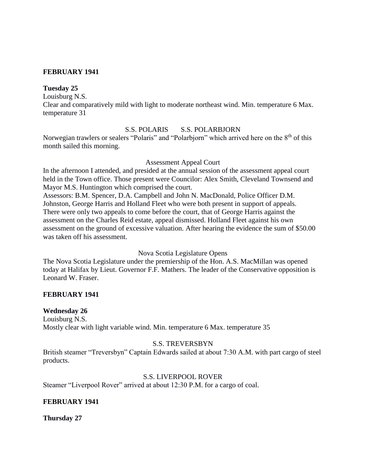#### **FEBRUARY 1941**

#### **Tuesday 25**

Louisburg N.S.

Clear and comparatively mild with light to moderate northeast wind. Min. temperature 6 Max. temperature 31

## S.S. POLARIS S.S. POLARBJORN

Norwegian trawlers or sealers "Polaris" and "Polarbjorn" which arrived here on the 8<sup>th</sup> of this month sailed this morning.

#### Assessment Appeal Court

In the afternoon I attended, and presided at the annual session of the assessment appeal court held in the Town office. Those present were Councilor: Alex Smith, Cleveland Townsend and Mayor M.S. Huntington which comprised the court.

Assessors: B.M. Spencer, D.A. Campbell and John N. MacDonald, Police Officer D.M. Johnston, George Harris and Holland Fleet who were both present in support of appeals. There were only two appeals to come before the court, that of George Harris against the assessment on the Charles Reid estate, appeal dismissed. Holland Fleet against his own assessment on the ground of excessive valuation. After hearing the evidence the sum of \$50.00 was taken off his assessment.

#### Nova Scotia Legislature Opens

The Nova Scotia Legislature under the premiership of the Hon. A.S. MacMillan was opened today at Halifax by Lieut. Governor F.F. Mathers. The leader of the Conservative opposition is Leonard W. Fraser.

### **FEBRUARY 1941**

### **Wednesday 26**

Louisburg N.S. Mostly clear with light variable wind. Min. temperature 6 Max. temperature 35

### S.S. TREVERSBYN

British steamer "Treversbyn" Captain Edwards sailed at about 7:30 A.M. with part cargo of steel products.

#### S.S. LIVERPOOL ROVER

Steamer "Liverpool Rover" arrived at about 12:30 P.M. for a cargo of coal.

### **FEBRUARY 1941**

**Thursday 27**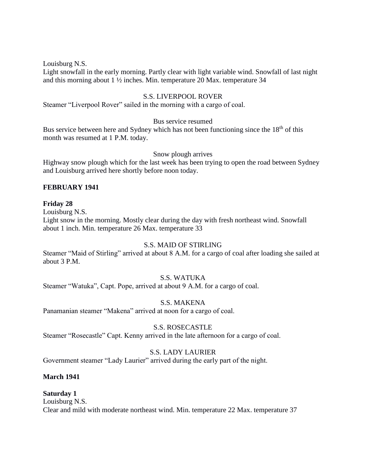Louisburg N.S.

Light snowfall in the early morning. Partly clear with light variable wind. Snowfall of last night and this morning about 1 ½ inches. Min. temperature 20 Max. temperature 34

## S.S. LIVERPOOL ROVER

Steamer "Liverpool Rover" sailed in the morning with a cargo of coal.

### Bus service resumed

Bus service between here and Sydney which has not been functioning since the 18<sup>th</sup> of this month was resumed at 1 P.M. today.

### Snow plough arrives

Highway snow plough which for the last week has been trying to open the road between Sydney and Louisburg arrived here shortly before noon today.

### **FEBRUARY 1941**

#### **Friday 28**

Louisburg N.S.

Light snow in the morning. Mostly clear during the day with fresh northeast wind. Snowfall about 1 inch. Min. temperature 26 Max. temperature 33

### S.S. MAID OF STIRLING

Steamer "Maid of Stirling" arrived at about 8 A.M. for a cargo of coal after loading she sailed at about 3 P.M.

### S.S. WATUKA

Steamer "Watuka", Capt. Pope, arrived at about 9 A.M. for a cargo of coal.

### S.S. MAKENA

Panamanian steamer "Makena" arrived at noon for a cargo of coal.

#### S.S. ROSECASTLE

Steamer "Rosecastle" Capt. Kenny arrived in the late afternoon for a cargo of coal.

## S.S. LADY LAURIER

Government steamer "Lady Laurier" arrived during the early part of the night.

### **March 1941**

# **Saturday 1**

Louisburg N.S. Clear and mild with moderate northeast wind. Min. temperature 22 Max. temperature 37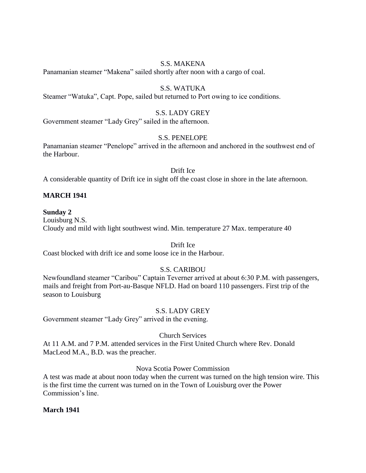## S.S. MAKENA

Panamanian steamer "Makena" sailed shortly after noon with a cargo of coal.

# S.S. WATUKA

Steamer "Watuka", Capt. Pope, sailed but returned to Port owing to ice conditions.

## S.S. LADY GREY

Government steamer "Lady Grey" sailed in the afternoon.

## S.S. PENELOPE

Panamanian steamer "Penelope" arrived in the afternoon and anchored in the southwest end of the Harbour.

#### Drift Ice

A considerable quantity of Drift ice in sight off the coast close in shore in the late afternoon.

## **MARCH 1941**

### **Sunday 2**

Louisburg N.S. Cloudy and mild with light southwest wind. Min. temperature 27 Max. temperature 40

Drift Ice

Coast blocked with drift ice and some loose ice in the Harbour.

# S.S. CARIBOU

Newfoundland steamer "Caribou" Captain Teverner arrived at about 6:30 P.M. with passengers, mails and freight from Port-au-Basque NFLD. Had on board 110 passengers. First trip of the season to Louisburg

### S.S. LADY GREY

Government steamer "Lady Grey" arrived in the evening.

### Church Services

At 11 A.M. and 7 P.M. attended services in the First United Church where Rev. Donald MacLeod M.A., B.D. was the preacher.

## Nova Scotia Power Commission

A test was made at about noon today when the current was turned on the high tension wire. This is the first time the current was turned on in the Town of Louisburg over the Power Commission's line.

### **March 1941**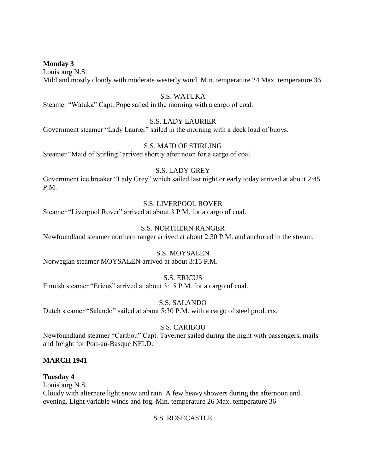**Monday 3**

Louisburg N.S. Mild and mostly cloudy with moderate westerly wind. Min. temperature 24 Max. temperature 36

## S.S. WATUKA

Steamer "Watuka" Capt. Pope sailed in the morning with a cargo of coal.

# S.S. LADY LAURIER

Government steamer "Lady Laurier" sailed in the morning with a deck load of buoys.

### S.S. MAID OF STIRLING

Steamer "Maid of Stirling" arrived shortly after noon for a cargo of coal.

### S.S. LADY GREY

Government ice breaker "Lady Grey" which sailed last night or early today arrived at about 2:45 P.M.

# S.S. LIVERPOOL ROVER

Steamer "Liverpool Rover" arrived at about 3 P.M. for a cargo of coal.

## S.S. NORTHERN RANGER

Newfoundland steamer northern ranger arrived at about 2:30 P.M. and anchored in the stream.

## S.S. MOYSALEN

Norwegian steamer MOYSALEN arrived at about 3:15 P.M.

### S.S. ERICUS

Finnish steamer "Ericus" arrived at about 3:15 P.M. for a cargo of coal.

S.S. SALANDO

Dutch steamer "Salando" sailed at about 5:30 P.M. with a cargo of steel products.

### S.S. CARIBOU

Newfoundland steamer "Caribou" Capt. Taverner sailed during the night with passengers, mails and freight for Port-au-Basque NFLD.

### **MARCH 1941**

#### **Tuesday 4**

Louisburg N.S.

Cloudy with alternate light snow and rain. A few heavy showers during the afternoon and evening. Light variable winds and fog. Min. temperature 26 Max. temperature 36

### S.S. ROSECASTLE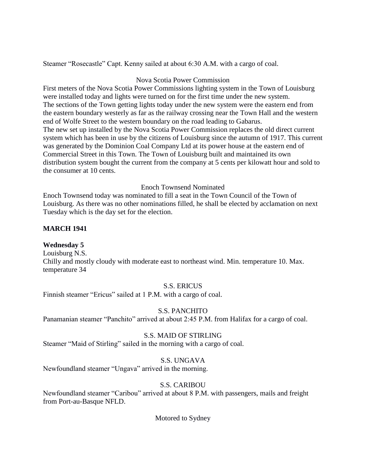Steamer "Rosecastle" Capt. Kenny sailed at about 6:30 A.M. with a cargo of coal.

# Nova Scotia Power Commission

First meters of the Nova Scotia Power Commissions lighting system in the Town of Louisburg were installed today and lights were turned on for the first time under the new system. The sections of the Town getting lights today under the new system were the eastern end from the eastern boundary westerly as far as the railway crossing near the Town Hall and the western end of Wolfe Street to the western boundary on the road leading to Gabarus. The new set up installed by the Nova Scotia Power Commission replaces the old direct current system which has been in use by the citizens of Louisburg since the autumn of 1917. This current was generated by the Dominion Coal Company Ltd at its power house at the eastern end of Commercial Street in this Town. The Town of Louisburg built and maintained its own distribution system bought the current from the company at 5 cents per kilowatt hour and sold to the consumer at 10 cents.

## Enoch Townsend Nominated

Enoch Townsend today was nominated to fill a seat in the Town Council of the Town of Louisburg. As there was no other nominations filled, he shall be elected by acclamation on next Tuesday which is the day set for the election.

# **MARCH 1941**

# **Wednesday 5**

Louisburg N.S. Chilly and mostly cloudy with moderate east to northeast wind. Min. temperature 10. Max. temperature 34

# S.S. ERICUS

Finnish steamer "Ericus" sailed at 1 P.M. with a cargo of coal.

# S.S. PANCHITO

Panamanian steamer "Panchito" arrived at about 2:45 P.M. from Halifax for a cargo of coal.

# S.S. MAID OF STIRLING

Steamer "Maid of Stirling" sailed in the morning with a cargo of coal.

# S.S. UNGAVA

Newfoundland steamer "Ungava" arrived in the morning.

# S.S. CARIBOU

Newfoundland steamer "Caribou" arrived at about 8 P.M. with passengers, mails and freight from Port-au-Basque NFLD.

Motored to Sydney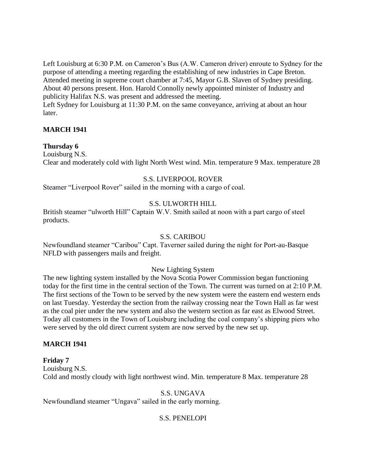Left Louisburg at 6:30 P.M. on Cameron's Bus (A.W. Cameron driver) enroute to Sydney for the purpose of attending a meeting regarding the establishing of new industries in Cape Breton. Attended meeting in supreme court chamber at 7:45, Mayor G.B. Slaven of Sydney presiding. About 40 persons present. Hon. Harold Connolly newly appointed minister of Industry and publicity Halifax N.S. was present and addressed the meeting.

Left Sydney for Louisburg at 11:30 P.M. on the same conveyance, arriving at about an hour later.

## **MARCH 1941**

## **Thursday 6**

Louisburg N.S. Clear and moderately cold with light North West wind. Min. temperature 9 Max. temperature 28

## S.S. LIVERPOOL ROVER

Steamer "Liverpool Rover" sailed in the morning with a cargo of coal.

## S.S. ULWORTH HILL

British steamer "ulworth Hill" Captain W.V. Smith sailed at noon with a part cargo of steel products.

#### S.S. CARIBOU

Newfoundland steamer "Caribou" Capt. Taverner sailed during the night for Port-au-Basque NFLD with passengers mails and freight.

#### New Lighting System

The new lighting system installed by the Nova Scotia Power Commission began functioning today for the first time in the central section of the Town. The current was turned on at 2:10 P.M. The first sections of the Town to be served by the new system were the eastern end western ends on last Tuesday. Yesterday the section from the railway crossing near the Town Hall as far west as the coal pier under the new system and also the western section as far east as Elwood Street. Today all customers in the Town of Louisburg including the coal company's shipping piers who were served by the old direct current system are now served by the new set up.

## **MARCH 1941**

## **Friday 7**

Louisburg N.S. Cold and mostly cloudy with light northwest wind. Min. temperature 8 Max. temperature 28

#### S.S. UNGAVA

Newfoundland steamer "Ungava" sailed in the early morning.

## S.S. PENELOPI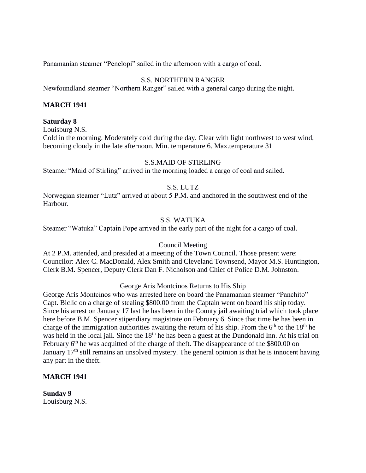Panamanian steamer "Penelopi" sailed in the afternoon with a cargo of coal.

# S.S. NORTHERN RANGER

Newfoundland steamer "Northern Ranger" sailed with a general cargo during the night.

## **MARCH 1941**

#### **Saturday 8**

Louisburg N.S.

Cold in the morning. Moderately cold during the day. Clear with light northwest to west wind, becoming cloudy in the late afternoon. Min. temperature 6. Max.temperature 31

## S.S.MAID OF STIRLING

Steamer "Maid of Stirling" arrived in the morning loaded a cargo of coal and sailed.

# S.S. LUTZ

Norwegian steamer "Lutz" arrived at about 5 P.M. and anchored in the southwest end of the Harbour.

## S.S. WATUKA

Steamer "Watuka" Captain Pope arrived in the early part of the night for a cargo of coal.

## Council Meeting

At 2 P.M. attended, and presided at a meeting of the Town Council. Those present were: Councilor: Alex C. MacDonald, Alex Smith and Cleveland Townsend, Mayor M.S. Huntington, Clerk B.M. Spencer, Deputy Clerk Dan F. Nicholson and Chief of Police D.M. Johnston.

#### George Aris Montcinos Returns to His Ship

George Aris Montcinos who was arrested here on board the Panamanian steamer "Panchito" Capt. Biclic on a charge of stealing \$800.00 from the Captain went on board his ship today. Since his arrest on January 17 last he has been in the County jail awaiting trial which took place here before B.M. Spencer stipendiary magistrate on February 6. Since that time he has been in charge of the immigration authorities awaiting the return of his ship. From the  $6<sup>th</sup>$  to the 18<sup>th</sup> he was held in the local jail. Since the 18<sup>th</sup> he has been a guest at the Dundonald Inn. At his trial on February 6<sup>th</sup> he was acquitted of the charge of theft. The disappearance of the \$800.00 on January 17<sup>th</sup> still remains an unsolved mystery. The general opinion is that he is innocent having any part in the theft.

#### **MARCH 1941**

**Sunday 9** Louisburg N.S.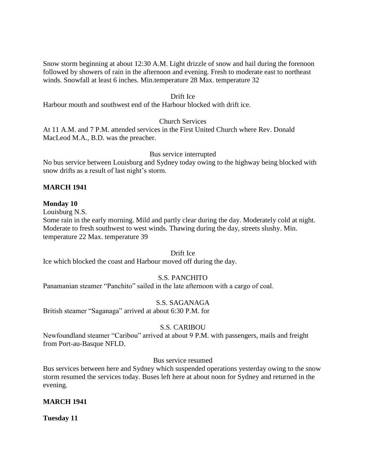Snow storm beginning at about 12:30 A.M. Light drizzle of snow and hail during the forenoon followed by showers of rain in the afternoon and evening. Fresh to moderate east to northeast winds. Snowfall at least 6 inches. Min.temperature 28 Max. temperature 32

#### Drift Ice

Harbour mouth and southwest end of the Harbour blocked with drift ice.

## Church Services

At 11 A.M. and 7 P.M. attended services in the First United Church where Rev. Donald MacLeod M.A., B.D. was the preacher.

## Bus service interrupted

No bus service between Louisburg and Sydney today owing to the highway being blocked with snow drifts as a result of last night's storm.

## **MARCH 1941**

#### **Monday 10**

Louisburg N.S.

Some rain in the early morning. Mild and partly clear during the day. Moderately cold at night. Moderate to fresh southwest to west winds. Thawing during the day, streets slushy. Min. temperature 22 Max. temperature 39

Drift Ice

Ice which blocked the coast and Harbour moved off during the day.

# S.S. PANCHITO

Panamanian steamer "Panchito" sailed in the late afternoon with a cargo of coal.

S.S. SAGANAGA

British steamer "Saganaga" arrived at about 6:30 P.M. for

## S.S. CARIBOU

Newfoundland steamer "Caribou" arrived at about 9 P.M. with passengers, mails and freight from Port-au-Basque NFLD.

#### Bus service resumed

Bus services between here and Sydney which suspended operations yesterday owing to the snow storm resumed the services today. Buses left here at about noon for Sydney and returned in the evening.

## **MARCH 1941**

**Tuesday 11**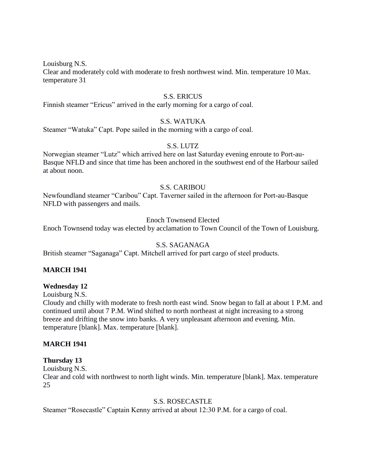Louisburg N.S.

Clear and moderately cold with moderate to fresh northwest wind. Min. temperature 10 Max. temperature 31

#### S.S. ERICUS

Finnish steamer "Ericus" arrived in the early morning for a cargo of coal.

#### S.S. WATUKA

Steamer "Watuka" Capt. Pope sailed in the morning with a cargo of coal.

#### S.S. LUTZ

Norwegian steamer "Lutz" which arrived here on last Saturday evening enroute to Port-au-Basque NFLD and since that time has been anchored in the southwest end of the Harbour sailed at about noon.

## S.S. CARIBOU

Newfoundland steamer "Caribou" Capt. Taverner sailed in the afternoon for Port-au-Basque NFLD with passengers and mails.

## Enoch Townsend Elected

Enoch Townsend today was elected by acclamation to Town Council of the Town of Louisburg.

#### S.S. SAGANAGA

British steamer "Saganaga" Capt. Mitchell arrived for part cargo of steel products.

#### **MARCH 1941**

#### **Wednesday 12**

Louisburg N.S.

Cloudy and chilly with moderate to fresh north east wind. Snow began to fall at about 1 P.M. and continued until about 7 P.M. Wind shifted to north northeast at night increasing to a strong breeze and drifting the snow into banks. A very unpleasant afternoon and evening. Min. temperature [blank]. Max. temperature [blank].

#### **MARCH 1941**

#### **Thursday 13**

Louisburg N.S.

Clear and cold with northwest to north light winds. Min. temperature [blank]. Max. temperature 25

## S.S. ROSECASTLE

Steamer "Rosecastle" Captain Kenny arrived at about 12:30 P.M. for a cargo of coal.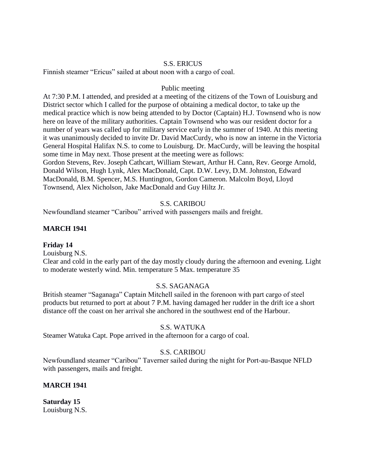#### S.S. ERICUS

Finnish steamer "Ericus" sailed at about noon with a cargo of coal.

#### Public meeting

At 7:30 P.M. I attended, and presided at a meeting of the citizens of the Town of Louisburg and District sector which I called for the purpose of obtaining a medical doctor, to take up the medical practice which is now being attended to by Doctor (Captain) H.J. Townsend who is now here on leave of the military authorities. Captain Townsend who was our resident doctor for a number of years was called up for military service early in the summer of 1940. At this meeting it was unanimously decided to invite Dr. David MacCurdy, who is now an interne in the Victoria General Hospital Halifax N.S. to come to Louisburg. Dr. MacCurdy, will be leaving the hospital some time in May next. Those present at the meeting were as follows: Gordon Stevens, Rev. Joseph Cathcart, William Stewart, Arthur H. Cann, Rev. George Arnold, Donald Wilson, Hugh Lynk, Alex MacDonald, Capt. D.W. Levy, D.M. Johnston, Edward MacDonald, B.M. Spencer, M.S. Huntington, Gordon Cameron. Malcolm Boyd, Lloyd Townsend, Alex Nicholson, Jake MacDonald and Guy Hiltz Jr.

## S.S. CARIBOU

Newfoundland steamer "Caribou" arrived with passengers mails and freight.

## **MARCH 1941**

## **Friday 14**

Louisburg N.S.

Clear and cold in the early part of the day mostly cloudy during the afternoon and evening. Light to moderate westerly wind. Min. temperature 5 Max. temperature 35

## S.S. SAGANAGA

British steamer "Saganaga" Captain Mitchell sailed in the forenoon with part cargo of steel products but returned to port at about 7 P.M. having damaged her rudder in the drift ice a short distance off the coast on her arrival she anchored in the southwest end of the Harbour.

## S.S. WATUKA

Steamer Watuka Capt. Pope arrived in the afternoon for a cargo of coal.

## S.S. CARIBOU

Newfoundland steamer "Caribou" Taverner sailed during the night for Port-au-Basque NFLD with passengers, mails and freight.

## **MARCH 1941**

**Saturday 15** Louisburg N.S.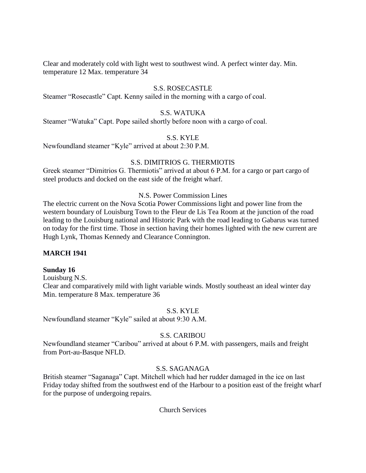Clear and moderately cold with light west to southwest wind. A perfect winter day. Min. temperature 12 Max. temperature 34

# S.S. ROSECASTLE

Steamer "Rosecastle" Capt. Kenny sailed in the morning with a cargo of coal.

## S.S. WATUKA

Steamer "Watuka" Capt. Pope sailed shortly before noon with a cargo of coal.

S.S. KYLE

Newfoundland steamer "Kyle" arrived at about 2:30 P.M.

#### S.S. DIMITRIOS G. THERMIOTIS

Greek steamer "Dimitrios G. Thermiotis" arrived at about 6 P.M. for a cargo or part cargo of steel products and docked on the east side of the freight wharf.

# N.S. Power Commission Lines

The electric current on the Nova Scotia Power Commissions light and power line from the western boundary of Louisburg Town to the Fleur de Lis Tea Room at the junction of the road leading to the Louisburg national and Historic Park with the road leading to Gabarus was turned on today for the first time. Those in section having their homes lighted with the new current are Hugh Lynk, Thomas Kennedy and Clearance Connington.

## **MARCH 1941**

#### **Sunday 16**

Louisburg N.S. Clear and comparatively mild with light variable winds. Mostly southeast an ideal winter day Min. temperature 8 Max. temperature 36

#### S.S. KYLE

Newfoundland steamer "Kyle" sailed at about 9:30 A.M.

#### S.S. CARIBOU

Newfoundland steamer "Caribou" arrived at about 6 P.M. with passengers, mails and freight from Port-au-Basque NFLD.

## S.S. SAGANAGA

British steamer "Saganaga" Capt. Mitchell which had her rudder damaged in the ice on last Friday today shifted from the southwest end of the Harbour to a position east of the freight wharf for the purpose of undergoing repairs.

#### Church Services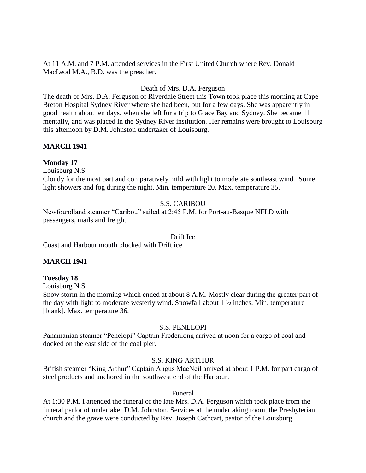At 11 A.M. and 7 P.M. attended services in the First United Church where Rev. Donald MacLeod M.A., B.D. was the preacher.

## Death of Mrs. D.A. Ferguson

The death of Mrs. D.A. Ferguson of Riverdale Street this Town took place this morning at Cape Breton Hospital Sydney River where she had been, but for a few days. She was apparently in good health about ten days, when she left for a trip to Glace Bay and Sydney. She became ill mentally, and was placed in the Sydney River institution. Her remains were brought to Louisburg this afternoon by D.M. Johnston undertaker of Louisburg.

## **MARCH 1941**

## **Monday 17**

Louisburg N.S.

Cloudy for the most part and comparatively mild with light to moderate southeast wind.. Some light showers and fog during the night. Min. temperature 20. Max. temperature 35.

# S.S. CARIBOU

Newfoundland steamer "Caribou" sailed at 2:45 P.M. for Port-au-Basque NFLD with passengers, mails and freight.

## Drift Ice

Coast and Harbour mouth blocked with Drift ice.

## **MARCH 1941**

## **Tuesday 18**

Louisburg N.S.

Snow storm in the morning which ended at about 8 A.M. Mostly clear during the greater part of the day with light to moderate westerly wind. Snowfall about 1 ½ inches. Min. temperature [blank]. Max. temperature 36.

## S.S. PENELOPI

Panamanian steamer "Penelopi" Captain Fredenlong arrived at noon for a cargo of coal and docked on the east side of the coal pier.

## S.S. KING ARTHUR

British steamer "King Arthur" Captain Angus MacNeil arrived at about 1 P.M. for part cargo of steel products and anchored in the southwest end of the Harbour.

## Funeral

At 1:30 P.M. I attended the funeral of the late Mrs. D.A. Ferguson which took place from the funeral parlor of undertaker D.M. Johnston. Services at the undertaking room, the Presbyterian church and the grave were conducted by Rev. Joseph Cathcart, pastor of the Louisburg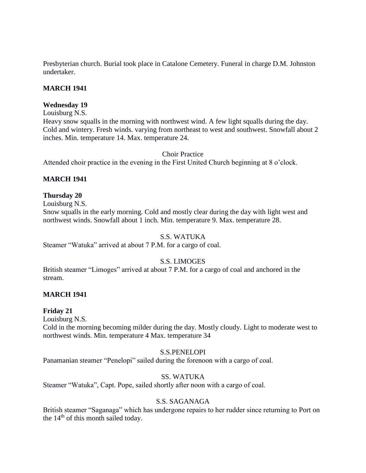Presbyterian church. Burial took place in Catalone Cemetery. Funeral in charge D.M. Johnston undertaker.

## **MARCH 1941**

## **Wednesday 19**

Louisburg N.S.

Heavy snow squalls in the morning with northwest wind. A few light squalls during the day. Cold and wintery. Fresh winds. varying from northeast to west and southwest. Snowfall about 2 inches. Min. temperature 14. Max. temperature 24.

Choir Practice

Attended choir practice in the evening in the First United Church beginning at 8 o'clock.

## **MARCH 1941**

# **Thursday 20**

Louisburg N.S.

Snow squalls in the early morning. Cold and mostly clear during the day with light west and northwest winds. Snowfall about 1 inch. Min. temperature 9. Max. temperature 28.

## S.S. WATUKA

Steamer "Watuka" arrived at about 7 P.M. for a cargo of coal.

# S.S. LIMOGES

British steamer "Limoges" arrived at about 7 P.M. for a cargo of coal and anchored in the stream.

# **MARCH 1941**

## **Friday 21**

Louisburg N.S.

Cold in the morning becoming milder during the day. Mostly cloudy. Light to moderate west to northwest winds. Min. temperature 4 Max. temperature 34

## S.S.PENELOPI

Panamanian steamer "Penelopi" sailed during the forenoon with a cargo of coal.

## SS. WATUKA

Steamer "Watuka", Capt. Pope, sailed shortly after noon with a cargo of coal.

## S.S. SAGANAGA

British steamer "Saganaga" which has undergone repairs to her rudder since returning to Port on the 14<sup>th</sup> of this month sailed today.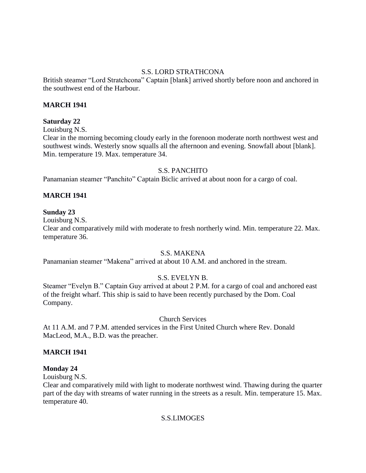# S.S. LORD STRATHCONA

British steamer "Lord Stratchcona" Captain [blank] arrived shortly before noon and anchored in the southwest end of the Harbour.

## **MARCH 1941**

## **Saturday 22**

Louisburg N.S.

Clear in the morning becoming cloudy early in the forenoon moderate north northwest west and southwest winds. Westerly snow squalls all the afternoon and evening. Snowfall about [blank]. Min. temperature 19. Max. temperature 34.

## S.S. PANCHITO

Panamanian steamer "Panchito" Captain Biclic arrived at about noon for a cargo of coal.

## **MARCH 1941**

## **Sunday 23**

Louisburg N.S.

Clear and comparatively mild with moderate to fresh northerly wind. Min. temperature 22. Max. temperature 36.

## S.S. MAKENA

Panamanian steamer "Makena" arrived at about 10 A.M. and anchored in the stream.

# S.S. EVELYN B.

Steamer "Evelyn B." Captain Guy arrived at about 2 P.M. for a cargo of coal and anchored east of the freight wharf. This ship is said to have been recently purchased by the Dom. Coal Company.

## Church Services

At 11 A.M. and 7 P.M. attended services in the First United Church where Rev. Donald MacLeod, M.A., B.D. was the preacher.

## **MARCH 1941**

## **Monday 24**

Louisburg N.S.

Clear and comparatively mild with light to moderate northwest wind. Thawing during the quarter part of the day with streams of water running in the streets as a result. Min. temperature 15. Max. temperature 40.

## S.S.LIMOGES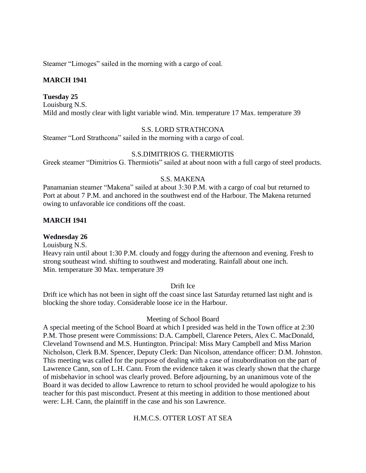Steamer "Limoges" sailed in the morning with a cargo of coal.

# **MARCH 1941**

## **Tuesday 25**

Louisburg N.S. Mild and mostly clear with light variable wind. Min. temperature 17 Max. temperature 39

## S.S. LORD STRATHCONA

Steamer "Lord Strathcona" sailed in the morning with a cargo of coal.

# S.S.DIMITRIOS G. THERMIOTIS

Greek steamer "Dimitrios G. Thermiotis" sailed at about noon with a full cargo of steel products.

## S.S. MAKENA

Panamanian steamer "Makena" sailed at about 3:30 P.M. with a cargo of coal but returned to Port at about 7 P.M. and anchored in the southwest end of the Harbour. The Makena returned owing to unfavorable ice conditions off the coast.

# **MARCH 1941**

**Wednesday 26** Louisburg N.S. Heavy rain until about 1:30 P.M. cloudy and foggy during the afternoon and evening. Fresh to strong southeast wind. shifting to southwest and moderating. Rainfall about one inch. Min. temperature 30 Max. temperature 39

# Drift Ice

Drift ice which has not been in sight off the coast since last Saturday returned last night and is blocking the shore today. Considerable loose ice in the Harbour.

## Meeting of School Board

A special meeting of the School Board at which I presided was held in the Town office at 2:30 P.M. Those present were Commissions: D.A. Campbell, Clarence Peters, Alex C. MacDonald, Cleveland Townsend and M.S. Huntington. Principal: Miss Mary Campbell and Miss Marion Nicholson, Clerk B.M. Spencer, Deputy Clerk: Dan Nicolson, attendance officer: D.M. Johnston. This meeting was called for the purpose of dealing with a case of insubordination on the part of Lawrence Cann, son of L.H. Cann. From the evidence taken it was clearly shown that the charge of misbehavior in school was clearly proved. Before adjourning, by an unanimous vote of the Board it was decided to allow Lawrence to return to school provided he would apologize to his teacher for this past misconduct. Present at this meeting in addition to those mentioned about were: L.H. Cann, the plaintiff in the case and his son Lawrence.

# H.M.C.S. OTTER LOST AT SEA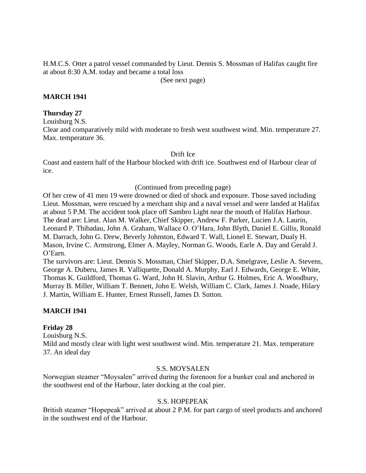H.M.C.S. Otter a patrol vessel commanded by Lieut. Dennis S. Mossman of Halifax caught fire at about 8:30 A.M. today and became a total loss

(See next page)

## **MARCH 1941**

#### **Thursday 27**

Louisburg N.S.

Clear and comparatively mild with moderate to fresh west southwest wind. Min. temperature 27. Max. temperature 36.

Drift Ice

Coast and eastern half of the Harbour blocked with drift ice. Southwest end of Harbour clear of ice.

(Continued from preceding page)

Of her crew of 41 men 19 were drowned or died of shock and exposure. Those saved including Lieut. Mossman, were rescued by a merchant ship and a naval vessel and were landed at Halifax at about 5 P.M. The accident took place off Sambro Light near the mouth of Halifax Harbour. The dead are: Lieut. Alan M. Walker, Chief Skipper, Andrew F. Parker, Lucien J.A. Laurin, Leonard P. Thibadau, John A. Graham, Wallace O. O'Hara, John Blyth, Daniel E. Gillis, Ronald M. Darrach, John G. Drew, Beverly Johnston, Edward T. Wall, Lionel E. Stewart, Dualy H. Mason, Irvine C. Armstrong, Elmer A. Mayley, Norman G. Woods, Earle A. Day and Gerald J. O'Earn.

The survivors are: Lieut. Dennis S. Mossman, Chief Skipper, D.A. Smelgrave, Leslie A. Stevens, George A. Duberu, James R. Valliquette, Donald A. Murphy, Earl J. Edwards, George E. White, Thomas K. Guildford, Thomas G. Ward, John H. Slavin, Arthur G. Holmes, Eric A. Woodbury, Murray B. Miller, William T. Bennett, John E. Welsh, William C. Clark, James J. Noade, Hilary J. Martin, William E. Hunter, Ernest Russell, James D. Sutton.

## **MARCH 1941**

#### **Friday 28**

Louisburg N.S.

Mild and mostly clear with light west southwest wind. Min. temperature 21. Max. temperature 37. An ideal day

#### S.S. MOYSALEN

Norwegian steamer "Moysalen" arrived during the forenoon for a bunker coal and anchored in the southwest end of the Harbour, later docking at the coal pier.

## S.S. HOPEPEAK

British steamer "Hopepeak" arrived at about 2 P.M. for part cargo of steel products and anchored in the southwest end of the Harbour.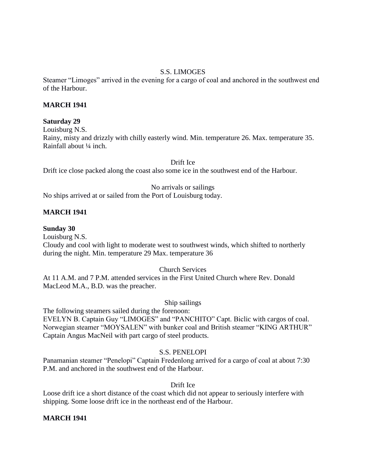# S.S. LIMOGES

Steamer "Limoges" arrived in the evening for a cargo of coal and anchored in the southwest end of the Harbour.

## **MARCH 1941**

## **Saturday 29**

Louisburg N.S.

Rainy, misty and drizzly with chilly easterly wind. Min. temperature 26. Max. temperature 35. Rainfall about ¼ inch.

Drift Ice

Drift ice close packed along the coast also some ice in the southwest end of the Harbour.

## No arrivals or sailings

No ships arrived at or sailed from the Port of Louisburg today.

# **MARCH 1941**

## **Sunday 30**

Louisburg N.S.

Cloudy and cool with light to moderate west to southwest winds, which shifted to northerly during the night. Min. temperature 29 Max. temperature 36

## Church Services

At 11 A.M. and 7 P.M. attended services in the First United Church where Rev. Donald MacLeod M.A., B.D. was the preacher.

## Ship sailings

The following steamers sailed during the forenoon: EVELYN B. Captain Guy "LIMOGES" and "PANCHITO" Capt. Biclic with cargos of coal. Norwegian steamer "MOYSALEN" with bunker coal and British steamer "KING ARTHUR" Captain Angus MacNeil with part cargo of steel products.

# S.S. PENELOPI

Panamanian steamer "Penelopi" Captain Fredenlong arrived for a cargo of coal at about 7:30 P.M. and anchored in the southwest end of the Harbour.

# Drift Ice

Loose drift ice a short distance of the coast which did not appear to seriously interfere with shipping. Some loose drift ice in the northeast end of the Harbour.

## **MARCH 1941**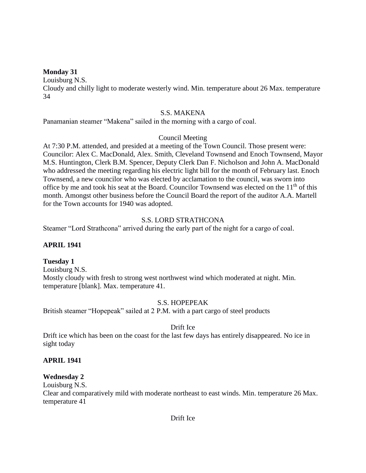#### **Monday 31**

Louisburg N.S.

Cloudy and chilly light to moderate westerly wind. Min. temperature about 26 Max. temperature 34

#### S.S. MAKENA

Panamanian steamer "Makena" sailed in the morning with a cargo of coal.

## Council Meeting

At 7:30 P.M. attended, and presided at a meeting of the Town Council. Those present were: Councilor: Alex C. MacDonald, Alex. Smith, Cleveland Townsend and Enoch Townsend, Mayor M.S. Huntington, Clerk B.M. Spencer, Deputy Clerk Dan F. Nicholson and John A. MacDonald who addressed the meeting regarding his electric light bill for the month of February last. Enoch Townsend, a new councilor who was elected by acclamation to the council, was sworn into office by me and took his seat at the Board. Councilor Townsend was elected on the  $11<sup>th</sup>$  of this month. Amongst other business before the Council Board the report of the auditor A.A. Martell for the Town accounts for 1940 was adopted.

## S.S. LORD STRATHCONA

Steamer "Lord Strathcona" arrived during the early part of the night for a cargo of coal.

## **APRIL 1941**

## **Tuesday 1**

Louisburg N.S. Mostly cloudy with fresh to strong west northwest wind which moderated at night. Min. temperature [blank]. Max. temperature 41.

# S.S. HOPEPEAK

British steamer "Hopepeak" sailed at 2 P.M. with a part cargo of steel products

## Drift Ice

Drift ice which has been on the coast for the last few days has entirely disappeared. No ice in sight today

## **APRIL 1941**

## **Wednesday 2**

Louisburg N.S.

Clear and comparatively mild with moderate northeast to east winds. Min. temperature 26 Max. temperature 41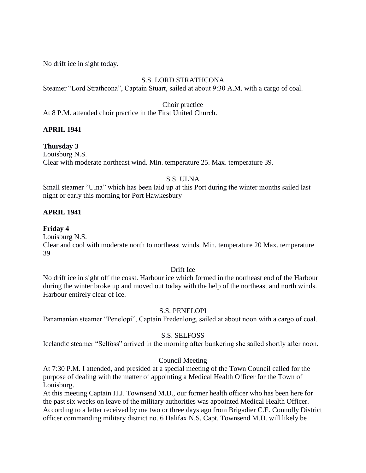No drift ice in sight today.

# S.S. LORD STRATHCONA

Steamer "Lord Strathcona", Captain Stuart, sailed at about 9:30 A.M. with a cargo of coal.

Choir practice

At 8 P.M. attended choir practice in the First United Church.

# **APRIL 1941**

# **Thursday 3**

Louisburg N.S. Clear with moderate northeast wind. Min. temperature 25. Max. temperature 39.

# S.S. ULNA

Small steamer "Ulna" which has been laid up at this Port during the winter months sailed last night or early this morning for Port Hawkesbury

# **APRIL 1941**

# **Friday 4**

Louisburg N.S.

Clear and cool with moderate north to northeast winds. Min. temperature 20 Max. temperature 39

## Drift Ice

No drift ice in sight off the coast. Harbour ice which formed in the northeast end of the Harbour during the winter broke up and moved out today with the help of the northeast and north winds. Harbour entirely clear of ice.

# S.S. PENELOPI

Panamanian steamer "Penelopi", Captain Fredenlong, sailed at about noon with a cargo of coal.

# S.S. SELFOSS

Icelandic steamer "Selfoss" arrived in the morning after bunkering she sailed shortly after noon.

# Council Meeting

At 7:30 P.M. I attended, and presided at a special meeting of the Town Council called for the purpose of dealing with the matter of appointing a Medical Health Officer for the Town of Louisburg.

At this meeting Captain H.J. Townsend M.D., our former health officer who has been here for the past six weeks on leave of the military authorities was appointed Medical Health Officer. According to a letter received by me two or three days ago from Brigadier C.E. Connolly District officer commanding military district no. 6 Halifax N.S. Capt. Townsend M.D. will likely be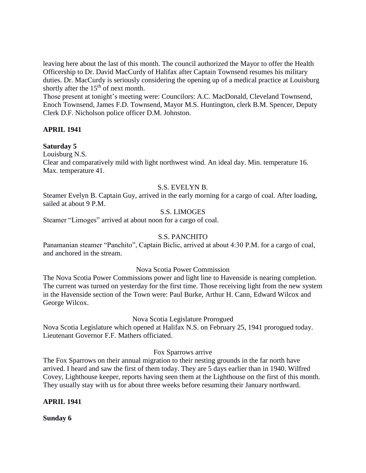leaving here about the last of this month. The council authorized the Mayor to offer the Health Officership to Dr. David MacCurdy of Halifax after Captain Townsend resumes his military duties. Dr. MacCurdy is seriously considering the opening up of a medical practice at Louisburg shortly after the 15<sup>th</sup> of next month.

Those present at tonight's meeting were: Councilors: A.C. MacDonald, Cleveland Townsend, Enoch Townsend, James F.D. Townsend, Mayor M.S. Huntington, clerk B.M. Spencer, Deputy Clerk D.F. Nicholson police officer D.M. Johnston.

## **APRIL 1941**

## **Saturday 5**

Louisburg N.S.

Clear and comparatively mild with light northwest wind. An ideal day. Min. temperature 16. Max. temperature 41.

## S.S. EVELYN B.

Steamer Evelyn B. Captain Guy, arrived in the early morning for a cargo of coal. After loading, sailed at about 9 P.M.

## S.S. LIMOGES

Steamer "Limoges" arrived at about noon for a cargo of coal.

#### S.S. PANCHITO

Panamanian steamer "Panchito", Captain Biclic, arrived at about 4:30 P.M. for a cargo of coal, and anchored in the stream.

#### Nova Scotia Power Commission

The Nova Scotia Power Commissions power and light line to Havenside is nearing completion. The current was turned on yesterday for the first time. Those receiving light from the new system in the Havenside section of the Town were: Paul Burke, Arthur H. Cann, Edward Wilcox and George Wilcox.

Nova Scotia Legislature Prorogued

Nova Scotia Legislature which opened at Halifax N.S. on February 25, 1941 prorogued today. Lieutenant Governor F.F. Mathers officiated.

#### Fox Sparrows arrive

The Fox Sparrows on their annual migration to their nesting grounds in the far north have arrived. I heard and saw the first of them today. They are 5 days earlier than in 1940. Wilfred Covey, Lighthouse keeper, reports having seen them at the Lighthouse on the first of this month. They usually stay with us for about three weeks before resuming their January northward.

#### **APRIL 1941**

**Sunday 6**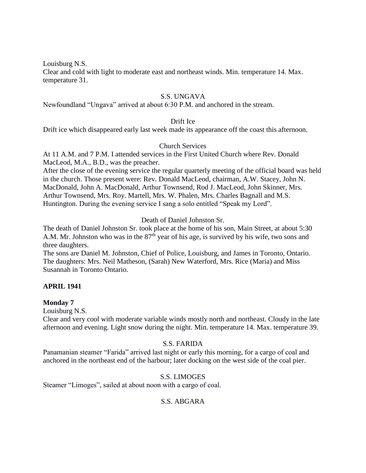Louisburg N.S.

Clear and cold with light to moderate east and northeast winds. Min. temperature 14. Max. temperature 31.

## S.S. UNGAVA

Newfoundland "Ungava" arrived at about 6:30 P.M. and anchored in the stream.

## Drift Ice

Drift ice which disappeared early last week made its appearance off the coast this afternoon.

#### Church Services

At 11 A.M. and 7 P.M. I attended services in the First United Church where Rev. Donald MacLeod, M.A., B.D., was the preacher.

After the close of the evening service the regular quarterly meeting of the official board was held in the church. Those present were: Rev. Donald MacLeod, chairman, A.W. Stacey, John N. MacDonald, John A. MacDonald, Arthur Townsend, Rod J. MacLeod, John Skinner, Mrs. Arthur Townsend, Mrs. Roy. Martell, Mrs. W. Phalen, Mrs. Charles Bagnall and M.S. Huntington. During the evening service I sang a solo entitled "Speak my Lord".

## Death of Daniel Johnston Sr.

The death of Daniel Johnston Sr. took place at the home of his son, Main Street, at about 5:30 A.M. Mr. Johnston who was in the  $87<sup>th</sup>$  year of his age, is survived by his wife, two sons and three daughters.

The sons are Daniel M. Johnston, Chief of Police, Louisburg, and James in Toronto, Ontario. The daughters: Mrs. Neil Matheson, (Sarah) New Waterford, Mrs. Rice (Maria) and Miss Susannah in Toronto Ontario.

## **APRIL 1941**

#### **Monday 7**

Louisburg N.S.

Clear and very cool with moderate variable winds mostly north and northeast. Cloudy in the late afternoon and evening. Light snow during the night. Min. temperature 14. Max. temperature 39.

#### S.S. FARIDA

Panamanian steamer "Farida" arrived last night or early this morning, for a cargo of coal and anchored in the northeast end of the harbour; later docking on the west side of the coal pier.

#### S.S. LIMOGES

Steamer "Limoges", sailed at about noon with a cargo of coal.

## S.S. ABGARA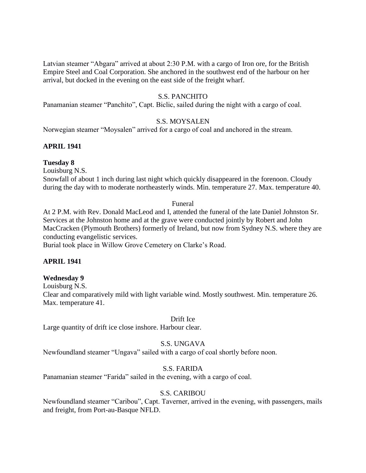Latvian steamer "Abgara" arrived at about 2:30 P.M. with a cargo of Iron ore, for the British Empire Steel and Coal Corporation. She anchored in the southwest end of the harbour on her arrival, but docked in the evening on the east side of the freight wharf.

## S.S. PANCHITO

Panamanian steamer "Panchito", Capt. Biclic, sailed during the night with a cargo of coal.

#### S.S. MOYSALEN

Norwegian steamer "Moysalen" arrived for a cargo of coal and anchored in the stream.

#### **APRIL 1941**

#### **Tuesday 8**

Louisburg N.S.

Snowfall of about 1 inch during last night which quickly disappeared in the forenoon. Cloudy during the day with to moderate northeasterly winds. Min. temperature 27. Max. temperature 40.

#### Funeral

At 2 P.M. with Rev. Donald MacLeod and I, attended the funeral of the late Daniel Johnston Sr. Services at the Johnston home and at the grave were conducted jointly by Robert and John MacCracken (Plymouth Brothers) formerly of Ireland, but now from Sydney N.S. where they are conducting evangelistic services.

Burial took place in Willow Grove Cemetery on Clarke's Road.

## **APRIL 1941**

#### **Wednesday 9**

Louisburg N.S.

Clear and comparatively mild with light variable wind. Mostly southwest. Min. temperature 26. Max. temperature 41.

#### Drift Ice

Large quantity of drift ice close inshore. Harbour clear.

#### S.S. UNGAVA

Newfoundland steamer "Ungava" sailed with a cargo of coal shortly before noon.

## S.S. FARIDA

Panamanian steamer "Farida" sailed in the evening, with a cargo of coal.

#### S.S. CARIBOU

Newfoundland steamer "Caribou", Capt. Taverner, arrived in the evening, with passengers, mails and freight, from Port-au-Basque NFLD.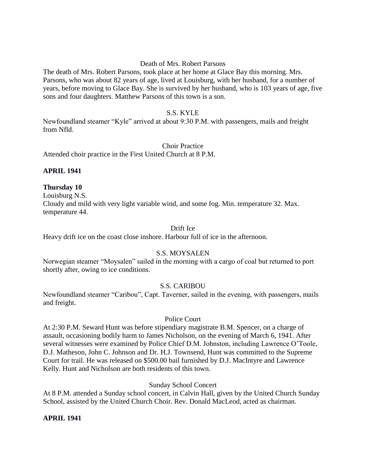## Death of Mrs. Robert Parsons

The death of Mrs. Robert Parsons, took place at her home at Glace Bay this morning. Mrs. Parsons, who was about 82 years of age, lived at Louisburg, with her husband, for a number of years, before moving to Glace Bay. She is survived by her husband, who is 103 years of age, five sons and four daughters. Matthew Parsons of this town is a son.

## S.S. KYLE

Newfoundland steamer "Kyle" arrived at about 9:30 P.M. with passengers, mails and freight from Nfld.

#### Choir Practice

Attended choir practice in the First United Church at 8 P.M.

## **APRIL 1941**

#### **Thursday 10**

Louisburg N.S. Cloudy and mild with very light variable wind, and some fog. Min. temperature 32. Max. temperature 44.

#### Drift Ice

Heavy drift ice on the coast close inshore. Harbour full of ice in the afternoon.

## S.S. MOYSALEN

Norwegian steamer "Moysalen" sailed in the morning with a cargo of coal but returned to port shortly after, owing to ice conditions.

#### S.S. CARIBOU

Newfoundland steamer "Caribou", Capt. Taverner, sailed in the evening, with passengers, mails and freight.

#### Police Court

At 2:30 P.M. Seward Hunt was before stipendiary magistrate B.M. Spencer, on a charge of assault, occasioning bodily harm to James Nicholson, on the evening of March 6, 1941. After several witnesses were examined by Police Chief D.M. Johnston, including Lawrence O'Toole, D.J. Matheson, John C. Johnson and Dr. H.J. Townsend, Hunt was committed to the Supreme Court for trail. He was released on \$500.00 bail furnished by D.J. MacIntyre and Lawrence Kelly. Hunt and Nicholson are both residents of this town.

## Sunday School Concert

At 8 P.M. attended a Sunday school concert, in Calvin Hall, given by the United Church Sunday School, assisted by the United Church Choir. Rev. Donald MacLeod, acted as chairman.

#### **APRIL 1941**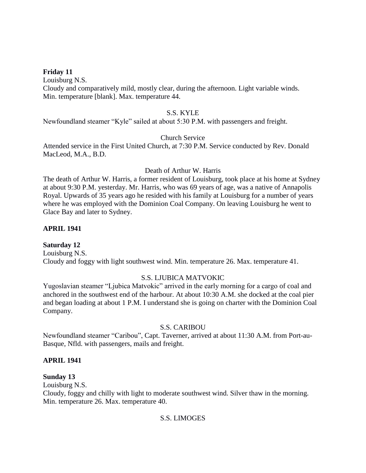## **Friday 11**

Louisburg N.S. Cloudy and comparatively mild, mostly clear, during the afternoon. Light variable winds. Min. temperature [blank]. Max. temperature 44.

#### S.S. KYLE

Newfoundland steamer "Kyle" sailed at about 5:30 P.M. with passengers and freight.

## Church Service

Attended service in the First United Church, at 7:30 P.M. Service conducted by Rev. Donald MacLeod, M.A., B.D.

#### Death of Arthur W. Harris

The death of Arthur W. Harris, a former resident of Louisburg, took place at his home at Sydney at about 9:30 P.M. yesterday. Mr. Harris, who was 69 years of age, was a native of Annapolis Royal. Upwards of 35 years ago he resided with his family at Louisburg for a number of years where he was employed with the Dominion Coal Company. On leaving Louisburg he went to Glace Bay and later to Sydney.

## **APRIL 1941**

## **Saturday 12**

Louisburg N.S. Cloudy and foggy with light southwest wind. Min. temperature 26. Max. temperature 41.

## S.S. LJUBICA MATVOKIC

Yugoslavian steamer "Ljubica Matvokic" arrived in the early morning for a cargo of coal and anchored in the southwest end of the harbour. At about 10:30 A.M. she docked at the coal pier and began loading at about 1 P.M. I understand she is going on charter with the Dominion Coal Company.

## S.S. CARIBOU

Newfoundland steamer "Caribou", Capt. Taverner, arrived at about 11:30 A.M. from Port-au-Basque, Nfld. with passengers, mails and freight.

## **APRIL 1941**

## **Sunday 13**

Louisburg N.S.

Cloudy, foggy and chilly with light to moderate southwest wind. Silver thaw in the morning. Min. temperature 26. Max. temperature 40.

## S.S. LIMOGES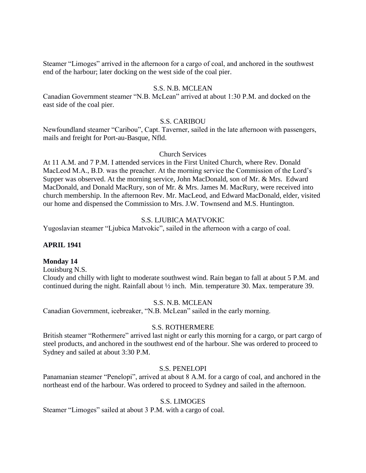Steamer "Limoges" arrived in the afternoon for a cargo of coal, and anchored in the southwest end of the harbour; later docking on the west side of the coal pier.

## S.S. N.B. MCLEAN

Canadian Government steamer "N.B. McLean" arrived at about 1:30 P.M. and docked on the east side of the coal pier.

#### S.S. CARIBOU

Newfoundland steamer "Caribou", Capt. Taverner, sailed in the late afternoon with passengers, mails and freight for Port-au-Basque, Nfld.

#### Church Services

At 11 A.M. and 7 P.M. I attended services in the First United Church, where Rev. Donald MacLeod M.A., B.D. was the preacher. At the morning service the Commission of the Lord's Supper was observed. At the morning service, John MacDonald, son of Mr. & Mrs. Edward MacDonald, and Donald MacRury, son of Mr. & Mrs. James M. MacRury, were received into church membership. In the afternoon Rev. Mr. MacLeod, and Edward MacDonald, elder, visited our home and dispensed the Commission to Mrs. J.W. Townsend and M.S. Huntington.

## S.S. LJUBICA MATVOKIC

Yugoslavian steamer "Ljubica Matvokic", sailed in the afternoon with a cargo of coal.

## **APRIL 1941**

#### **Monday 14**

Louisburg N.S.

Cloudy and chilly with light to moderate southwest wind. Rain began to fall at about 5 P.M. and continued during the night. Rainfall about ½ inch. Min. temperature 30. Max. temperature 39.

## S.S. N.B. MCLEAN

Canadian Government, icebreaker, "N.B. McLean" sailed in the early morning.

#### S.S. ROTHERMERE

British steamer "Rothermere" arrived last night or early this morning for a cargo, or part cargo of steel products, and anchored in the southwest end of the harbour. She was ordered to proceed to Sydney and sailed at about 3:30 P.M.

#### S.S. PENELOPI

Panamanian steamer "Penelopi", arrived at about 8 A.M. for a cargo of coal, and anchored in the northeast end of the harbour. Was ordered to proceed to Sydney and sailed in the afternoon.

#### S.S. LIMOGES

Steamer "Limoges" sailed at about 3 P.M. with a cargo of coal.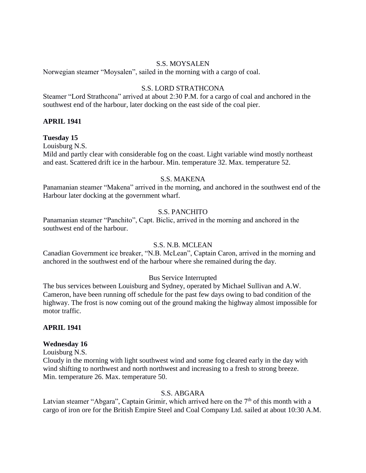#### S.S. MOYSALEN

Norwegian steamer "Moysalen", sailed in the morning with a cargo of coal.

#### S.S. LORD STRATHCONA

Steamer "Lord Strathcona" arrived at about 2:30 P.M. for a cargo of coal and anchored in the southwest end of the harbour, later docking on the east side of the coal pier.

#### **APRIL 1941**

## **Tuesday 15**

Louisburg N.S.

Mild and partly clear with considerable fog on the coast. Light variable wind mostly northeast and east. Scattered drift ice in the harbour. Min. temperature 32. Max. temperature 52.

#### S.S. MAKENA

Panamanian steamer "Makena" arrived in the morning, and anchored in the southwest end of the Harbour later docking at the government wharf.

#### S.S. PANCHITO

Panamanian steamer "Panchito", Capt. Biclic, arrived in the morning and anchored in the southwest end of the harbour.

#### S.S. N.B. MCLEAN

Canadian Government ice breaker, "N.B. McLean", Captain Caron, arrived in the morning and anchored in the southwest end of the harbour where she remained during the day.

## Bus Service Interrupted

The bus services between Louisburg and Sydney, operated by Michael Sullivan and A.W. Cameron, have been running off schedule for the past few days owing to bad condition of the highway. The frost is now coming out of the ground making the highway almost impossible for motor traffic.

## **APRIL 1941**

#### **Wednesday 16**

Louisburg N.S.

Cloudy in the morning with light southwest wind and some fog cleared early in the day with wind shifting to northwest and north northwest and increasing to a fresh to strong breeze. Min. temperature 26. Max. temperature 50.

#### S.S. ABGARA

Latvian steamer "Abgara", Captain Grimir, which arrived here on the  $7<sup>th</sup>$  of this month with a cargo of iron ore for the British Empire Steel and Coal Company Ltd. sailed at about 10:30 A.M.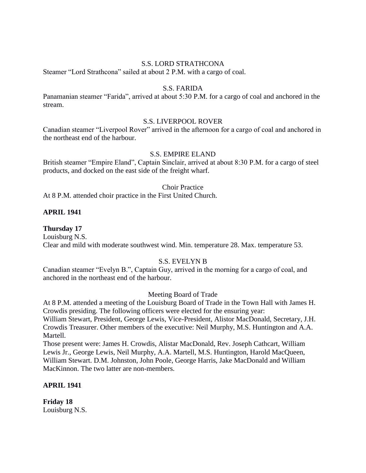#### S.S. LORD STRATHCONA

Steamer "Lord Strathcona" sailed at about 2 P.M. with a cargo of coal.

#### S.S. FARIDA

Panamanian steamer "Farida", arrived at about 5:30 P.M. for a cargo of coal and anchored in the stream.

#### S.S. LIVERPOOL ROVER

Canadian steamer "Liverpool Rover" arrived in the afternoon for a cargo of coal and anchored in the northeast end of the harbour.

## S.S. EMPIRE ELAND

British steamer "Empire Eland", Captain Sinclair, arrived at about 8:30 P.M. for a cargo of steel products, and docked on the east side of the freight wharf.

#### Choir Practice

At 8 P.M. attended choir practice in the First United Church.

#### **APRIL 1941**

#### **Thursday 17**

Louisburg N.S. Clear and mild with moderate southwest wind. Min. temperature 28. Max. temperature 53.

#### S.S. EVELYN B

Canadian steamer "Evelyn B.", Captain Guy, arrived in the morning for a cargo of coal, and anchored in the northeast end of the harbour.

#### Meeting Board of Trade

At 8 P.M. attended a meeting of the Louisburg Board of Trade in the Town Hall with James H. Crowdis presiding. The following officers were elected for the ensuring year:

William Stewart, President, George Lewis, Vice-President, Alistor MacDonald, Secretary, J.H. Crowdis Treasurer. Other members of the executive: Neil Murphy, M.S. Huntington and A.A. Martell.

Those present were: James H. Crowdis, Alistar MacDonald, Rev. Joseph Cathcart, William Lewis Jr., George Lewis, Neil Murphy, A.A. Martell, M.S. Huntington, Harold MacQueen, William Stewart. D.M. Johnston, John Poole, George Harris, Jake MacDonald and William MacKinnon. The two latter are non-members.

#### **APRIL 1941**

**Friday 18** Louisburg N.S.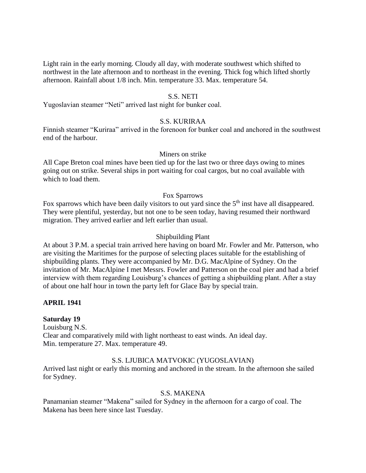Light rain in the early morning. Cloudy all day, with moderate southwest which shifted to northwest in the late afternoon and to northeast in the evening. Thick fog which lifted shortly afternoon. Rainfall about 1/8 inch. Min. temperature 33. Max. temperature 54.

#### S.S. NETI

Yugoslavian steamer "Neti" arrived last night for bunker coal.

#### S.S. KURIRAA

Finnish steamer "Kuriraa" arrived in the forenoon for bunker coal and anchored in the southwest end of the harbour.

## Miners on strike

All Cape Breton coal mines have been tied up for the last two or three days owing to mines going out on strike. Several ships in port waiting for coal cargos, but no coal available with which to load them.

#### Fox Sparrows

Fox sparrows which have been daily visitors to out yard since the 5<sup>th</sup> inst have all disappeared. They were plentiful, yesterday, but not one to be seen today, having resumed their northward migration. They arrived earlier and left earlier than usual.

#### Shipbuilding Plant

At about 3 P.M. a special train arrived here having on board Mr. Fowler and Mr. Patterson, who are visiting the Maritimes for the purpose of selecting places suitable for the establishing of shipbuilding plants. They were accompanied by Mr. D.G. MacAlpine of Sydney. On the invitation of Mr. MacAlpine I met Messrs. Fowler and Patterson on the coal pier and had a brief interview with them regarding Louisburg's chances of getting a shipbuilding plant. After a stay of about one half hour in town the party left for Glace Bay by special train.

#### **APRIL 1941**

#### **Saturday 19**

Louisburg N.S. Clear and comparatively mild with light northeast to east winds. An ideal day. Min. temperature 27. Max. temperature 49.

## S.S. LJUBICA MATVOKIC (YUGOSLAVIAN)

Arrived last night or early this morning and anchored in the stream. In the afternoon she sailed for Sydney.

#### S.S. MAKENA

Panamanian steamer "Makena" sailed for Sydney in the afternoon for a cargo of coal. The Makena has been here since last Tuesday.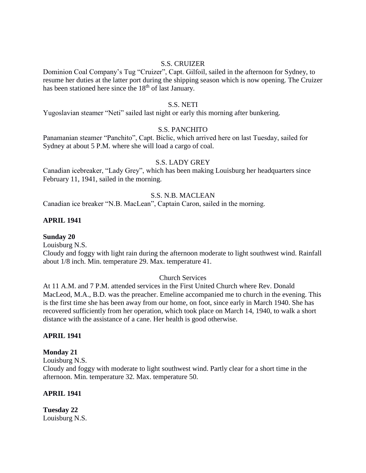## S.S. CRUIZER

Dominion Coal Company's Tug "Cruizer", Capt. Gilfoil, sailed in the afternoon for Sydney, to resume her duties at the latter port during the shipping season which is now opening. The Cruizer has been stationed here since the 18<sup>th</sup> of last January.

#### S.S. NETI

Yugoslavian steamer "Neti" sailed last night or early this morning after bunkering.

#### S.S. PANCHITO

Panamanian steamer "Panchito", Capt. Biclic, which arrived here on last Tuesday, sailed for Sydney at about 5 P.M. where she will load a cargo of coal.

#### S.S. LADY GREY

Canadian icebreaker, "Lady Grey", which has been making Louisburg her headquarters since February 11, 1941, sailed in the morning.

# S.S. N.B. MACLEAN

Canadian ice breaker "N.B. MacLean", Captain Caron, sailed in the morning.

## **APRIL 1941**

**Sunday 20**

Louisburg N.S.

Cloudy and foggy with light rain during the afternoon moderate to light southwest wind. Rainfall about 1/8 inch. Min. temperature 29. Max. temperature 41.

#### Church Services

At 11 A.M. and 7 P.M. attended services in the First United Church where Rev. Donald MacLeod, M.A., B.D. was the preacher. Emeline accompanied me to church in the evening. This is the first time she has been away from our home, on foot, since early in March 1940. She has recovered sufficiently from her operation, which took place on March 14, 1940, to walk a short distance with the assistance of a cane. Her health is good otherwise.

#### **APRIL 1941**

**Monday 21**

Louisburg N.S.

Cloudy and foggy with moderate to light southwest wind. Partly clear for a short time in the afternoon. Min. temperature 32. Max. temperature 50.

#### **APRIL 1941**

**Tuesday 22** Louisburg N.S.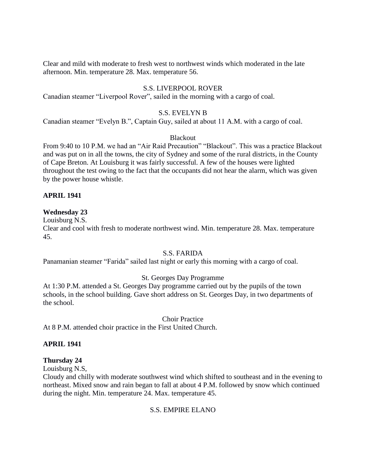Clear and mild with moderate to fresh west to northwest winds which moderated in the late afternoon. Min. temperature 28. Max. temperature 56.

# S.S. LIVERPOOL ROVER

Canadian steamer "Liverpool Rover", sailed in the morning with a cargo of coal.

#### S.S. EVELYN B

Canadian steamer "Evelyn B.", Captain Guy, sailed at about 11 A.M. with a cargo of coal.

#### Blackout

From 9:40 to 10 P.M. we had an "Air Raid Precaution" "Blackout". This was a practice Blackout and was put on in all the towns, the city of Sydney and some of the rural districts, in the County of Cape Breton. At Louisburg it was fairly successful. A few of the houses were lighted throughout the test owing to the fact that the occupants did not hear the alarm, which was given by the power house whistle.

## **APRIL 1941**

#### **Wednesday 23**

Louisburg N.S.

Clear and cool with fresh to moderate northwest wind. Min. temperature 28. Max. temperature 45.

#### S.S. FARIDA

Panamanian steamer "Farida" sailed last night or early this morning with a cargo of coal.

## St. Georges Day Programme

At 1:30 P.M. attended a St. Georges Day programme carried out by the pupils of the town schools, in the school building. Gave short address on St. Georges Day, in two departments of the school.

Choir Practice

At 8 P.M. attended choir practice in the First United Church.

#### **APRIL 1941**

#### **Thursday 24**

Louisburg N.S,

Cloudy and chilly with moderate southwest wind which shifted to southeast and in the evening to northeast. Mixed snow and rain began to fall at about 4 P.M. followed by snow which continued during the night. Min. temperature 24. Max. temperature 45.

## S.S. EMPIRE ELANO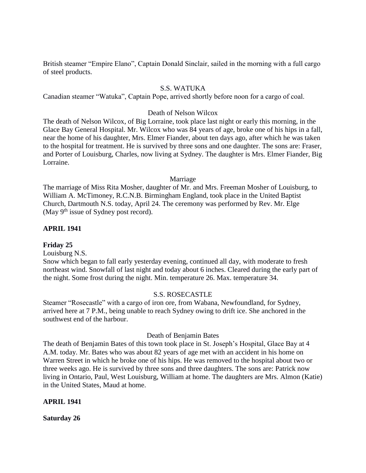British steamer "Empire Elano", Captain Donald Sinclair, sailed in the morning with a full cargo of steel products.

#### S.S. WATUKA

Canadian steamer "Watuka", Captain Pope, arrived shortly before noon for a cargo of coal.

#### Death of Nelson Wilcox

The death of Nelson Wilcox, of Big Lorraine, took place last night or early this morning, in the Glace Bay General Hospital. Mr. Wilcox who was 84 years of age, broke one of his hips in a fall, near the home of his daughter, Mrs. Elmer Fiander, about ten days ago, after which he was taken to the hospital for treatment. He is survived by three sons and one daughter. The sons are: Fraser, and Porter of Louisburg, Charles, now living at Sydney. The daughter is Mrs. Elmer Fiander, Big Lorraine.

#### Marriage

The marriage of Miss Rita Mosher, daughter of Mr. and Mrs. Freeman Mosher of Louisburg, to William A. McTimoney, R.C.N.B. Birmingham England, took place in the United Baptist Church, Dartmouth N.S. today, April 24. The ceremony was performed by Rev. Mr. Elge (May  $9<sup>th</sup>$  issue of Sydney post record).

#### **APRIL 1941**

#### **Friday 25**

Louisburg N.S.

Snow which began to fall early yesterday evening, continued all day, with moderate to fresh northeast wind. Snowfall of last night and today about 6 inches. Cleared during the early part of the night. Some frost during the night. Min. temperature 26. Max. temperature 34.

#### S.S. ROSECASTLE

Steamer "Rosecastle" with a cargo of iron ore, from Wabana, Newfoundland, for Sydney, arrived here at 7 P.M., being unable to reach Sydney owing to drift ice. She anchored in the southwest end of the harbour.

#### Death of Benjamin Bates

The death of Benjamin Bates of this town took place in St. Joseph's Hospital, Glace Bay at 4 A.M. today. Mr. Bates who was about 82 years of age met with an accident in his home on Warren Street in which he broke one of his hips. He was removed to the hospital about two or three weeks ago. He is survived by three sons and three daughters. The sons are: Patrick now living in Ontario, Paul, West Louisburg, William at home. The daughters are Mrs. Almon (Katie) in the United States, Maud at home.

#### **APRIL 1941**

**Saturday 26**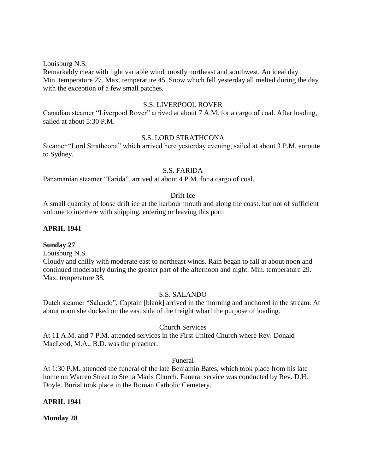Louisburg N.S.

Remarkably clear with light variable wind, mostly northeast and southwest. An ideal day. Min. temperature 27. Max. temperature 45. Snow which fell yesterday all melted during the day with the exception of a few small patches.

#### S.S. LIVERPOOL ROVER

Canadian steamer "Liverpool Rover" arrived at about 7 A.M. for a cargo of coal. After loading, sailed at about 5:30 P.M.

## S.S. LORD STRATHCONA

Steamer "Lord Strathcona" which arrived here yesterday evening, sailed at about 3 P.M. enroute to Sydney.

#### S.S. FARIDA

Panamanian steamer "Farida", arrived at about 4 P.M. for a cargo of coal.

#### Drift Ice

A small quantity of loose drift ice at the harbour mouth and along the coast, but not of sufficient volume to interfere with shipping, entering or leaving this port.

## **APRIL 1941**

## **Sunday 27**

Louisburg N.S.

Cloudy and chilly with moderate east to northeast winds. Rain began to fall at about noon and continued moderately during the greater part of the afternoon and night. Min. temperature 29. Max. temperature 38.

## S.S. SALANDO

Dutch steamer "Salando", Captain [blank] arrived in the morning and anchored in the stream. At about noon she docked on the east side of the freight wharf the purpose of loading.

## Church Services

At 11 A.M. and 7 P.M. attended services in the First United Church where Rev. Donald MacLeod, M.A., B.D. was the preacher.

#### Funeral

At 1:30 P.M. attended the funeral of the late Benjamin Bates, which took place from his late home on Warren Street to Stella Maris Church. Funeral service was conducted by Rev. D.H. Doyle. Burial took place in the Roman Catholic Cemetery.

## **APRIL 1941**

**Monday 28**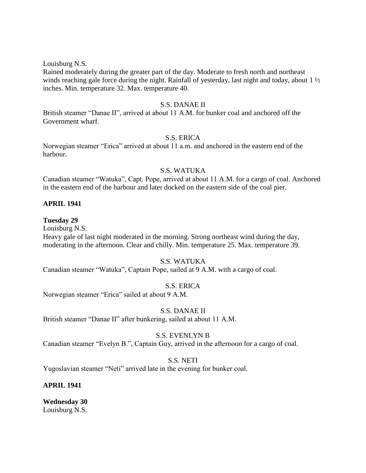Louisburg N.S.

Rained moderately during the greater part of the day. Moderate to fresh north and northeast winds reaching gale force during the night. Rainfall of yesterday, last night and today, about 1 ½ inches. Min. temperature 32. Max. temperature 40.

#### S.S. DANAE II

British steamer "Danae II", arrived at about 11 A.M. for bunker coal and anchored off the Government wharf.

#### S.S. ERICA

Norwegian steamer "Erica" arrived at about 11 a.m. and anchored in the eastern end of the harbour.

#### S.S. WATUKA

Canadian steamer "Watuka", Capt. Pope, arrived at about 11 A.M. for a cargo of coal. Anchored in the eastern end of the harbour and later docked on the eastern side of the coal pier.

## **APRIL 1941**

#### **Tuesday 29**

Louisburg N.S.

Heavy gale of last night moderated in the morning. Strong northeast wind during the day, moderating in the afternoon. Clear and chilly. Min. temperature 25. Max. temperature 39.

#### S.S. WATUKA

Canadian steamer "Watuka", Captain Pope, sailed at 9 A.M. with a cargo of coal.

## S.S. ERICA

Norwegian steamer "Erica" sailed at about 9 A.M.

#### S.S. DANAE II

British steamer "Danae II" after bunkering, sailed at about 11 A.M.

## S.S. EVENLYN B

Canadian steamer "Evelyn B.", Captain Guy, arrived in the afternoon for a cargo of coal.

#### S.S. NETI

Yugoslavian steamer "Neti" arrived late in the evening for bunker coal.

## **APRIL 1941**

**Wednesday 30** Louisburg N.S.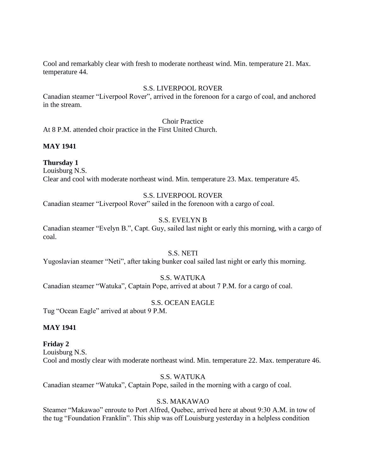Cool and remarkably clear with fresh to moderate northeast wind. Min. temperature 21. Max. temperature 44.

## S.S. LIVERPOOL ROVER

Canadian steamer "Liverpool Rover", arrived in the forenoon for a cargo of coal, and anchored in the stream.

## Choir Practice

At 8 P.M. attended choir practice in the First United Church.

## **MAY 1941**

## **Thursday 1**

Louisburg N.S. Clear and cool with moderate northeast wind. Min. temperature 23. Max. temperature 45.

## S.S. LIVERPOOL ROVER

Canadian steamer "Liverpool Rover" sailed in the forenoon with a cargo of coal.

# S.S. EVELYN B

Canadian steamer "Evelyn B.", Capt. Guy, sailed last night or early this morning, with a cargo of coal.

## S.S. NETI

Yugoslavian steamer "Neti", after taking bunker coal sailed last night or early this morning.

## S.S. WATUKA

Canadian steamer "Watuka", Captain Pope, arrived at about 7 P.M. for a cargo of coal.

## S.S. OCEAN EAGLE

Tug "Ocean Eagle" arrived at about 9 P.M.

## **MAY 1941**

#### **Friday 2**

Louisburg N.S. Cool and mostly clear with moderate northeast wind. Min. temperature 22. Max. temperature 46.

#### S.S. WATUKA

Canadian steamer "Watuka", Captain Pope, sailed in the morning with a cargo of coal.

## S.S. MAKAWAO

Steamer "Makawao" enroute to Port Alfred, Quebec, arrived here at about 9:30 A.M. in tow of the tug "Foundation Franklin". This ship was off Louisburg yesterday in a helpless condition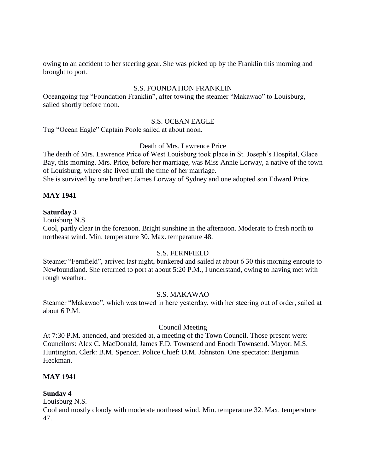owing to an accident to her steering gear. She was picked up by the Franklin this morning and brought to port.

## S.S. FOUNDATION FRANKLIN

Oceangoing tug "Foundation Franklin", after towing the steamer "Makawao" to Louisburg, sailed shortly before noon.

## S.S. OCEAN EAGLE

Tug "Ocean Eagle" Captain Poole sailed at about noon.

#### Death of Mrs. Lawrence Price

The death of Mrs. Lawrence Price of West Louisburg took place in St. Joseph's Hospital, Glace Bay, this morning. Mrs. Price, before her marriage, was Miss Annie Lorway, a native of the town of Louisburg, where she lived until the time of her marriage.

She is survived by one brother: James Lorway of Sydney and one adopted son Edward Price.

## **MAY 1941**

## **Saturday 3**

Louisburg N.S.

Cool, partly clear in the forenoon. Bright sunshine in the afternoon. Moderate to fresh north to northeast wind. Min. temperature 30. Max. temperature 48.

## S.S. FERNFIELD

Steamer "Fernfield", arrived last night, bunkered and sailed at about 6 30 this morning enroute to Newfoundland. She returned to port at about 5:20 P.M., I understand, owing to having met with rough weather.

## S.S. MAKAWAO

Steamer "Makawao", which was towed in here yesterday, with her steering out of order, sailed at about 6 P.M.

## Council Meeting

At 7:30 P.M. attended, and presided at, a meeting of the Town Council. Those present were: Councilors: Alex C. MacDonald, James F.D. Townsend and Enoch Townsend. Mayor: M.S. Huntington. Clerk: B.M. Spencer. Police Chief: D.M. Johnston. One spectator: Benjamin Heckman.

#### **MAY 1941**

## **Sunday 4**

Louisburg N.S.

Cool and mostly cloudy with moderate northeast wind. Min. temperature 32. Max. temperature 47.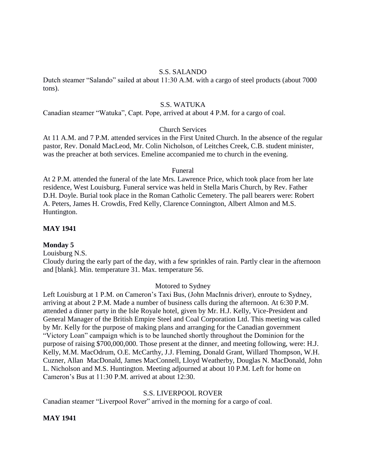#### S.S. SALANDO

Dutch steamer "Salando" sailed at about 11:30 A.M. with a cargo of steel products (about 7000 tons).

#### S.S. WATUKA

Canadian steamer "Watuka", Capt. Pope, arrived at about 4 P.M. for a cargo of coal.

#### Church Services

At 11 A.M. and 7 P.M. attended services in the First United Church. In the absence of the regular pastor, Rev. Donald MacLeod, Mr. Colin Nicholson, of Leitches Creek, C.B. student minister, was the preacher at both services. Emeline accompanied me to church in the evening.

#### Funeral

At 2 P.M. attended the funeral of the late Mrs. Lawrence Price, which took place from her late residence, West Louisburg. Funeral service was held in Stella Maris Church, by Rev. Father D.H. Doyle. Burial took place in the Roman Catholic Cemetery. The pall bearers were: Robert A. Peters, James H. Crowdis, Fred Kelly, Clarence Connington, Albert Almon and M.S. Huntington.

#### **MAY 1941**

#### **Monday 5**

Louisburg N.S.

Cloudy during the early part of the day, with a few sprinkles of rain. Partly clear in the afternoon and [blank]. Min. temperature 31. Max. temperature 56.

#### Motored to Sydney

Left Louisburg at 1 P.M. on Cameron's Taxi Bus, (John MacInnis driver), enroute to Sydney, arriving at about 2 P.M. Made a number of business calls during the afternoon. At 6:30 P.M. attended a dinner party in the Isle Royale hotel, given by Mr. H.J. Kelly, Vice-President and General Manager of the British Empire Steel and Coal Corporation Ltd. This meeting was called by Mr. Kelly for the purpose of making plans and arranging for the Canadian government "Victory Loan" campaign which is to be launched shortly throughout the Dominion for the purpose of raising \$700,000,000. Those present at the dinner, and meeting following, were: H.J. Kelly, M.M. MacOdrum, O.E. McCarthy, J.J. Fleming, Donald Grant, Willard Thompson, W.H. Cuzner, Allan MacDonald, James MacConnell, Lloyd Weatherby, Douglas N. MacDonald, John L. Nicholson and M.S. Huntington. Meeting adjourned at about 10 P.M. Left for home on Cameron's Bus at 11:30 P.M. arrived at about 12:30.

#### S.S. LIVERPOOL ROVER

Canadian steamer "Liverpool Rover" arrived in the morning for a cargo of coal.

#### **MAY 1941**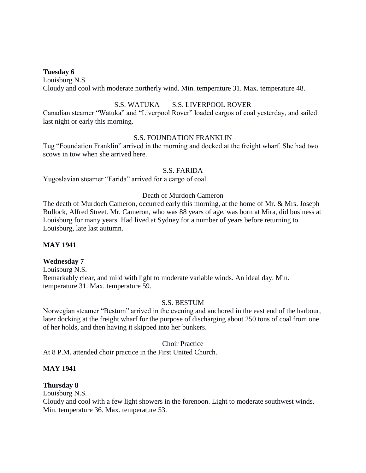#### **Tuesday 6**

Louisburg N.S. Cloudy and cool with moderate northerly wind. Min. temperature 31. Max. temperature 48.

## S.S. WATUKA S.S. LIVERPOOL ROVER

Canadian steamer "Watuka" and "Liverpool Rover" loaded cargos of coal yesterday, and sailed last night or early this morning.

## S.S. FOUNDATION FRANKLIN

Tug "Foundation Franklin" arrived in the morning and docked at the freight wharf. She had two scows in tow when she arrived here.

#### S.S. FARIDA

Yugoslavian steamer "Farida" arrived for a cargo of coal.

#### Death of Murdoch Cameron

The death of Murdoch Cameron, occurred early this morning, at the home of Mr. & Mrs. Joseph Bullock, Alfred Street. Mr. Cameron, who was 88 years of age, was born at Mira, did business at Louisburg for many years. Had lived at Sydney for a number of years before returning to Louisburg, late last autumn.

## **MAY 1941**

## **Wednesday 7**

Louisburg N.S. Remarkably clear, and mild with light to moderate variable winds. An ideal day. Min. temperature 31. Max. temperature 59.

## S.S. BESTUM

Norwegian steamer "Bestum" arrived in the evening and anchored in the east end of the harbour, later docking at the freight wharf for the purpose of discharging about 250 tons of coal from one of her holds, and then having it skipped into her bunkers.

#### Choir Practice

At 8 P.M. attended choir practice in the First United Church.

## **MAY 1941**

## **Thursday 8**

Louisburg N.S.

Cloudy and cool with a few light showers in the forenoon. Light to moderate southwest winds. Min. temperature 36. Max. temperature 53.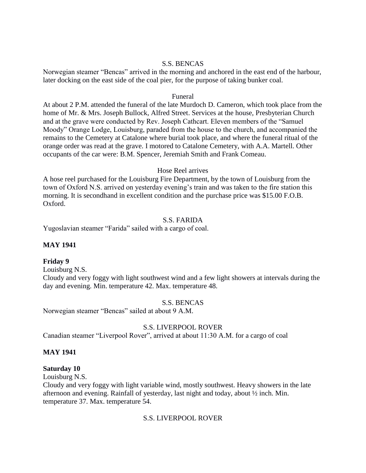#### S.S. BENCAS

Norwegian steamer "Bencas" arrived in the morning and anchored in the east end of the harbour, later docking on the east side of the coal pier, for the purpose of taking bunker coal.

#### Funeral

At about 2 P.M. attended the funeral of the late Murdoch D. Cameron, which took place from the home of Mr. & Mrs. Joseph Bullock, Alfred Street. Services at the house, Presbyterian Church and at the grave were conducted by Rev. Joseph Cathcart. Eleven members of the "Samuel Moody" Orange Lodge, Louisburg, paraded from the house to the church, and accompanied the remains to the Cemetery at Catalone where burial took place, and where the funeral ritual of the orange order was read at the grave. I motored to Catalone Cemetery, with A.A. Martell. Other occupants of the car were: B.M. Spencer, Jeremiah Smith and Frank Comeau.

#### Hose Reel arrives

A hose reel purchased for the Louisburg Fire Department, by the town of Louisburg from the town of Oxford N.S. arrived on yesterday evening's train and was taken to the fire station this morning. It is secondhand in excellent condition and the purchase price was \$15.00 F.O.B. Oxford.

## S.S. FARIDA

Yugoslavian steamer "Farida" sailed with a cargo of coal.

## **MAY 1941**

#### **Friday 9**

Louisburg N.S.

Cloudy and very foggy with light southwest wind and a few light showers at intervals during the day and evening. Min. temperature 42. Max. temperature 48.

#### S.S. BENCAS

Norwegian steamer "Bencas" sailed at about 9 A.M.

#### S.S. LIVERPOOL ROVER

Canadian steamer "Liverpool Rover", arrived at about 11:30 A.M. for a cargo of coal

#### **MAY 1941**

#### **Saturday 10**

Louisburg N.S.

Cloudy and very foggy with light variable wind, mostly southwest. Heavy showers in the late afternoon and evening. Rainfall of yesterday, last night and today, about ½ inch. Min. temperature 37. Max. temperature 54.

## S.S. LIVERPOOL ROVER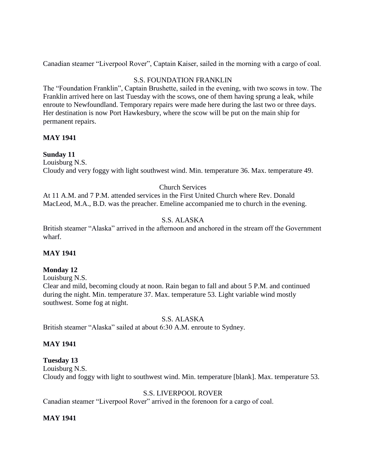Canadian steamer "Liverpool Rover", Captain Kaiser, sailed in the morning with a cargo of coal.

# S.S. FOUNDATION FRANKLIN

The "Foundation Franklin", Captain Brushette, sailed in the evening, with two scows in tow. The Franklin arrived here on last Tuesday with the scows, one of them having sprung a leak, while enroute to Newfoundland. Temporary repairs were made here during the last two or three days. Her destination is now Port Hawkesbury, where the scow will be put on the main ship for permanent repairs.

## **MAY 1941**

# **Sunday 11**

Louisburg N.S. Cloudy and very foggy with light southwest wind. Min. temperature 36. Max. temperature 49.

# Church Services

At 11 A.M. and 7 P.M. attended services in the First United Church where Rev. Donald MacLeod, M.A., B.D. was the preacher. Emeline accompanied me to church in the evening.

# S.S. ALASKA

British steamer "Alaska" arrived in the afternoon and anchored in the stream off the Government wharf.

# **MAY 1941**

# **Monday 12**

## Louisburg N.S.

Clear and mild, becoming cloudy at noon. Rain began to fall and about 5 P.M. and continued during the night. Min. temperature 37. Max. temperature 53. Light variable wind mostly southwest. Some fog at night.

# S.S. ALASKA

British steamer "Alaska" sailed at about 6:30 A.M. enroute to Sydney.

# **MAY 1941**

# **Tuesday 13**

Louisburg N.S.

Cloudy and foggy with light to southwest wind. Min. temperature [blank]. Max. temperature 53.

# S.S. LIVERPOOL ROVER

Canadian steamer "Liverpool Rover" arrived in the forenoon for a cargo of coal.

# **MAY 1941**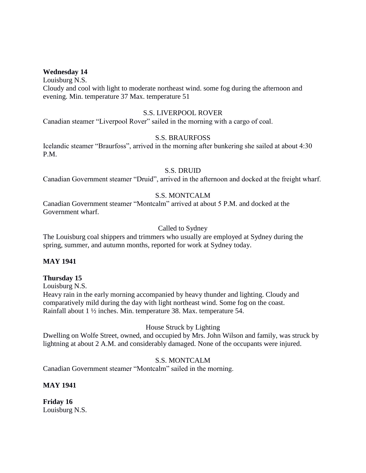#### **Wednesday 14**

Louisburg N.S. Cloudy and cool with light to moderate northeast wind. some fog during the afternoon and evening. Min. temperature 37 Max. temperature 51

#### S.S. LIVERPOOL ROVER

Canadian steamer "Liverpool Rover" sailed in the morning with a cargo of coal.

## S.S. BRAURFOSS

Icelandic steamer "Braurfoss", arrived in the morning after bunkering she sailed at about 4:30 P.M.

#### S.S. DRUID

Canadian Government steamer "Druid", arrived in the afternoon and docked at the freight wharf.

## S.S. MONTCALM

Canadian Government steamer "Montcalm" arrived at about 5 P.M. and docked at the Government wharf.

## Called to Sydney

The Louisburg coal shippers and trimmers who usually are employed at Sydney during the spring, summer, and autumn months, reported for work at Sydney today.

## **MAY 1941**

## **Thursday 15**

Louisburg N.S.

Heavy rain in the early morning accompanied by heavy thunder and lighting. Cloudy and comparatively mild during the day with light northeast wind. Some fog on the coast. Rainfall about 1 ½ inches. Min. temperature 38. Max. temperature 54.

## House Struck by Lighting

Dwelling on Wolfe Street, owned, and occupied by Mrs. John Wilson and family, was struck by lightning at about 2 A.M. and considerably damaged. None of the occupants were injured.

#### S.S. MONTCALM

Canadian Government steamer "Montcalm" sailed in the morning.

## **MAY 1941**

**Friday 16** Louisburg N.S.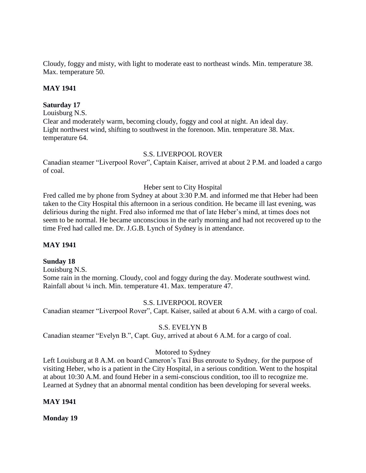Cloudy, foggy and misty, with light to moderate east to northeast winds. Min. temperature 38. Max. temperature 50.

# **MAY 1941**

## **Saturday 17**

Louisburg N.S.

Clear and moderately warm, becoming cloudy, foggy and cool at night. An ideal day. Light northwest wind, shifting to southwest in the forenoon. Min. temperature 38. Max. temperature 64.

# S.S. LIVERPOOL ROVER

Canadian steamer "Liverpool Rover", Captain Kaiser, arrived at about 2 P.M. and loaded a cargo of coal.

# Heber sent to City Hospital

Fred called me by phone from Sydney at about 3:30 P.M. and informed me that Heber had been taken to the City Hospital this afternoon in a serious condition. He became ill last evening, was delirious during the night. Fred also informed me that of late Heber's mind, at times does not seem to be normal. He became unconscious in the early morning and had not recovered up to the time Fred had called me. Dr. J.G.B. Lynch of Sydney is in attendance.

### **MAY 1941**

### **Sunday 18**

Louisburg N.S. Some rain in the morning. Cloudy, cool and foggy during the day. Moderate southwest wind. Rainfall about ¼ inch. Min. temperature 41. Max. temperature 47.

# S.S. LIVERPOOL ROVER

Canadian steamer "Liverpool Rover", Capt. Kaiser, sailed at about 6 A.M. with a cargo of coal.

### S.S. EVELYN B

Canadian steamer "Evelyn B.", Capt. Guy, arrived at about 6 A.M. for a cargo of coal.

# Motored to Sydney

Left Louisburg at 8 A.M. on board Cameron's Taxi Bus enroute to Sydney, for the purpose of visiting Heber, who is a patient in the City Hospital, in a serious condition. Went to the hospital at about 10:30 A.M. and found Heber in a semi-conscious condition, too ill to recognize me. Learned at Sydney that an abnormal mental condition has been developing for several weeks.

### **MAY 1941**

**Monday 19**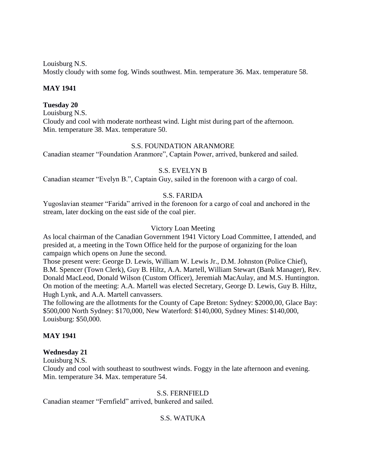Louisburg N.S.

Mostly cloudy with some fog. Winds southwest. Min. temperature 36. Max. temperature 58.

# **MAY 1941**

# **Tuesday 20**

Louisburg N.S. Cloudy and cool with moderate northeast wind. Light mist during part of the afternoon. Min. temperature 38. Max. temperature 50.

### S.S. FOUNDATION ARANMORE

Canadian steamer "Foundation Aranmore", Captain Power, arrived, bunkered and sailed.

# S.S. EVELYN B

Canadian steamer "Evelyn B.", Captain Guy, sailed in the forenoon with a cargo of coal.

# S.S. FARIDA

Yugoslavian steamer "Farida" arrived in the forenoon for a cargo of coal and anchored in the stream, later docking on the east side of the coal pier.

# Victory Loan Meeting

As local chairman of the Canadian Government 1941 Victory Load Committee, I attended, and presided at, a meeting in the Town Office held for the purpose of organizing for the loan campaign which opens on June the second.

Those present were: George D. Lewis, William W. Lewis Jr., D.M. Johnston (Police Chief), B.M. Spencer (Town Clerk), Guy B. Hiltz, A.A. Martell, William Stewart (Bank Manager), Rev. Donald MacLeod, Donald Wilson (Custom Officer), Jeremiah MacAulay, and M.S. Huntington. On motion of the meeting: A.A. Martell was elected Secretary, George D. Lewis, Guy B. Hiltz, Hugh Lynk, and A.A. Martell canvassers.

The following are the allotments for the County of Cape Breton: Sydney: \$2000,00, Glace Bay: \$500,000 North Sydney: \$170,000, New Waterford: \$140,000, Sydney Mines: \$140,000, Louisburg: \$50,000.

# **MAY 1941**

### **Wednesday 21**

Louisburg N.S.

Cloudy and cool with southeast to southwest winds. Foggy in the late afternoon and evening. Min. temperature 34. Max. temperature 54.

### S.S. FERNFIELD

Canadian steamer "Fernfield" arrived, bunkered and sailed.

# S.S. WATUKA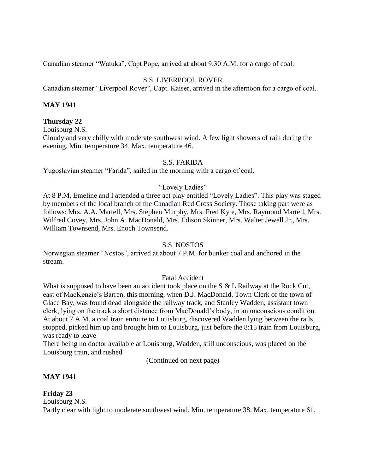Canadian steamer "Watuka", Capt Pope, arrived at about 9:30 A.M. for a cargo of coal.

# S.S. LIVERPOOL ROVER

Canadian steamer "Liverpool Rover", Capt. Kaiser, arrived in the afternoon for a cargo of coal.

# **MAY 1941**

## **Thursday 22**

Louisburg N.S.

Cloudy and very chilly with moderate southwest wind. A few light showers of rain during the evening. Min. temperature 34. Max. temperature 46.

### S.S. FARIDA

Yugoslavian steamer "Farida", sailed in the morning with a cargo of coal.

# "Lovely Ladies"

At 8 P.M. Emeline and I attended a three act play entitled "Lovely Ladies". This play was staged by members of the local branch of the Canadian Red Cross Society. Those taking part were as follows: Mrs. A.A. Martell, Mrs. Stephen Murphy, Mrs. Fred Kyte, Mrs. Raymond Martell, Mrs. Wilfred Covey, Mrs. John A. MacDonald, Mrs. Edison Skinner, Mrs. Walter Jewell Jr., Mrs. William Townsend, Mrs. Enoch Townsend.

### S.S. NOSTOS

Norwegian steamer "Nostos", arrived at about 7 P.M. for bunker coal and anchored in the stream.

### Fatal Accident

What is supposed to have been an accident took place on the S & L Railway at the Rock Cut, east of MacKenzie's Barren, this morning, when D.J. MacDonald, Town Clerk of the town of Glace Bay, was found dead alongside the railway track, and Stanley Wadden, assistant town clerk, lying on the track a short distance from MacDonald's body, in an unconscious condition. At about 7 A.M. a coal train enroute to Louisburg, discovered Wadden lying between the rails, stopped, picked him up and brought him to Louisburg, just before the 8:15 train from Louisburg, was ready to leave

There being no doctor available at Louisburg, Wadden, still unconscious, was placed on the Louisburg train, and rushed

(Continued on next page)

### **MAY 1941**

**Friday 23** Louisburg N.S. Partly clear with light to moderate southwest wind. Min. temperature 38. Max. temperature 61.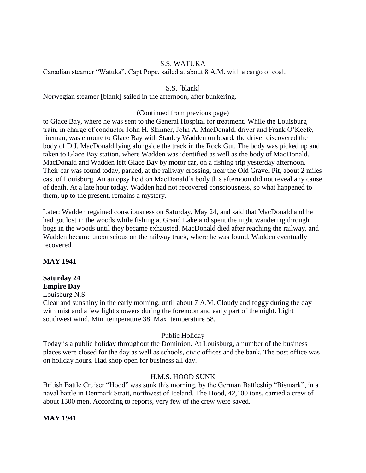# S.S. WATUKA

Canadian steamer "Watuka", Capt Pope, sailed at about 8 A.M. with a cargo of coal.

S.S. [blank]

Norwegian steamer [blank] sailed in the afternoon, after bunkering.

# (Continued from previous page)

to Glace Bay, where he was sent to the General Hospital for treatment. While the Louisburg train, in charge of conductor John H. Skinner, John A. MacDonald, driver and Frank O'Keefe, fireman, was enroute to Glace Bay with Stanley Wadden on board, the driver discovered the body of D.J. MacDonald lying alongside the track in the Rock Gut. The body was picked up and taken to Glace Bay station, where Wadden was identified as well as the body of MacDonald. MacDonald and Wadden left Glace Bay by motor car, on a fishing trip yesterday afternoon. Their car was found today, parked, at the railway crossing, near the Old Gravel Pit, about 2 miles east of Louisburg. An autopsy held on MacDonald's body this afternoon did not reveal any cause of death. At a late hour today, Wadden had not recovered consciousness, so what happened to them, up to the present, remains a mystery.

Later: Wadden regained consciousness on Saturday, May 24, and said that MacDonald and he had got lost in the woods while fishing at Grand Lake and spent the night wandering through bogs in the woods until they became exhausted. MacDonald died after reaching the railway, and Wadden became unconscious on the railway track, where he was found. Wadden eventually recovered.

#### **MAY 1941**

#### **Saturday 24 Empire Day**

Louisburg N.S.

Clear and sunshiny in the early morning, until about 7 A.M. Cloudy and foggy during the day with mist and a few light showers during the forenoon and early part of the night. Light southwest wind. Min. temperature 38. Max. temperature 58.

### Public Holiday

Today is a public holiday throughout the Dominion. At Louisburg, a number of the business places were closed for the day as well as schools, civic offices and the bank. The post office was on holiday hours. Had shop open for business all day.

### H.M.S. HOOD SUNK

British Battle Cruiser "Hood" was sunk this morning, by the German Battleship "Bismark", in a naval battle in Denmark Strait, northwest of Iceland. The Hood, 42,100 tons, carried a crew of about 1300 men. According to reports, very few of the crew were saved.

### **MAY 1941**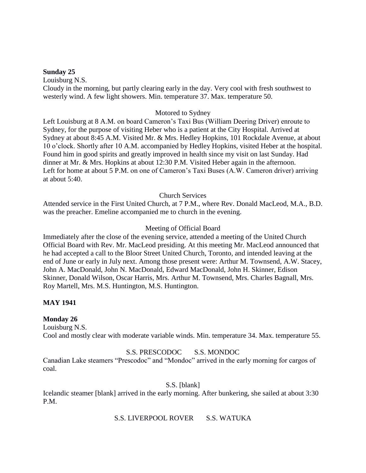#### **Sunday 25**

Louisburg N.S. Cloudy in the morning, but partly clearing early in the day. Very cool with fresh southwest to westerly wind. A few light showers. Min. temperature 37. Max. temperature 50.

### Motored to Sydney

Left Louisburg at 8 A.M. on board Cameron's Taxi Bus (William Deering Driver) enroute to Sydney, for the purpose of visiting Heber who is a patient at the City Hospital. Arrived at Sydney at about 8:45 A.M. Visited Mr. & Mrs. Hedley Hopkins, 101 Rockdale Avenue, at about 10 o'clock. Shortly after 10 A.M. accompanied by Hedley Hopkins, visited Heber at the hospital. Found him in good spirits and greatly improved in health since my visit on last Sunday. Had dinner at Mr. & Mrs. Hopkins at about 12:30 P.M. Visited Heber again in the afternoon. Left for home at about 5 P.M. on one of Cameron's Taxi Buses (A.W. Cameron driver) arriving at about 5:40.

# Church Services

Attended service in the First United Church, at 7 P.M., where Rev. Donald MacLeod, M.A., B.D. was the preacher. Emeline accompanied me to church in the evening.

# Meeting of Official Board

Immediately after the close of the evening service, attended a meeting of the United Church Official Board with Rev. Mr. MacLeod presiding. At this meeting Mr. MacLeod announced that he had accepted a call to the Bloor Street United Church, Toronto, and intended leaving at the end of June or early in July next. Among those present were: Arthur M. Townsend, A.W. Stacey, John A. MacDonald, John N. MacDonald, Edward MacDonald, John H. Skinner, Edison Skinner, Donald Wilson, Oscar Harris, Mrs. Arthur M. Townsend, Mrs. Charles Bagnall, Mrs. Roy Martell, Mrs. M.S. Huntington, M.S. Huntington.

# **MAY 1941**

### **Monday 26**

Louisburg N.S.

Cool and mostly clear with moderate variable winds. Min. temperature 34. Max. temperature 55.

### S.S. PRESCODOC S.S. MONDOC

Canadian Lake steamers "Prescodoc" and "Mondoc" arrived in the early morning for cargos of coal.

S.S. [blank]

Icelandic steamer [blank] arrived in the early morning. After bunkering, she sailed at about 3:30 P.M.

S.S. LIVERPOOL ROVER S.S. WATUKA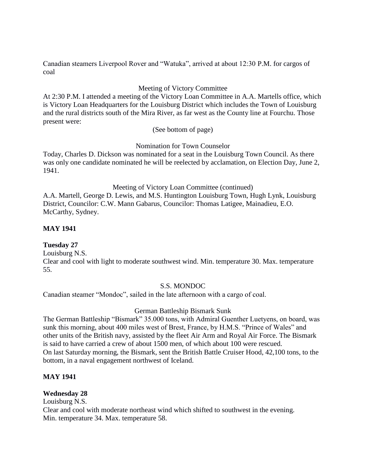Canadian steamers Liverpool Rover and "Watuka", arrived at about 12:30 P.M. for cargos of coal

# Meeting of Victory Committee

At 2:30 P.M. I attended a meeting of the Victory Loan Committee in A.A. Martells office, which is Victory Loan Headquarters for the Louisburg District which includes the Town of Louisburg and the rural districts south of the Mira River, as far west as the County line at Fourchu. Those present were:

(See bottom of page)

Nomination for Town Counselor

Today, Charles D. Dickson was nominated for a seat in the Louisburg Town Council. As there was only one candidate nominated he will be reelected by acclamation, on Election Day, June 2, 1941.

Meeting of Victory Loan Committee (continued)

A.A. Martell, George D. Lewis, and M.S. Huntington Louisburg Town, Hugh Lynk, Louisburg District, Councilor: C.W. Mann Gabarus, Councilor: Thomas Latigee, Mainadieu, E.O. McCarthy, Sydney.

### **MAY 1941**

### **Tuesday 27**

Louisburg N.S.

Clear and cool with light to moderate southwest wind. Min. temperature 30. Max. temperature 55.

#### S.S. MONDOC

Canadian steamer "Mondoc", sailed in the late afternoon with a cargo of coal.

#### German Battleship Bismark Sunk

The German Battleship "Bismark" 35.000 tons, with Admiral Guenther Luetyens, on board, was sunk this morning, about 400 miles west of Brest, France, by H.M.S. "Prince of Wales" and other units of the British navy, assisted by the fleet Air Arm and Royal Air Force. The Bismark is said to have carried a crew of about 1500 men, of which about 100 were rescued. On last Saturday morning, the Bismark, sent the British Battle Cruiser Hood, 42,100 tons, to the bottom, in a naval engagement northwest of Iceland.

#### **MAY 1941**

### **Wednesday 28**

Louisburg N.S. Clear and cool with moderate northeast wind which shifted to southwest in the evening. Min. temperature 34. Max. temperature 58.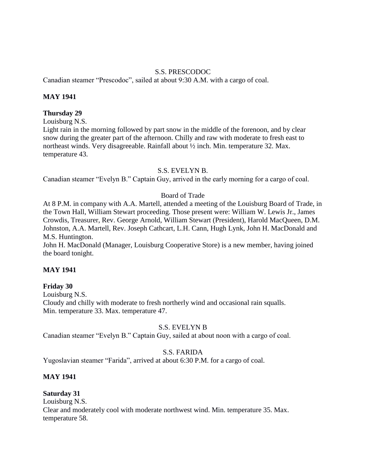## S.S. PRESCODOC

Canadian steamer "Prescodoc", sailed at about 9:30 A.M. with a cargo of coal.

# **MAY 1941**

### **Thursday 29**

Louisburg N.S.

Light rain in the morning followed by part snow in the middle of the forenoon, and by clear snow during the greater part of the afternoon. Chilly and raw with moderate to fresh east to northeast winds. Very disagreeable. Rainfall about ½ inch. Min. temperature 32. Max. temperature 43.

### S.S. EVELYN B.

Canadian steamer "Evelyn B." Captain Guy, arrived in the early morning for a cargo of coal.

# Board of Trade

At 8 P.M. in company with A.A. Martell, attended a meeting of the Louisburg Board of Trade, in the Town Hall, William Stewart proceeding. Those present were: William W. Lewis Jr., James Crowdis, Treasurer, Rev. George Arnold, William Stewart (President), Harold MacQueen, D.M. Johnston, A.A. Martell, Rev. Joseph Cathcart, L.H. Cann, Hugh Lynk, John H. MacDonald and M.S. Huntington.

John H. MacDonald (Manager, Louisburg Cooperative Store) is a new member, having joined the board tonight.

### **MAY 1941**

### **Friday 30**

Louisburg N.S. Cloudy and chilly with moderate to fresh northerly wind and occasional rain squalls. Min. temperature 33. Max. temperature 47.

# S.S. EVELYN B

Canadian steamer "Evelyn B." Captain Guy, sailed at about noon with a cargo of coal.

# S.S. FARIDA

Yugoslavian steamer "Farida", arrived at about 6:30 P.M. for a cargo of coal.

### **MAY 1941**

# **Saturday 31**

Louisburg N.S.

Clear and moderately cool with moderate northwest wind. Min. temperature 35. Max. temperature 58.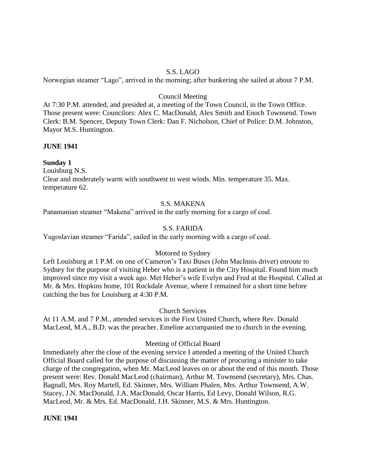### S.S. LAGO

Norwegian steamer "Lago", arrived in the morning; after bunkering she sailed at about 7 P.M.

#### Council Meeting

At 7:30 P.M. attended, and presided at, a meeting of the Town Council, in the Town Office. Those present were: Councilors: Alex C. MacDonald, Alex Smith and Enoch Townsend. Town Clerk: B.M. Spencer, Deputy Town Clerk: Dan F. Nicholson, Chief of Police: D.M. Johnston, Mayor M.S. Huntington.

#### **JUNE 1941**

#### **Sunday 1**

Louisburg N.S.

Clear and moderately warm with southwest to west winds. Min. temperature 35. Max. temperature 62.

### S.S. MAKENA

Panamanian steamer "Makena" arrived in the early morning for a cargo of coal.

### S.S. FARIDA

Yugoslavian steamer "Farida", sailed in the early morning with a cargo of coal.

### Motored to Sydney

Left Louisburg at 1 P.M. on one of Cameron's Taxi Buses (John MacInnis driver) enroute to Sydney for the purpose of visiting Heber who is a patient in the City Hospital. Found him much improved since my visit a week ago. Met Heber's wife Evelyn and Fred at the Hospital. Called at Mr. & Mrs. Hopkins home, 101 Rockdale Avenue, where I remained for a short time before catching the bus for Louisburg at 4:30 P.M.

Church Services

At 11 A.M. and 7 P.M., attended services in the First United Church, where Rev. Donald MacLeod, M.A., B.D. was the preacher. Emeline accompanied me to church in the evening.

#### Meeting of Official Board

Immediately after the close of the evening service I attended a meeting of the United Church Official Board called for the purpose of discussing the matter of procuring a minister to take charge of the congregation, when Mr. MacLeod leaves on or about the end of this month. Those present were: Rev. Donald MacLeod (chairman), Arthur M. Townsend (secretary), Mrs. Chas. Bagnall, Mrs. Roy Martell, Ed. Skinner, Mrs. William Phalen, Mrs. Arthur Townsend, A.W. Stacey, J.N. MacDonald, J.A. MacDonald, Oscar Harris, Ed Levy, Donald Wilson, R.G. MacLeod, Mr. & Mrs. Ed. MacDonald, J.H. Skinner, M.S. & Mrs. Huntington.

**JUNE 1941**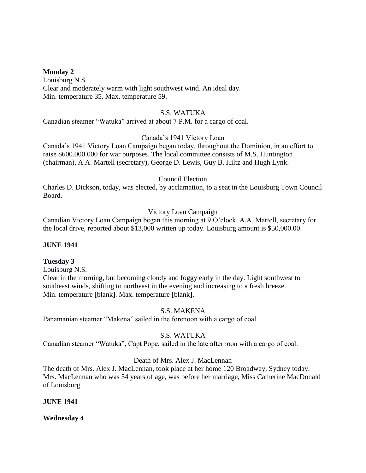#### **Monday 2**

Louisburg N.S. Clear and moderately warm with light southwest wind. An ideal day. Min. temperature 35. Max. temperature 59.

#### S.S. WATUKA

Canadian steamer "Watuka" arrived at about 7 P.M. for a cargo of coal.

### Canada's 1941 Victory Loan

Canada's 1941 Victory Loan Campaign began today, throughout the Dominion, in an effort to raise \$600.000.000 for war purposes. The local committee consists of M.S. Huntington (chairman), A.A. Martell (secretary), George D. Lewis, Guy B. Hiltz and Hugh Lynk.

#### Council Election

Charles D. Dickson, today, was elected, by acclamation, to a seat in the Louisburg Town Council Board.

#### Victory Loan Campaign

Canadian Victory Loan Campaign began this morning at 9 O'clock. A.A. Martell, secretary for the local drive, reported about \$13,000 written up today. Louisburg amount is \$50,000.00.

#### **JUNE 1941**

### **Tuesday 3**

Louisburg N.S.

Clear in the morning, but becoming cloudy and foggy early in the day. Light southwest to southeast winds, shifting to northeast in the evening and increasing to a fresh breeze. Min. temperature [blank]. Max. temperature [blank].

### S.S. MAKENA

Panamanian steamer "Makena" sailed in the forenoon with a cargo of coal.

### S.S. WATUKA

Canadian steamer "Watuka", Capt Pope, sailed in the late afternoon with a cargo of coal.

### Death of Mrs. Alex J. MacLennan

The death of Mrs. Alex J. MacLennan, took place at her home 120 Broadway, Sydney today. Mrs. MacLennan who was 54 years of age, was before her marriage, Miss Catherine MacDonald of Louisburg.

#### **JUNE 1941**

**Wednesday 4**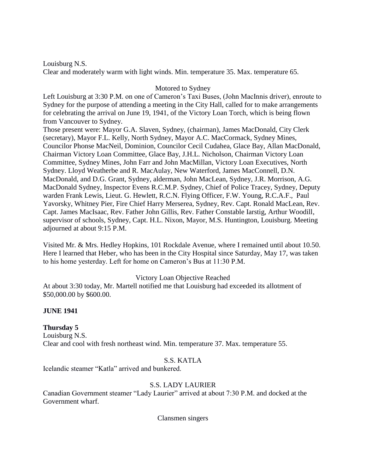Louisburg N.S. Clear and moderately warm with light winds. Min. temperature 35. Max. temperature 65.

# Motored to Sydney

Left Louisburg at 3:30 P.M. on one of Cameron's Taxi Buses, (John MacInnis driver), enroute to Sydney for the purpose of attending a meeting in the City Hall, called for to make arrangements for celebrating the arrival on June 19, 1941, of the Victory Loan Torch, which is being flown from Vancouver to Sydney.

Those present were: Mayor G.A. Slaven, Sydney, (chairman), James MacDonald, City Clerk (secretary), Mayor F.L. Kelly, North Sydney, Mayor A.C. MacCormack, Sydney Mines, Councilor Phonse MacNeil, Dominion, Councilor Cecil Cudahea, Glace Bay, Allan MacDonald, Chairman Victory Loan Committee, Glace Bay, J.H.L. Nicholson, Chairman Victory Loan Committee, Sydney Mines, John Farr and John MacMillan, Victory Loan Executives, North Sydney. Lloyd Weatherbe and R. MacAulay, New Waterford, James MacConnell, D.N. MacDonald, and D.G. Grant, Sydney, alderman, John MacLean, Sydney, J.R. Morrison, A.G. MacDonald Sydney, Inspector Evens R.C.M.P. Sydney, Chief of Police Tracey, Sydney, Deputy warden Frank Lewis, Lieut. G. Hewlett, R.C.N. Flying Officer, F.W. Young, R.C.A.F., Paul Yavorsky, Whitney Pier, Fire Chief Harry Merserea, Sydney, Rev. Capt. Ronald MacLean, Rev. Capt. James MacIsaac, Rev. Father John Gillis, Rev. Father Constable Iarstig, Arthur Woodill, supervisor of schools, Sydney, Capt. H.L. Nixon, Mayor, M.S. Huntington, Louisburg. Meeting adjourned at about 9:15 P.M.

Visited Mr. & Mrs. Hedley Hopkins, 101 Rockdale Avenue, where I remained until about 10.50. Here I learned that Heber, who has been in the City Hospital since Saturday, May 17, was taken to his home yesterday. Left for home on Cameron's Bus at 11:30 P.M.

# Victory Loan Objective Reached

At about 3:30 today, Mr. Martell notified me that Louisburg had exceeded its allotment of \$50,000.00 by \$600.00.

### **JUNE 1941**

# **Thursday 5**

Louisburg N.S. Clear and cool with fresh northeast wind. Min. temperature 37. Max. temperature 55.

### S.S. KATLA

Icelandic steamer "Katla" arrived and bunkered.

# S.S. LADY LAURIER

Canadian Government steamer "Lady Laurier" arrived at about 7:30 P.M. and docked at the Government wharf.

Clansmen singers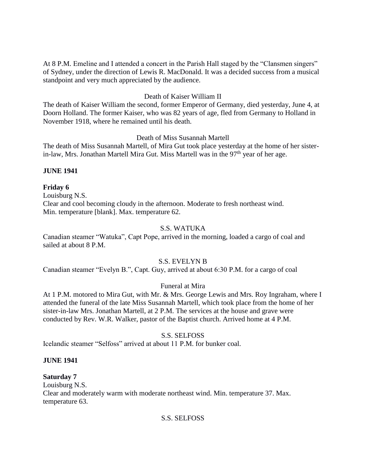At 8 P.M. Emeline and I attended a concert in the Parish Hall staged by the "Clansmen singers" of Sydney, under the direction of Lewis R. MacDonald. It was a decided success from a musical standpoint and very much appreciated by the audience.

# Death of Kaiser William II

The death of Kaiser William the second, former Emperor of Germany, died yesterday, June 4, at Doorn Holland. The former Kaiser, who was 82 years of age, fled from Germany to Holland in November 1918, where he remained until his death.

# Death of Miss Susannah Martell

The death of Miss Susannah Martell, of Mira Gut took place yesterday at the home of her sisterin-law, Mrs. Jonathan Martell Mira Gut. Miss Martell was in the  $97<sup>th</sup>$  year of her age.

# **JUNE 1941**

# **Friday 6**

Louisburg N.S. Clear and cool becoming cloudy in the afternoon. Moderate to fresh northeast wind. Min. temperature [blank]. Max. temperature 62.

# S.S. WATUKA

Canadian steamer "Watuka", Capt Pope, arrived in the morning, loaded a cargo of coal and sailed at about 8 P.M.

# S.S. EVELYN B

Canadian steamer "Evelyn B.", Capt. Guy, arrived at about 6:30 P.M. for a cargo of coal

# Funeral at Mira

At 1 P.M. motored to Mira Gut, with Mr. & Mrs. George Lewis and Mrs. Roy Ingraham, where I attended the funeral of the late Miss Susannah Martell, which took place from the home of her sister-in-law Mrs. Jonathan Martell, at 2 P.M. The services at the house and grave were conducted by Rev. W.R. Walker, pastor of the Baptist church. Arrived home at 4 P.M.

# S.S. SELFOSS

Icelandic steamer "Selfoss" arrived at about 11 P.M. for bunker coal.

### **JUNE 1941**

### **Saturday 7**

Louisburg N.S. Clear and moderately warm with moderate northeast wind. Min. temperature 37. Max. temperature 63.

### S.S. SELFOSS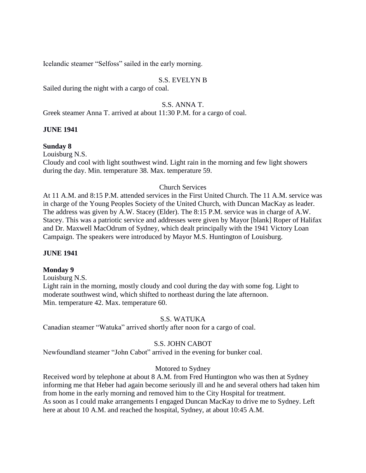Icelandic steamer "Selfoss" sailed in the early morning.

# S.S. EVELYN B

Sailed during the night with a cargo of coal.

# S.S. ANNA T.

Greek steamer Anna T. arrived at about 11:30 P.M. for a cargo of coal.

### **JUNE 1941**

### **Sunday 8**

Louisburg N.S.

Cloudy and cool with light southwest wind. Light rain in the morning and few light showers during the day. Min. temperature 38. Max. temperature 59.

# Church Services

At 11 A.M. and 8:15 P.M. attended services in the First United Church. The 11 A.M. service was in charge of the Young Peoples Society of the United Church, with Duncan MacKay as leader. The address was given by A.W. Stacey (Elder). The 8:15 P.M. service was in charge of A.W. Stacey. This was a patriotic service and addresses were given by Mayor [blank] Roper of Halifax and Dr. Maxwell MacOdrum of Sydney, which dealt principally with the 1941 Victory Loan Campaign. The speakers were introduced by Mayor M.S. Huntington of Louisburg.

### **JUNE 1941**

### **Monday 9**

Louisburg N.S. Light rain in the morning, mostly cloudy and cool during the day with some fog. Light to moderate southwest wind, which shifted to northeast during the late afternoon. Min. temperature 42. Max. temperature 60.

### S.S. WATUKA

Canadian steamer "Watuka" arrived shortly after noon for a cargo of coal.

# S.S. JOHN CABOT

Newfoundland steamer "John Cabot" arrived in the evening for bunker coal.

### Motored to Sydney

Received word by telephone at about 8 A.M. from Fred Huntington who was then at Sydney informing me that Heber had again become seriously ill and he and several others had taken him from home in the early morning and removed him to the City Hospital for treatment. As soon as I could make arrangements I engaged Duncan MacKay to drive me to Sydney. Left here at about 10 A.M. and reached the hospital, Sydney, at about 10:45 A.M.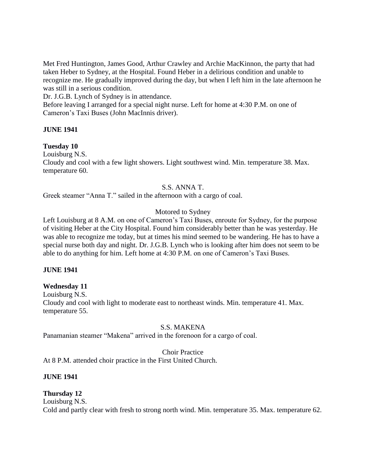Met Fred Huntington, James Good, Arthur Crawley and Archie MacKinnon, the party that had taken Heber to Sydney, at the Hospital. Found Heber in a delirious condition and unable to recognize me. He gradually improved during the day, but when I left him in the late afternoon he was still in a serious condition.

Dr. J.G.B. Lynch of Sydney is in attendance.

Before leaving I arranged for a special night nurse. Left for home at 4:30 P.M. on one of Cameron's Taxi Buses (John MacInnis driver).

# **JUNE 1941**

### **Tuesday 10**

Louisburg N.S. Cloudy and cool with a few light showers. Light southwest wind. Min. temperature 38. Max. temperature 60.

# S.S. ANNA T.

Greek steamer "Anna T." sailed in the afternoon with a cargo of coal.

# Motored to Sydney

Left Louisburg at 8 A.M. on one of Cameron's Taxi Buses, enroute for Sydney, for the purpose of visiting Heber at the City Hospital. Found him considerably better than he was yesterday. He was able to recognize me today, but at times his mind seemed to be wandering. He has to have a special nurse both day and night. Dr. J.G.B. Lynch who is looking after him does not seem to be able to do anything for him. Left home at 4:30 P.M. on one of Cameron's Taxi Buses.

### **JUNE 1941**

# **Wednesday 11**

Louisburg N.S. Cloudy and cool with light to moderate east to northeast winds. Min. temperature 41. Max. temperature 55.

# S.S. MAKENA

Panamanian steamer "Makena" arrived in the forenoon for a cargo of coal.

# Choir Practice

At 8 P.M. attended choir practice in the First United Church.

### **JUNE 1941**

# **Thursday 12**

Louisburg N.S. Cold and partly clear with fresh to strong north wind. Min. temperature 35. Max. temperature 62.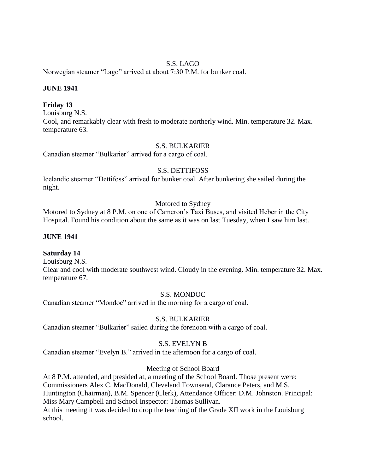## S.S. LAGO

Norwegian steamer "Lago" arrived at about 7:30 P.M. for bunker coal.

### **JUNE 1941**

### **Friday 13**

Louisburg N.S. Cool, and remarkably clear with fresh to moderate northerly wind. Min. temperature 32. Max. temperature 63.

### S.S. BULKARIER

Canadian steamer "Bulkarier" arrived for a cargo of coal.

### S.S. DETTIFOSS

Icelandic steamer "Dettifoss" arrived for bunker coal. After bunkering she sailed during the night.

### Motored to Sydney

Motored to Sydney at 8 P.M. on one of Cameron's Taxi Buses, and visited Heber in the City Hospital. Found his condition about the same as it was on last Tuesday, when I saw him last.

#### **JUNE 1941**

### **Saturday 14**

Louisburg N.S.

Clear and cool with moderate southwest wind. Cloudy in the evening. Min. temperature 32. Max. temperature 67.

### S.S. MONDOC

Canadian steamer "Mondoc" arrived in the morning for a cargo of coal.

## S.S. BULKARIER

Canadian steamer "Bulkarier" sailed during the forenoon with a cargo of coal.

### S.S. EVELYN B

Canadian steamer "Evelyn B." arrived in the afternoon for a cargo of coal.

### Meeting of School Board

At 8 P.M. attended, and presided at, a meeting of the School Board. Those present were: Commissioners Alex C. MacDonald, Cleveland Townsend, Clarance Peters, and M.S. Huntington (Chairman), B.M. Spencer (Clerk), Attendance Officer: D.M. Johnston. Principal: Miss Mary Campbell and School Inspector: Thomas Sullivan. At this meeting it was decided to drop the teaching of the Grade XII work in the Louisburg school.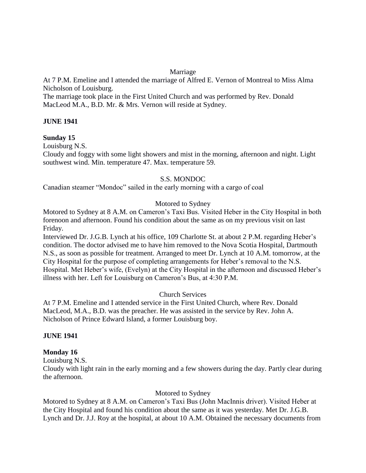## Marriage

At 7 P.M. Emeline and I attended the marriage of Alfred E. Vernon of Montreal to Miss Alma Nicholson of Louisburg.

The marriage took place in the First United Church and was performed by Rev. Donald MacLeod M.A., B.D. Mr. & Mrs. Vernon will reside at Sydney.

# **JUNE 1941**

# **Sunday 15**

Louisburg N.S.

Cloudy and foggy with some light showers and mist in the morning, afternoon and night. Light southwest wind. Min. temperature 47. Max. temperature 59.

# S.S. MONDOC

Canadian steamer "Mondoc" sailed in the early morning with a cargo of coal

# Motored to Sydney

Motored to Sydney at 8 A.M. on Cameron's Taxi Bus. Visited Heber in the City Hospital in both forenoon and afternoon. Found his condition about the same as on my previous visit on last Friday.

Interviewed Dr. J.G.B. Lynch at his office, 109 Charlotte St. at about 2 P.M. regarding Heber's condition. The doctor advised me to have him removed to the Nova Scotia Hospital, Dartmouth N.S., as soon as possible for treatment. Arranged to meet Dr. Lynch at 10 A.M. tomorrow, at the City Hospital for the purpose of completing arrangements for Heber's removal to the N.S. Hospital. Met Heber's wife, (Evelyn) at the City Hospital in the afternoon and discussed Heber's illness with her. Left for Louisburg on Cameron's Bus, at 4:30 P.M.

### Church Services

At 7 P.M. Emeline and I attended service in the First United Church, where Rev. Donald MacLeod, M.A., B.D. was the preacher. He was assisted in the service by Rev. John A. Nicholson of Prince Edward Island, a former Louisburg boy.

### **JUNE 1941**

# **Monday 16**

Louisburg N.S.

Cloudy with light rain in the early morning and a few showers during the day. Partly clear during the afternoon.

### Motored to Sydney

Motored to Sydney at 8 A.M. on Cameron's Taxi Bus (John MacInnis driver). Visited Heber at the City Hospital and found his condition about the same as it was yesterday. Met Dr. J.G.B. Lynch and Dr. J.J. Roy at the hospital, at about 10 A.M. Obtained the necessary documents from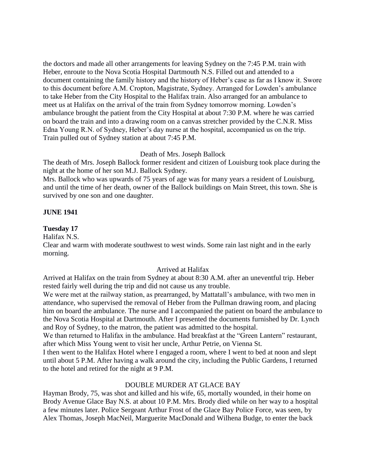the doctors and made all other arrangements for leaving Sydney on the 7:45 P.M. train with Heber, enroute to the Nova Scotia Hospital Dartmouth N.S. Filled out and attended to a document containing the family history and the history of Heber's case as far as I know it. Swore to this document before A.M. Cropton, Magistrate, Sydney. Arranged for Lowden's ambulance to take Heber from the City Hospital to the Halifax train. Also arranged for an ambulance to meet us at Halifax on the arrival of the train from Sydney tomorrow morning. Lowden's ambulance brought the patient from the City Hospital at about 7:30 P.M. where he was carried on board the train and into a drawing room on a canvas stretcher provided by the C.N.R. Miss Edna Young R.N. of Sydney, Heber's day nurse at the hospital, accompanied us on the trip. Train pulled out of Sydney station at about 7:45 P.M.

### Death of Mrs. Joseph Ballock

The death of Mrs. Joseph Ballock former resident and citizen of Louisburg took place during the night at the home of her son M.J. Ballock Sydney.

Mrs. Ballock who was upwards of 75 years of age was for many years a resident of Louisburg, and until the time of her death, owner of the Ballock buildings on Main Street, this town. She is survived by one son and one daughter.

#### **JUNE 1941**

#### **Tuesday 17**

Halifax N.S.

Clear and warm with moderate southwest to west winds. Some rain last night and in the early morning.

#### Arrived at Halifax

Arrived at Halifax on the train from Sydney at about 8:30 A.M. after an uneventful trip. Heber rested fairly well during the trip and did not cause us any trouble.

We were met at the railway station, as prearranged, by Mattatall's ambulance, with two men in attendance, who supervised the removal of Heber from the Pullman drawing room, and placing him on board the ambulance. The nurse and I accompanied the patient on board the ambulance to the Nova Scotia Hospital at Dartmouth. After I presented the documents furnished by Dr. Lynch and Roy of Sydney, to the matron, the patient was admitted to the hospital.

We than returned to Halifax in the ambulance. Had breakfast at the "Green Lantern" restaurant, after which Miss Young went to visit her uncle, Arthur Petrie, on Vienna St.

I then went to the Halifax Hotel where I engaged a room, where I went to bed at noon and slept until about 5 P.M. After having a walk around the city, including the Public Gardens, I returned to the hotel and retired for the night at 9 P.M.

#### DOUBLE MURDER AT GLACE BAY

Hayman Brody, 75, was shot and killed and his wife, 65, mortally wounded, in their home on Brody Avenue Glace Bay N.S. at about 10 P.M. Mrs. Brody died while on her way to a hospital a few minutes later. Police Sergeant Arthur Frost of the Glace Bay Police Force, was seen, by Alex Thomas, Joseph MacNeil, Marguerite MacDonald and Wilhena Budge, to enter the back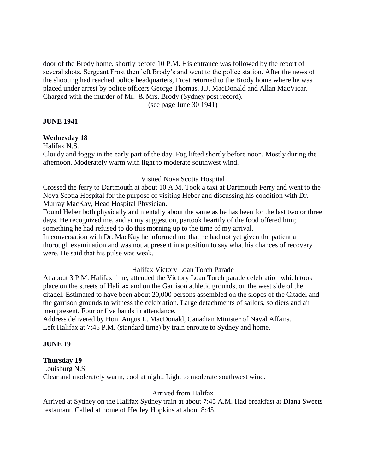door of the Brody home, shortly before 10 P.M. His entrance was followed by the report of several shots. Sergeant Frost then left Brody's and went to the police station. After the news of the shooting had reached police headquarters, Frost returned to the Brody home where he was placed under arrest by police officers George Thomas, J.J. MacDonald and Allan MacVicar. Charged with the murder of Mr. & Mrs. Brody (Sydney post record).

(see page June 30 1941)

### **JUNE 1941**

# **Wednesday 18**

Halifax N.S.

Cloudy and foggy in the early part of the day. Fog lifted shortly before noon. Mostly during the afternoon. Moderately warm with light to moderate southwest wind.

### Visited Nova Scotia Hospital

Crossed the ferry to Dartmouth at about 10 A.M. Took a taxi at Dartmouth Ferry and went to the Nova Scotia Hospital for the purpose of visiting Heber and discussing his condition with Dr. Murray MacKay, Head Hospital Physician.

Found Heber both physically and mentally about the same as he has been for the last two or three days. He recognized me, and at my suggestion, partook heartily of the food offered him; something he had refused to do this morning up to the time of my arrival.

In conversation with Dr. MacKay he informed me that he had not yet given the patient a thorough examination and was not at present in a position to say what his chances of recovery were. He said that his pulse was weak.

### Halifax Victory Loan Torch Parade

At about 3 P.M. Halifax time, attended the Victory Loan Torch parade celebration which took place on the streets of Halifax and on the Garrison athletic grounds, on the west side of the citadel. Estimated to have been about 20,000 persons assembled on the slopes of the Citadel and the garrison grounds to witness the celebration. Large detachments of sailors, soldiers and air men present. Four or five bands in attendance.

Address delivered by Hon. Angus L. MacDonald, Canadian Minister of Naval Affairs. Left Halifax at 7:45 P.M. (standard time) by train enroute to Sydney and home.

### **JUNE 19**

#### **Thursday 19**

Louisburg N.S. Clear and moderately warm, cool at night. Light to moderate southwest wind.

#### Arrived from Halifax

Arrived at Sydney on the Halifax Sydney train at about 7:45 A.M. Had breakfast at Diana Sweets restaurant. Called at home of Hedley Hopkins at about 8:45.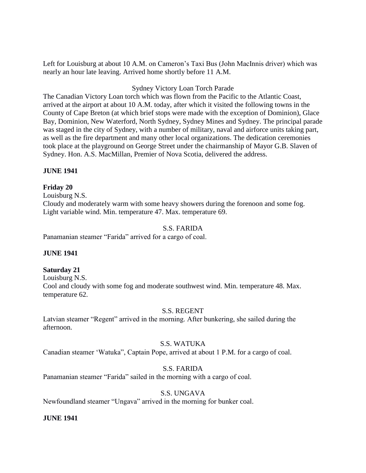Left for Louisburg at about 10 A.M. on Cameron's Taxi Bus (John MacInnis driver) which was nearly an hour late leaving. Arrived home shortly before 11 A.M.

# Sydney Victory Loan Torch Parade

The Canadian Victory Loan torch which was flown from the Pacific to the Atlantic Coast, arrived at the airport at about 10 A.M. today, after which it visited the following towns in the County of Cape Breton (at which brief stops were made with the exception of Dominion), Glace Bay, Dominion, New Waterford, North Sydney, Sydney Mines and Sydney. The principal parade was staged in the city of Sydney, with a number of military, naval and airforce units taking part, as well as the fire department and many other local organizations. The dedication ceremonies took place at the playground on George Street under the chairmanship of Mayor G.B. Slaven of Sydney. Hon. A.S. MacMillan, Premier of Nova Scotia, delivered the address.

# **JUNE 1941**

# **Friday 20**

Louisburg N.S. Cloudy and moderately warm with some heavy showers during the forenoon and some fog. Light variable wind. Min. temperature 47. Max. temperature 69.

# S.S. FARIDA

Panamanian steamer "Farida" arrived for a cargo of coal.

### **JUNE 1941**

# **Saturday 21**

Louisburg N.S. Cool and cloudy with some fog and moderate southwest wind. Min. temperature 48. Max. temperature 62.

### S.S. REGENT

Latvian steamer "Regent" arrived in the morning. After bunkering, she sailed during the afternoon.

### S.S. WATUKA

Canadian steamer 'Watuka", Captain Pope, arrived at about 1 P.M. for a cargo of coal.

### S.S. FARIDA

Panamanian steamer "Farida" sailed in the morning with a cargo of coal.

### S.S. UNGAVA

Newfoundland steamer "Ungava" arrived in the morning for bunker coal.

### **JUNE 1941**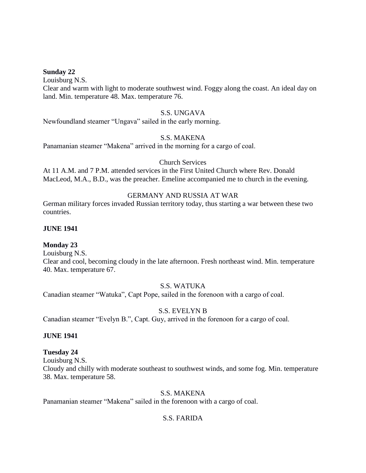#### **Sunday 22**

Louisburg N.S.

Clear and warm with light to moderate southwest wind. Foggy along the coast. An ideal day on land. Min. temperature 48. Max. temperature 76.

#### S.S. UNGAVA

Newfoundland steamer "Ungava" sailed in the early morning.

### S.S. MAKENA

Panamanian steamer "Makena" arrived in the morning for a cargo of coal.

### Church Services

At 11 A.M. and 7 P.M. attended services in the First United Church where Rev. Donald MacLeod, M.A., B.D., was the preacher. Emeline accompanied me to church in the evening.

### GERMANY AND RUSSIA AT WAR

German military forces invaded Russian territory today, thus starting a war between these two countries.

### **JUNE 1941**

# **Monday 23**

Louisburg N.S.

Clear and cool, becoming cloudy in the late afternoon. Fresh northeast wind. Min. temperature 40. Max. temperature 67.

# S.S. WATUKA

Canadian steamer "Watuka", Capt Pope, sailed in the forenoon with a cargo of coal.

# S.S. EVELYN B

Canadian steamer "Evelyn B.", Capt. Guy, arrived in the forenoon for a cargo of coal.

### **JUNE 1941**

### **Tuesday 24**

Louisburg N.S.

Cloudy and chilly with moderate southeast to southwest winds, and some fog. Min. temperature 38. Max. temperature 58.

### S.S. MAKENA

Panamanian steamer "Makena" sailed in the forenoon with a cargo of coal.

# S.S. FARIDA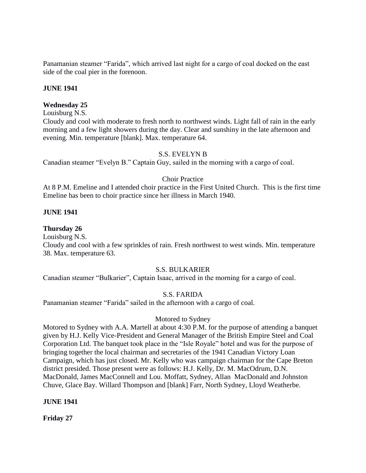Panamanian steamer "Farida", which arrived last night for a cargo of coal docked on the east side of the coal pier in the forenoon.

### **JUNE 1941**

## **Wednesday 25**

Louisburg N.S.

Cloudy and cool with moderate to fresh north to northwest winds. Light fall of rain in the early morning and a few light showers during the day. Clear and sunshiny in the late afternoon and evening. Min. temperature [blank]. Max. temperature 64.

# S.S. EVELYN B

Canadian steamer "Evelyn B." Captain Guy, sailed in the morning with a cargo of coal.

# Choir Practice

At 8 P.M. Emeline and I attended choir practice in the First United Church. This is the first time Emeline has been to choir practice since her illness in March 1940.

# **JUNE 1941**

### **Thursday 26**

Louisburg N.S.

Cloudy and cool with a few sprinkles of rain. Fresh northwest to west winds. Min. temperature 38. Max. temperature 63.

### S.S. BULKARIER

Canadian steamer "Bulkarier", Captain Isaac, arrived in the morning for a cargo of coal.

### S.S. FARIDA

Panamanian steamer "Farida" sailed in the afternoon with a cargo of coal.

### Motored to Sydney

Motored to Sydney with A.A. Martell at about 4:30 P.M. for the purpose of attending a banquet given by H.J. Kelly Vice-President and General Manager of the British Empire Steel and Coal Corporation Ltd. The banquet took place in the "Isle Royale" hotel and was for the purpose of bringing together the local chairman and secretaries of the 1941 Canadian Victory Loan Campaign, which has just closed. Mr. Kelly who was campaign chairman for the Cape Breton district presided. Those present were as follows: H.J. Kelly, Dr. M. MacOdrum, D.N. MacDonald, James MacConnell and Lou. Moffatt, Sydney, Allan MacDonald and Johnston Chuve, Glace Bay. Willard Thompson and [blank] Farr, North Sydney, Lloyd Weatherbe.

### **JUNE 1941**

**Friday 27**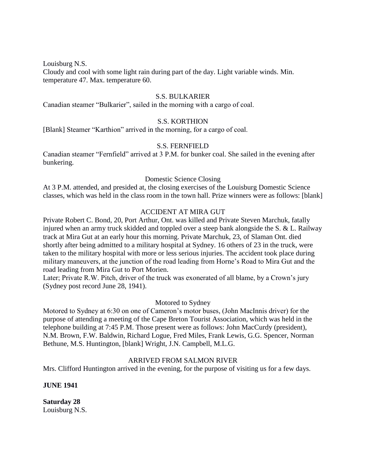Louisburg N.S.

Cloudy and cool with some light rain during part of the day. Light variable winds. Min. temperature 47. Max. temperature 60.

### S.S. BULKARIER

Canadian steamer "Bulkarier", sailed in the morning with a cargo of coal.

### S.S. KORTHION

[Blank] Steamer "Karthion" arrived in the morning, for a cargo of coal.

#### S.S. FERNFIELD

Canadian steamer "Fernfield" arrived at 3 P.M. for bunker coal. She sailed in the evening after bunkering.

#### Domestic Science Closing

At 3 P.M. attended, and presided at, the closing exercises of the Louisburg Domestic Science classes, which was held in the class room in the town hall. Prize winners were as follows: [blank]

#### ACCIDENT AT MIRA GUT

Private Robert C. Bond, 20, Port Arthur, Ont. was killed and Private Steven Marchuk, fatally injured when an army truck skidded and toppled over a steep bank alongside the S. & L. Railway track at Mira Gut at an early hour this morning. Private Marchuk, 23, of Slaman Ont. died shortly after being admitted to a military hospital at Sydney. 16 others of 23 in the truck, were taken to the military hospital with more or less serious injuries. The accident took place during military maneuvers, at the junction of the road leading from Horne's Road to Mira Gut and the road leading from Mira Gut to Port Morien.

Later; Private R.W. Pitch, driver of the truck was exonerated of all blame, by a Crown's jury (Sydney post record June 28, 1941).

#### Motored to Sydney

Motored to Sydney at 6:30 on one of Cameron's motor buses, (John MacInnis driver) for the purpose of attending a meeting of the Cape Breton Tourist Association, which was held in the telephone building at 7:45 P.M. Those present were as follows: John MacCurdy (president), N.M. Brown, F.W. Baldwin, Richard Logue, Fred Miles, Frank Lewis, G.G. Spencer, Norman Bethune, M.S. Huntington, [blank] Wright, J.N. Campbell, M.L.G.

#### ARRIVED FROM SALMON RIVER

Mrs. Clifford Huntington arrived in the evening, for the purpose of visiting us for a few days.

#### **JUNE 1941**

**Saturday 28** Louisburg N.S.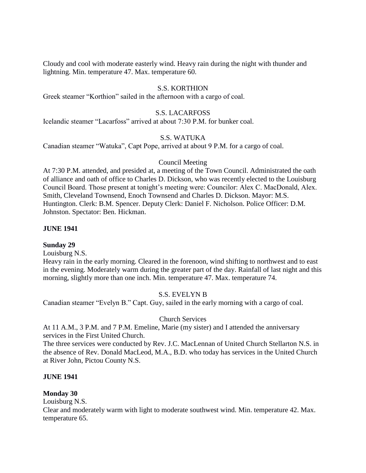Cloudy and cool with moderate easterly wind. Heavy rain during the night with thunder and lightning. Min. temperature 47. Max. temperature 60.

# S.S. KORTHION

Greek steamer "Korthion" sailed in the afternoon with a cargo of coal.

## S.S. LACARFOSS

Icelandic steamer "Lacarfoss" arrived at about 7:30 P.M. for bunker coal.

# S.S. WATUKA

Canadian steamer "Watuka", Capt Pope, arrived at about 9 P.M. for a cargo of coal.

### Council Meeting

At 7:30 P.M. attended, and presided at, a meeting of the Town Council. Administrated the oath of alliance and oath of office to Charles D. Dickson, who was recently elected to the Louisburg Council Board. Those present at tonight's meeting were: Councilor: Alex C. MacDonald, Alex. Smith, Cleveland Townsend, Enoch Townsend and Charles D. Dickson. Mayor: M.S. Huntington. Clerk: B.M. Spencer. Deputy Clerk: Daniel F. Nicholson. Police Officer: D.M. Johnston. Spectator: Ben. Hickman.

### **JUNE 1941**

#### **Sunday 29**

Louisburg N.S.

Heavy rain in the early morning. Cleared in the forenoon, wind shifting to northwest and to east in the evening. Moderately warm during the greater part of the day. Rainfall of last night and this morning, slightly more than one inch. Min. temperature 47. Max. temperature 74.

### S.S. EVELYN B

Canadian steamer "Evelyn B." Capt. Guy, sailed in the early morning with a cargo of coal.

#### Church Services

At 11 A.M., 3 P.M. and 7 P.M. Emeline, Marie (my sister) and I attended the anniversary services in the First United Church.

The three services were conducted by Rev. J.C. MacLennan of United Church Stellarton N.S. in the absence of Rev. Donald MacLeod, M.A., B.D. who today has services in the United Church at River John, Pictou County N.S.

#### **JUNE 1941**

### **Monday 30**

Louisburg N.S.

Clear and moderately warm with light to moderate southwest wind. Min. temperature 42. Max. temperature 65.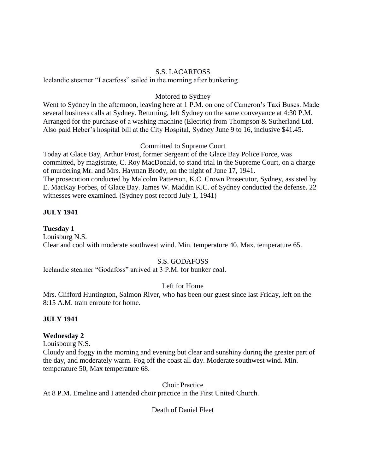### S.S. LACARFOSS

Icelandic steamer "Lacarfoss" sailed in the morning after bunkering

#### Motored to Sydney

Went to Sydney in the afternoon, leaving here at 1 P.M. on one of Cameron's Taxi Buses. Made several business calls at Sydney. Returning, left Sydney on the same conveyance at 4:30 P.M. Arranged for the purchase of a washing machine (Electric) from Thompson & Sutherland Ltd. Also paid Heber's hospital bill at the City Hospital, Sydney June 9 to 16, inclusive \$41.45.

### Committed to Supreme Court

Today at Glace Bay, Arthur Frost, former Sergeant of the Glace Bay Police Force, was committed, by magistrate, C. Roy MacDonald, to stand trial in the Supreme Court, on a charge of murdering Mr. and Mrs. Hayman Brody, on the night of June 17, 1941. The prosecution conducted by Malcolm Patterson, K.C. Crown Prosecutor, Sydney, assisted by E. MacKay Forbes, of Glace Bay. James W. Maddin K.C. of Sydney conducted the defense. 22 witnesses were examined. (Sydney post record July 1, 1941)

# **JULY 1941**

#### **Tuesday 1**

Louisburg N.S. Clear and cool with moderate southwest wind. Min. temperature 40. Max. temperature 65.

### S.S. GODAFOSS

Icelandic steamer "Godafoss" arrived at 3 P.M. for bunker coal.

## Left for Home

Mrs. Clifford Huntington, Salmon River, who has been our guest since last Friday, left on the 8:15 A.M. train enroute for home.

### **JULY 1941**

### **Wednesday 2**

Louisbourg N.S.

Cloudy and foggy in the morning and evening but clear and sunshiny during the greater part of the day, and moderately warm. Fog off the coast all day. Moderate southwest wind. Min. temperature 50, Max temperature 68.

Choir Practice

At 8 P.M. Emeline and I attended choir practice in the First United Church.

Death of Daniel Fleet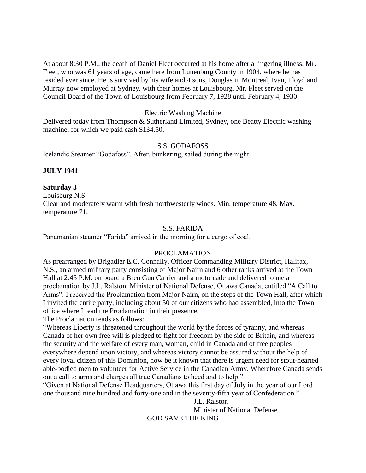At about 8:30 P.M., the death of Daniel Fleet occurred at his home after a lingering illness. Mr. Fleet, who was 61 years of age, came here from Lunenburg County in 1904, where he has resided ever since. He is survived by his wife and 4 sons, Douglas in Montreal, Ivan, Lloyd and Murray now employed at Sydney, with their homes at Louisbourg. Mr. Fleet served on the Council Board of the Town of Louisbourg from February 7, 1928 until February 4, 1930.

#### Electric Washing Machine

Delivered today from Thompson & Sutherland Limited, Sydney, one Beatty Electric washing machine, for which we paid cash \$134.50.

#### S.S. GODAFOSS

Icelandic Steamer "Godafoss". After, bunkering, sailed during the night.

### **JULY 1941**

#### **Saturday 3**

Louisburg N.S. Clear and moderately warm with fresh northwesterly winds. Min. temperature 48, Max. temperature 71.

#### S.S. FARIDA

Panamanian steamer "Farida" arrived in the morning for a cargo of coal.

## PROCLAMATION

As prearranged by Brigadier E.C. Connally, Officer Commanding Military District, Halifax, N.S., an armed military party consisting of Major Nairn and 6 other ranks arrived at the Town Hall at 2:45 P.M. on board a Bren Gun Carrier and a motorcade and delivered to me a proclamation by J.L. Ralston, Minister of National Defense, Ottawa Canada, entitled "A Call to Arms". I received the Proclamation from Major Nairn, on the steps of the Town Hall, after which I invited the entire party, including about 50 of our citizens who had assembled, into the Town office where I read the Proclamation in their presence.

The Proclamation reads as follows:

"Whereas Liberty is threatened throughout the world by the forces of tyranny, and whereas Canada of her own free will is pledged to fight for freedom by the side of Britain, and whereas the security and the welfare of every man, woman, child in Canada and of free peoples everywhere depend upon victory, and whereas victory cannot be assured without the help of every loyal citizen of this Dominion, now be it known that there is urgent need for stout-hearted able-bodied men to volunteer for Active Service in the Canadian Army. Wherefore Canada sends out a call to arms and charges all true Canadians to heed and to help."

"Given at National Defense Headquarters, Ottawa this first day of July in the year of our Lord one thousand nine hundred and forty-one and in the seventy-fifth year of Confederation."

> J.L. Ralston Minister of National Defense GOD SAVE THE KING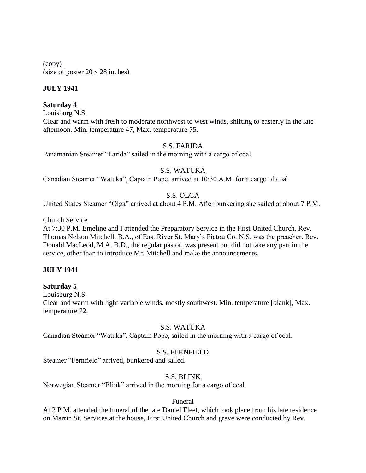(copy) (size of poster 20 x 28 inches)

# **JULY 1941**

### **Saturday 4**

Louisburg N.S. Clear and warm with fresh to moderate northwest to west winds, shifting to easterly in the late afternoon. Min. temperature 47, Max. temperature 75.

# S.S. FARIDA

Panamanian Steamer "Farida" sailed in the morning with a cargo of coal.

### S.S. WATUKA

Canadian Steamer "Watuka", Captain Pope, arrived at 10:30 A.M. for a cargo of coal.

# S.S. OLGA

United States Steamer "Olga" arrived at about 4 P.M. After bunkering she sailed at about 7 P.M.

Church Service

At 7:30 P.M. Emeline and I attended the Preparatory Service in the First United Church, Rev. Thomas Nelson Mitchell, B.A., of East River St. Mary's Pictou Co. N.S. was the preacher. Rev. Donald MacLeod, M.A. B.D., the regular pastor, was present but did not take any part in the service, other than to introduce Mr. Mitchell and make the announcements.

### **JULY 1941**

### **Saturday 5**

Louisburg N.S.

Clear and warm with light variable winds, mostly southwest. Min. temperature [blank], Max. temperature 72.

### S.S. WATUKA

Canadian Steamer "Watuka", Captain Pope, sailed in the morning with a cargo of coal.

### S.S. FERNFIELD

Steamer "Fernfield" arrived, bunkered and sailed.

### S.S. BLINK

Norwegian Steamer "Blink" arrived in the morning for a cargo of coal.

### Funeral

At 2 P.M. attended the funeral of the late Daniel Fleet, which took place from his late residence on Marrin St. Services at the house, First United Church and grave were conducted by Rev.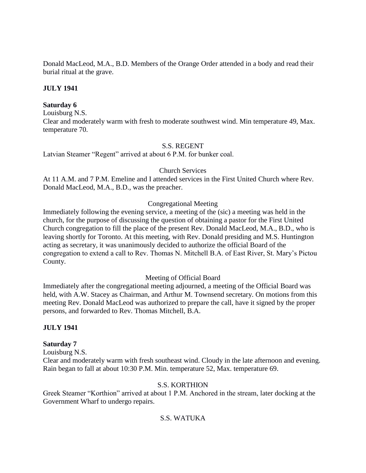Donald MacLeod, M.A., B.D. Members of the Orange Order attended in a body and read their burial ritual at the grave.

# **JULY 1941**

## **Saturday 6**

Louisburg N.S.

Clear and moderately warm with fresh to moderate southwest wind. Min temperature 49, Max. temperature 70.

### S.S. REGENT

Latvian Steamer "Regent" arrived at about 6 P.M. for bunker coal.

# Church Services

At 11 A.M. and 7 P.M. Emeline and I attended services in the First United Church where Rev. Donald MacLeod, M.A., B.D., was the preacher.

# Congregational Meeting

Immediately following the evening service, a meeting of the (sic) a meeting was held in the church, for the purpose of discussing the question of obtaining a pastor for the First United Church congregation to fill the place of the present Rev. Donald MacLeod, M.A., B.D., who is leaving shortly for Toronto. At this meeting, with Rev. Donald presiding and M.S. Huntington acting as secretary, it was unanimously decided to authorize the official Board of the congregation to extend a call to Rev. Thomas N. Mitchell B.A. of East River, St. Mary's Pictou County.

# Meeting of Official Board

Immediately after the congregational meeting adjourned, a meeting of the Official Board was held, with A.W. Stacey as Chairman, and Arthur M. Townsend secretary. On motions from this meeting Rev. Donald MacLeod was authorized to prepare the call, have it signed by the proper persons, and forwarded to Rev. Thomas Mitchell, B.A.

### **JULY 1941**

### **Saturday 7**

Louisburg N.S.

Clear and moderately warm with fresh southeast wind. Cloudy in the late afternoon and evening. Rain began to fall at about 10:30 P.M. Min. temperature 52, Max. temperature 69.

# S.S. KORTHION

Greek Steamer "Korthion" arrived at about 1 P.M. Anchored in the stream, later docking at the Government Wharf to undergo repairs.

# S.S. WATUKA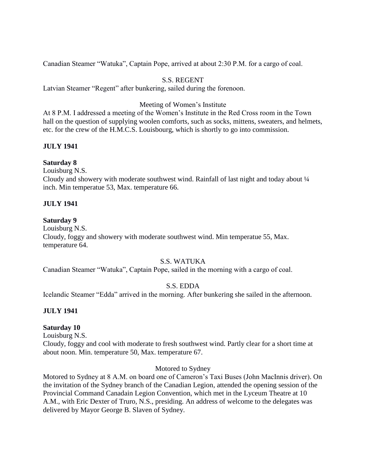Canadian Steamer "Watuka", Captain Pope, arrived at about 2:30 P.M. for a cargo of coal.

# S.S. REGENT

Latvian Steamer "Regent" after bunkering, sailed during the forenoon.

## Meeting of Women's Institute

At 8 P.M. I addressed a meeting of the Women's Institute in the Red Cross room in the Town hall on the question of supplying woolen comforts, such as socks, mittens, sweaters, and helmets, etc. for the crew of the H.M.C.S. Louisbourg, which is shortly to go into commission.

# **JULY 1941**

### **Saturday 8**

Louisburg N.S.

Cloudy and showery with moderate southwest wind. Rainfall of last night and today about ¼ inch. Min temperatue 53, Max. temperature 66.

### **JULY 1941**

### **Saturday 9**

Louisburg N.S.

Cloudy, foggy and showery with moderate southwest wind. Min temperatue 55, Max. temperature 64.

### S.S. WATUKA

Canadian Steamer "Watuka", Captain Pope, sailed in the morning with a cargo of coal.

### S.S. EDDA

Icelandic Steamer "Edda" arrived in the morning. After bunkering she sailed in the afternoon.

### **JULY 1941**

### **Saturday 10**

Louisburg N.S.

Cloudy, foggy and cool with moderate to fresh southwest wind. Partly clear for a short time at about noon. Min. temperature 50, Max. temperature 67.

### Motored to Sydney

Motored to Sydney at 8 A.M. on board one of Cameron's Taxi Buses (John MacInnis driver). On the invitation of the Sydney branch of the Canadian Legion, attended the opening session of the Provincial Command Canadain Legion Convention, which met in the Lyceum Theatre at 10 A.M., with Eric Dexter of Truro, N.S., presiding. An address of welcome to the delegates was delivered by Mayor George B. Slaven of Sydney.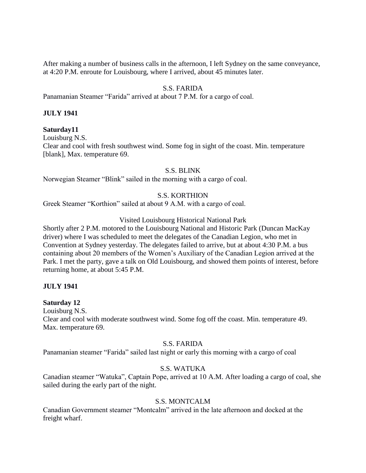After making a number of business calls in the afternoon, I left Sydney on the same conveyance, at 4:20 P.M. enroute for Louisbourg, where I arrived, about 45 minutes later.

# S.S. FARIDA

Panamanian Steamer "Farida" arrived at about 7 P.M. for a cargo of coal.

#### **JULY 1941**

#### **Saturday11**

Louisburg N.S.

Clear and cool with fresh southwest wind. Some fog in sight of the coast. Min. temperature [blank], Max. temperature 69.

#### S.S. BLINK

Norwegian Steamer "Blink" sailed in the morning with a cargo of coal.

### S.S. KORTHION

Greek Steamer "Korthion" sailed at about 9 A.M. with a cargo of coal.

#### Visited Louisbourg Historical National Park

Shortly after 2 P.M. motored to the Louisbourg National and Historic Park (Duncan MacKay driver) where I was scheduled to meet the delegates of the Canadian Legion, who met in Convention at Sydney yesterday. The delegates failed to arrive, but at about 4:30 P.M. a bus containing about 20 members of the Women's Auxiliary of the Canadian Legion arrived at the Park. I met the party, gave a talk on Old Louisbourg, and showed them points of interest, before returning home, at about 5:45 P.M.

#### **JULY 1941**

#### **Saturday 12**

Louisburg N.S.

Clear and cool with moderate southwest wind. Some fog off the coast. Min. temperature 49. Max. temperature 69.

#### S.S. FARIDA

Panamanian steamer "Farida" sailed last night or early this morning with a cargo of coal

## S.S. WATUKA

Canadian steamer "Watuka", Captain Pope, arrived at 10 A.M. After loading a cargo of coal, she sailed during the early part of the night.

#### S.S. MONTCALM

Canadian Government steamer "Montcalm" arrived in the late afternoon and docked at the freight wharf.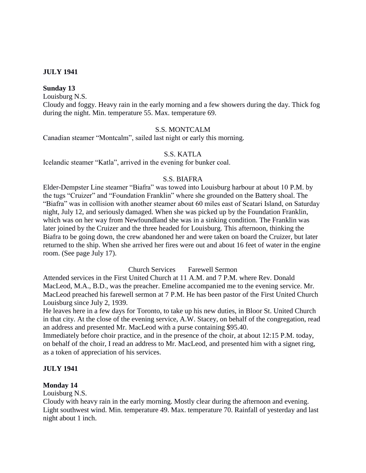### **JULY 1941**

#### **Sunday 13**

Louisburg N.S.

Cloudy and foggy. Heavy rain in the early morning and a few showers during the day. Thick fog during the night. Min. temperature 55. Max. temperature 69.

### S.S. MONTCALM

Canadian steamer "Montcalm", sailed last night or early this morning.

#### S.S. KATLA

Icelandic steamer "Katla", arrived in the evening for bunker coal.

#### S.S. BIAFRA

Elder-Dempster Line steamer "Biafra" was towed into Louisburg harbour at about 10 P.M. by the tugs "Cruizer" and "Foundation Franklin" where she grounded on the Battery shoal. The "Biafra" was in collision with another steamer about 60 miles east of Scatari Island, on Saturday night, July 12, and seriously damaged. When she was picked up by the Foundation Franklin, which was on her way from Newfoundland she was in a sinking condition. The Franklin was later joined by the Cruizer and the three headed for Louisburg. This afternoon, thinking the Biafra to be going down, the crew abandoned her and were taken on board the Cruizer, but later returned to the ship. When she arrived her fires were out and about 16 feet of water in the engine room. (See page July 17).

Church Services Farewell Sermon

Attended services in the First United Church at 11 A.M. and 7 P.M. where Rev. Donald MacLeod, M.A., B.D., was the preacher. Emeline accompanied me to the evening service. Mr. MacLeod preached his farewell sermon at 7 P.M. He has been pastor of the First United Church Louisburg since July 2, 1939.

He leaves here in a few days for Toronto, to take up his new duties, in Bloor St. United Church in that city. At the close of the evening service, A.W. Stacey, on behalf of the congregation, read an address and presented Mr. MacLeod with a purse containing \$95.40.

Immediately before choir practice, and in the presence of the choir, at about 12:15 P.M. today, on behalf of the choir, I read an address to Mr. MacLeod, and presented him with a signet ring, as a token of appreciation of his services.

#### **JULY 1941**

#### **Monday 14**

Louisburg N.S.

Cloudy with heavy rain in the early morning. Mostly clear during the afternoon and evening. Light southwest wind. Min. temperature 49. Max. temperature 70. Rainfall of yesterday and last night about 1 inch.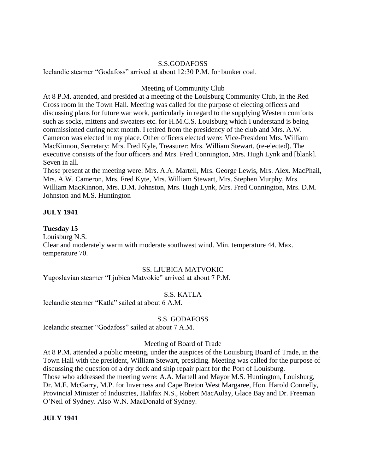#### S.S.GODAFOSS

Icelandic steamer "Godafoss" arrived at about 12:30 P.M. for bunker coal.

#### Meeting of Community Club

At 8 P.M. attended, and presided at a meeting of the Louisburg Community Club, in the Red Cross room in the Town Hall. Meeting was called for the purpose of electing officers and discussing plans for future war work, particularly in regard to the supplying Western comforts such as socks, mittens and sweaters etc. for H.M.C.S. Louisburg which I understand is being commissioned during next month. I retired from the presidency of the club and Mrs. A.W. Cameron was elected in my place. Other officers elected were: Vice-President Mrs. William MacKinnon, Secretary: Mrs. Fred Kyle, Treasurer: Mrs. William Stewart, (re-elected). The executive consists of the four officers and Mrs. Fred Connington, Mrs. Hugh Lynk and [blank]. Seven in all.

Those present at the meeting were: Mrs. A.A. Martell, Mrs. George Lewis, Mrs. Alex. MacPhail, Mrs. A.W. Cameron, Mrs. Fred Kyte, Mrs. William Stewart, Mrs. Stephen Murphy, Mrs. William MacKinnon, Mrs. D.M. Johnston, Mrs. Hugh Lynk, Mrs. Fred Connington, Mrs. D.M. Johnston and M.S. Huntington

### **JULY 1941**

### **Tuesday 15**

Louisburg N.S.

Clear and moderately warm with moderate southwest wind. Min. temperature 44. Max. temperature 70.

### SS. LJUBICA MATVOKIC

Yugoslavian steamer "Ljubica Matvokic" arrived at about 7 P.M.

#### S.S. KATLA

Icelandic steamer "Katla" sailed at about 6 A.M.

#### S.S. GODAFOSS

Icelandic steamer "Godafoss" sailed at about 7 A.M.

#### Meeting of Board of Trade

At 8 P.M. attended a public meeting, under the auspices of the Louisburg Board of Trade, in the Town Hall with the president, William Stewart, presiding. Meeting was called for the purpose of discussing the question of a dry dock and ship repair plant for the Port of Louisburg. Those who addressed the meeting were: A.A. Martell and Mayor M.S. Huntington, Louisburg, Dr. M.E. McGarry, M.P. for Inverness and Cape Breton West Margaree, Hon. Harold Connelly, Provincial Minister of Industries, Halifax N.S., Robert MacAulay, Glace Bay and Dr. Freeman O'Neil of Sydney. Also W.N. MacDonald of Sydney.

#### **JULY 1941**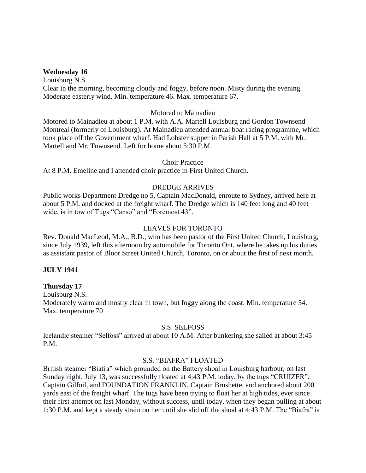#### **Wednesday 16**

Louisburg N.S. Clear in the morning, becoming cloudy and foggy, before noon. Misty during the evening. Moderate easterly wind. Min. temperature 46. Max. temperature 67.

#### Motored to Mainadieu

Motored to Mainadieu at about 1 P.M. with A.A. Martell Louisburg and Gordon Townsend Montreal (formerly of Louisburg). At Mainadieu attended annual boat racing programme, which took place off the Government wharf. Had Lobster supper in Parish Hall at 5 P.M. with Mr. Martell and Mr. Townsend. Left for home about 5:30 P.M.

#### Choir Practice

At 8 P.M. Emeline and I attended choir practice in First United Church.

## DREDGE ARRIVES

Public works Department Dredge no 5, Captain MacDonald, enroute to Sydney, arrived here at about 5 P.M. and docked at the freight wharf. The Dredge which is 140 feet long and 40 feet wide, is in tow of Tugs "Canso" and "Foremost 43".

#### LEAVES FOR TORONTO

Rev. Donald MacLeod, M.A., B.D., who has been pastor of the First United Church, Louisburg, since July 1939, left this afternoon by automobile for Toronto Ont. where he takes up his duties as assistant pastor of Bloor Street United Church, Toronto, on or about the first of next month.

### **JULY 1941**

### **Thursday 17**

Louisburg N.S. Moderately warm and mostly clear in town, but foggy along the coast. Min. temperature 54. Max. temperature 70

#### S.S. SELFOSS

Icelandic steamer "Selfoss" arrived at about 10 A.M. After bunkering she sailed at about 3:45 P.M.

#### S.S. "BIAFRA" FLOATED

British steamer "Biafra" which grounded on the Battery shoal in Louisburg harbour, on last Sunday night, July 13, was successfully floated at 4:43 P.M. today, by the tugs "CRUIZER", Captain Gilfoil, and FOUNDATION FRANKLIN, Captain Brushette, and anchored about 200 yards east of the freight wharf. The tugs have been trying to float her at high tides, ever since their first attempt on last Monday, without success, until today, when they began pulling at about 1:30 P.M. and kept a steady strain on her until she slid off the shoal at 4:43 P.M. The "Biafra" is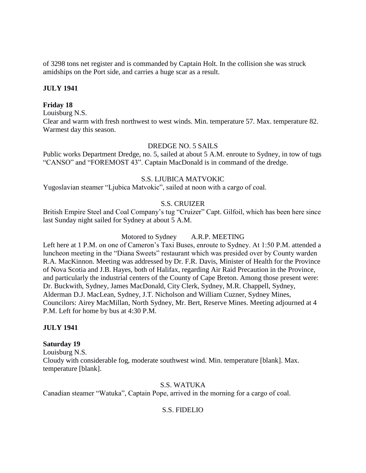of 3298 tons net register and is commanded by Captain Holt. In the collision she was struck amidships on the Port side, and carries a huge scar as a result.

## **JULY 1941**

## **Friday 18**

Louisburg N.S.

Clear and warm with fresh northwest to west winds. Min. temperature 57. Max. temperature 82. Warmest day this season.

### DREDGE NO. 5 SAILS

Public works Department Dredge, no. 5, sailed at about 5 A.M. enroute to Sydney, in tow of tugs "CANSO" and "FOREMOST 43". Captain MacDonald is in command of the dredge.

### S.S. LJUBICA MATVOKIC

Yugoslavian steamer "Ljubica Matvokic", sailed at noon with a cargo of coal.

# S.S. CRUIZER

British Empire Steel and Coal Company's tug "Cruizer" Capt. Gilfoil, which has been here since last Sunday night sailed for Sydney at about 5 A.M.

### Motored to Sydney A.R.P. MEETING

Left here at 1 P.M. on one of Cameron's Taxi Buses, enroute to Sydney. At 1:50 P.M. attended a luncheon meeting in the "Diana Sweets" restaurant which was presided over by County warden R.A. MacKinnon. Meeting was addressed by Dr. F.R. Davis, Minister of Health for the Province of Nova Scotia and J.B. Hayes, both of Halifax, regarding Air Raid Precaution in the Province, and particularly the industrial centers of the County of Cape Breton. Among those present were: Dr. Buckwith, Sydney, James MacDonald, City Clerk, Sydney, M.R. Chappell, Sydney, Alderman D.J. MacLean, Sydney, J.T. Nicholson and William Cuzner, Sydney Mines, Councilors: Airey MacMillan, North Sydney, Mr. Bert, Reserve Mines. Meeting adjourned at 4 P.M. Left for home by bus at 4:30 P.M.

### **JULY 1941**

### **Saturday 19**

Louisburg N.S. Cloudy with considerable fog, moderate southwest wind. Min. temperature [blank]. Max. temperature [blank].

## S.S. WATUKA

Canadian steamer "Watuka", Captain Pope, arrived in the morning for a cargo of coal.

# S.S. FIDELIO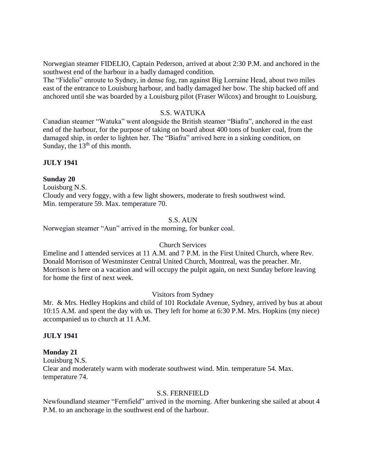Norwegian steamer FIDELIO, Captain Pederson, arrived at about 2:30 P.M. and anchored in the southwest end of the harbour in a badly damaged condition.

The "Fidelio" enroute to Sydney, in dense fog, ran against Big Lorraine Head, about two miles east of the entrance to Louisburg harbour, and badly damaged her bow. The ship backed off and anchored until she was boarded by a Louisburg pilot (Fraser Wilcox) and brought to Louisburg.

### S.S. WATUKA

Canadian steamer "Watuka" went alongside the British steamer "Biafra", anchored in the east end of the harbour, for the purpose of taking on board about 400 tons of bunker coal, from the damaged ship, in order to lighten her. The "Biafra" arrived here in a sinking condition, on Sunday, the  $13<sup>th</sup>$  of this month.

#### **JULY 1941**

#### **Sunday 20**

Louisburg N.S. Cloudy and very foggy, with a few light showers, moderate to fresh southwest wind. Min. temperature 59. Max. temperature 70.

## S.S. AUN

Norwegian steamer "Aun" arrived in the morning, for bunker coal.

#### Church Services

Emeline and I attended services at 11 A.M. and 7 P.M. in the First United Church, where Rev. Donald Morrison of Westminster Central United Church, Montreal, was the preacher. Mr. Morrison is here on a vacation and will occupy the pulpit again, on next Sunday before leaving for home the first of next week.

### Visitors from Sydney

Mr. & Mrs. Hedley Hopkins and child of 101 Rockdale Avenue, Sydney, arrived by bus at about 10:15 A.M. and spent the day with us. They left for home at 6:30 P.M. Mrs. Hopkins (my niece) accompanied us to church at 11 A.M.

#### **JULY 1941**

# **Monday 21**

Louisburg N.S. Clear and moderately warm with moderate southwest wind. Min. temperature 54. Max. temperature 74.

#### S.S. FERNFIELD

Newfoundland steamer "Fernfield" arrived in the morning. After bunkering she sailed at about 4 P.M. to an anchorage in the southwest end of the harbour.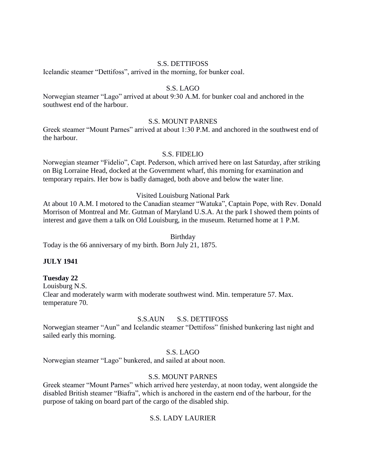#### S.S. DETTIFOSS

Icelandic steamer "Dettifoss", arrived in the morning, for bunker coal.

# S.S. LAGO

Norwegian steamer "Lago" arrived at about 9:30 A.M. for bunker coal and anchored in the southwest end of the harbour.

#### S.S. MOUNT PARNES

Greek steamer "Mount Parnes" arrived at about 1:30 P.M. and anchored in the southwest end of the harbour.

### S.S. FIDELIO

Norwegian steamer "Fidelio", Capt. Pederson, which arrived here on last Saturday, after striking on Big Lorraine Head, docked at the Government wharf, this morning for examination and temporary repairs. Her bow is badly damaged, both above and below the water line.

#### Visited Louisburg National Park

At about 10 A.M. I motored to the Canadian steamer "Watuka", Captain Pope, with Rev. Donald Morrison of Montreal and Mr. Gutman of Maryland U.S.A. At the park I showed them points of interest and gave them a talk on Old Louisburg, in the museum. Returned home at 1 P.M.

#### Birthday

Today is the 66 anniversary of my birth. Born July 21, 1875.

#### **JULY 1941**

#### **Tuesday 22**

Louisburg N.S. Clear and moderately warm with moderate southwest wind. Min. temperature 57. Max. temperature 70.

### S.S.AUN S.S. DETTIFOSS

Norwegian steamer "Aun" and Icelandic steamer "Dettifoss" finished bunkering last night and sailed early this morning.

### S.S. LAGO

Norwegian steamer "Lago" bunkered, and sailed at about noon.

### S.S. MOUNT PARNES

Greek steamer "Mount Parnes" which arrived here yesterday, at noon today, went alongside the disabled British steamer "Biafra", which is anchored in the eastern end of the harbour, for the purpose of taking on board part of the cargo of the disabled ship.

### S.S. LADY LAURIER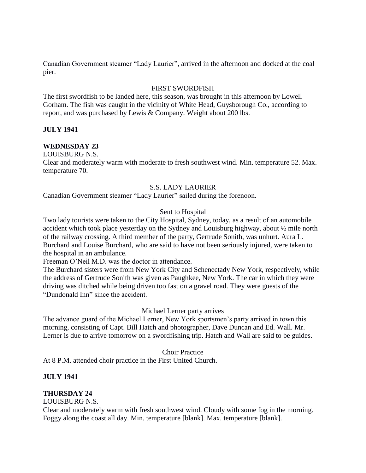Canadian Government steamer "Lady Laurier", arrived in the afternoon and docked at the coal pier.

## FIRST SWORDFISH

The first swordfish to be landed here, this season, was brought in this afternoon by Lowell Gorham. The fish was caught in the vicinity of White Head, Guysborough Co., according to report, and was purchased by Lewis & Company. Weight about 200 lbs.

# **JULY 1941**

# **WEDNESDAY 23**

LOUISBURG N.S.

Clear and moderately warm with moderate to fresh southwest wind. Min. temperature 52. Max. temperature 70.

# S.S. LADY LAURIER

Canadian Government steamer "Lady Laurier" sailed during the forenoon.

# Sent to Hospital

Two lady tourists were taken to the City Hospital, Sydney, today, as a result of an automobile accident which took place yesterday on the Sydney and Louisburg highway, about ½ mile north of the railway crossing. A third member of the party, Gertrude Sonith, was unhurt. Aura L. Burchard and Louise Burchard, who are said to have not been seriously injured, were taken to the hospital in an ambulance.

Freeman O'Neil M.D. was the doctor in attendance.

The Burchard sisters were from New York City and Schenectady New York, respectively, while the address of Gertrude Sonith was given as Paughkee, New York. The car in which they were driving was ditched while being driven too fast on a gravel road. They were guests of the "Dundonald Inn" since the accident.

### Michael Lerner party arrives

The advance guard of the Michael Lerner, New York sportsmen's party arrived in town this morning, consisting of Capt. Bill Hatch and photographer, Dave Duncan and Ed. Wall. Mr. Lerner is due to arrive tomorrow on a swordfishing trip. Hatch and Wall are said to be guides.

### Choir Practice

At 8 P.M. attended choir practice in the First United Church.

### **JULY 1941**

# **THURSDAY 24**

LOUISBURG N.S.

Clear and moderately warm with fresh southwest wind. Cloudy with some fog in the morning. Foggy along the coast all day. Min. temperature [blank]. Max. temperature [blank].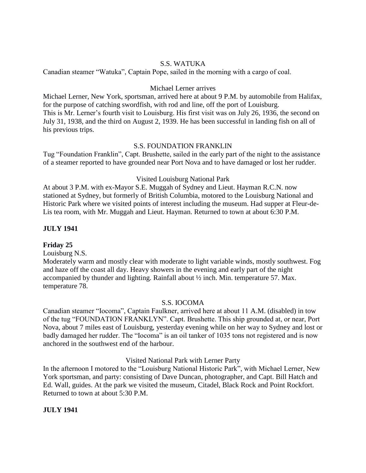# S.S. WATUKA

Canadian steamer "Watuka", Captain Pope, sailed in the morning with a cargo of coal.

### Michael Lerner arrives

Michael Lerner, New York, sportsman, arrived here at about 9 P.M. by automobile from Halifax, for the purpose of catching swordfish, with rod and line, off the port of Louisburg. This is Mr. Lerner's fourth visit to Louisburg. His first visit was on July 26, 1936, the second on July 31, 1938, and the third on August 2, 1939. He has been successful in landing fish on all of his previous trips.

# S.S. FOUNDATION FRANKLIN

Tug "Foundation Franklin", Capt. Brushette, sailed in the early part of the night to the assistance of a steamer reported to have grounded near Port Nova and to have damaged or lost her rudder.

# Visited Louisburg National Park

At about 3 P.M. with ex-Mayor S.E. Muggah of Sydney and Lieut. Hayman R.C.N. now stationed at Sydney, but formerly of British Columbia, motored to the Louisburg National and Historic Park where we visited points of interest including the museum. Had supper at Fleur-de-Lis tea room, with Mr. Muggah and Lieut. Hayman. Returned to town at about 6:30 P.M.

# **JULY 1941**

### **Friday 25**

Louisburg N.S.

Moderately warm and mostly clear with moderate to light variable winds, mostly southwest. Fog and haze off the coast all day. Heavy showers in the evening and early part of the night accompanied by thunder and lighting. Rainfall about ½ inch. Min. temperature 57. Max. temperature 78.

### S.S. IOCOMA

Canadian steamer "Iocoma", Captain Faulkner, arrived here at about 11 A.M. (disabled) in tow of the tug "FOUNDATION FRANKLYN". Capt. Brushette. This ship grounded at, or near, Port Nova, about 7 miles east of Louisburg, yesterday evening while on her way to Sydney and lost or badly damaged her rudder. The "Iocoma" is an oil tanker of 1035 tons not registered and is now anchored in the southwest end of the harbour.

Visited National Park with Lerner Party

In the afternoon I motored to the "Louisburg National Historic Park", with Michael Lerner, New York sportsman, and party: consisting of Dave Duncan, photographer, and Capt. Bill Hatch and Ed. Wall, guides. At the park we visited the museum, Citadel, Black Rock and Point Rockfort. Returned to town at about 5:30 P.M.

# **JULY 1941**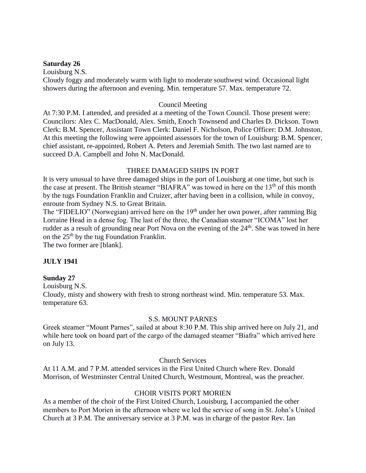#### **Saturday 26**

Louisburg N.S.

Cloudy foggy and moderately warm with light to moderate southwest wind. Occasional light showers during the afternoon and evening. Min. temperature 57. Max. temperature 72.

#### Council Meeting

At 7:30 P.M. I attended, and presided at a meeting of the Town Council. Those present were: Councilors: Alex C. MacDonald, Alex. Smith, Enoch Townsend and Charles D. Dickson. Town Clerk: B.M. Spencer, Assistant Town Clerk: Daniel F. Nicholson, Police Officer: D.M. Johnston. At this meeting the following were appointed assessors for the town of Louisburg: B.M. Spencer, chief assistant, re-appointed, Robert A. Peters and Jeremiah Smith. The two last named are to succeed D.A. Campbell and John N. MacDonald.

### THREE DAMAGED SHIPS IN PORT

It is very unusual to have three damaged ships in the port of Louisburg at one time, but such is the case at present. The British steamer "BIAFRA" was towed in here on the 13<sup>th</sup> of this month by the tugs Foundation Franklin and Cruizer, after having been in a collision, while in convoy, enroute from Sydney N.S. to Great Britain.

The "FIDELIO" (Norwegian) arrived here on the 19<sup>th</sup> under her own power, after ramming Big Lorraine Head in a dense fog. The last of the three, the Canadian steamer "ICOMA" lost her rudder as a result of grounding near Port Nova on the evening of the 24<sup>th</sup>. She was towed in here on the  $25<sup>th</sup>$  by the tug Foundation Franklin.

The two former are [blank].

# **JULY 1941**

#### **Sunday 27**

Louisburg N.S.

Cloudy, misty and showery with fresh to strong northeast wind. Min. temperature 53. Max. temperature 63.

#### S.S. MOUNT PARNES

Greek steamer "Mount Parnes", sailed at about 8:30 P.M. This ship arrived here on July 21, and while here took on board part of the cargo of the damaged steamer "Biafra" which arrived here on July 13.

Church Services

At 11 A.M. and 7 P.M. attended services in the First United Church where Rev. Donald Morrison, of Westminster Central United Church, Westmount, Montreal, was the preacher.

# CHOIR VISITS PORT MORIEN

As a member of the choir of the First United Church, Louisburg, I accompanied the other members to Port Morien in the afternoon where we led the service of song in St. John's United Church at 3 P.M. The anniversary service at 3 P.M. was in charge of the pastor Rev. Ian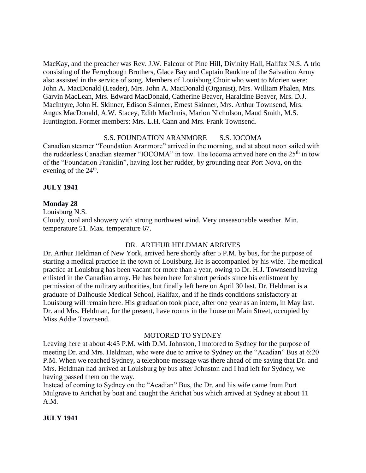MacKay, and the preacher was Rev. J.W. Falcour of Pine Hill, Divinity Hall, Halifax N.S. A trio consisting of the Fernybough Brothers, Glace Bay and Captain Raukine of the Salvation Army also assisted in the service of song. Members of Louisburg Choir who went to Morien were: John A. MacDonald (Leader), Mrs. John A. MacDonald (Organist), Mrs. William Phalen, Mrs. Garvin MacLean, Mrs. Edward MacDonald, Catherine Beaver, Haraldine Beaver, Mrs. D.J. MacIntyre, John H. Skinner, Edison Skinner, Ernest Skinner, Mrs. Arthur Townsend, Mrs. Angus MacDonald, A.W. Stacey, Edith MacInnis, Marion Nicholson, Maud Smith, M.S. Huntington. Former members: Mrs. L.H. Cann and Mrs. Frank Townsend.

### S.S. FOUNDATION ARANMORE S.S. IOCOMA

Canadian steamer "Foundation Aranmore" arrived in the morning, and at about noon sailed with the rudderless Canadian steamer "IOCOMA" in tow. The Iocoma arrived here on the 25<sup>th</sup> in tow of the "Foundation Franklin", having lost her rudder, by grounding near Port Nova, on the evening of the  $24<sup>th</sup>$ .

#### **JULY 1941**

#### **Monday 28**

Louisburg N.S.

Cloudy, cool and showery with strong northwest wind. Very unseasonable weather. Min. temperature 51. Max. temperature 67.

#### DR. ARTHUR HELDMAN ARRIVES

Dr. Arthur Heldman of New York, arrived here shortly after 5 P.M. by bus, for the purpose of starting a medical practice in the town of Louisburg. He is accompanied by his wife. The medical practice at Louisburg has been vacant for more than a year, owing to Dr. H.J. Townsend having enlisted in the Canadian army. He has been here for short periods since his enlistment by permission of the military authorities, but finally left here on April 30 last. Dr. Heldman is a graduate of Dalhousie Medical School, Halifax, and if he finds conditions satisfactory at Louisburg will remain here. His graduation took place, after one year as an intern, in May last. Dr. and Mrs. Heldman, for the present, have rooms in the house on Main Street, occupied by Miss Addie Townsend.

#### MOTORED TO SYDNEY

Leaving here at about 4:45 P.M. with D.M. Johnston, I motored to Sydney for the purpose of meeting Dr. and Mrs. Heldman, who were due to arrive to Sydney on the "Acadian" Bus at 6:20 P.M. When we reached Sydney, a telephone message was there ahead of me saying that Dr. and Mrs. Heldman had arrived at Louisburg by bus after Johnston and I had left for Sydney, we having passed them on the way.

Instead of coming to Sydney on the "Acadian" Bus, the Dr. and his wife came from Port Mulgrave to Arichat by boat and caught the Arichat bus which arrived at Sydney at about 11 A.M.

**JULY 1941**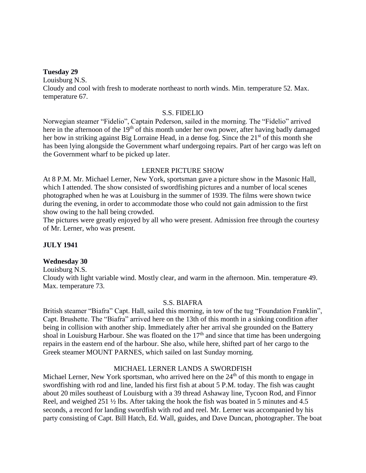#### **Tuesday 29**

Louisburg N.S.

Cloudy and cool with fresh to moderate northeast to north winds. Min. temperature 52. Max. temperature 67.

#### S.S. FIDELIO

Norwegian steamer "Fidelio", Captain Pederson, sailed in the morning. The "Fidelio" arrived here in the afternoon of the 19<sup>th</sup> of this month under her own power, after having badly damaged her bow in striking against Big Lorraine Head, in a dense fog. Since the 21<sup>st</sup> of this month she has been lying alongside the Government wharf undergoing repairs. Part of her cargo was left on the Government wharf to be picked up later.

#### LERNER PICTURE SHOW

At 8 P.M. Mr. Michael Lerner, New York, sportsman gave a picture show in the Masonic Hall, which I attended. The show consisted of swordfishing pictures and a number of local scenes photographed when he was at Louisburg in the summer of 1939. The films were shown twice during the evening, in order to accommodate those who could not gain admission to the first show owing to the hall being crowded.

The pictures were greatly enjoyed by all who were present. Admission free through the courtesy of Mr. Lerner, who was present.

#### **JULY 1941**

#### **Wednesday 30**

Louisburg N.S.

Cloudy with light variable wind. Mostly clear, and warm in the afternoon. Min. temperature 49. Max. temperature 73.

#### S.S. BIAFRA

British steamer "Biafra" Capt. Hall, sailed this morning, in tow of the tug "Foundation Franklin", Capt. Brushette. The "Biafra" arrived here on the 13th of this month in a sinking condition after being in collision with another ship. Immediately after her arrival she grounded on the Battery shoal in Louisburg Harbour. She was floated on the  $17<sup>th</sup>$  and since that time has been undergoing repairs in the eastern end of the harbour. She also, while here, shifted part of her cargo to the Greek steamer MOUNT PARNES, which sailed on last Sunday morning.

#### MICHAEL LERNER LANDS A SWORDFISH

Michael Lerner, New York sportsman, who arrived here on the 24<sup>th</sup> of this month to engage in swordfishing with rod and line, landed his first fish at about 5 P.M. today. The fish was caught about 20 miles southeast of Louisburg with a 39 thread Ashaway line, Tycoon Rod, and Finnor Reel, and weighed 251 ½ lbs. After taking the hook the fish was boated in 5 minutes and 4.5 seconds, a record for landing swordfish with rod and reel. Mr. Lerner was accompanied by his party consisting of Capt. Bill Hatch, Ed. Wall, guides, and Dave Duncan, photographer. The boat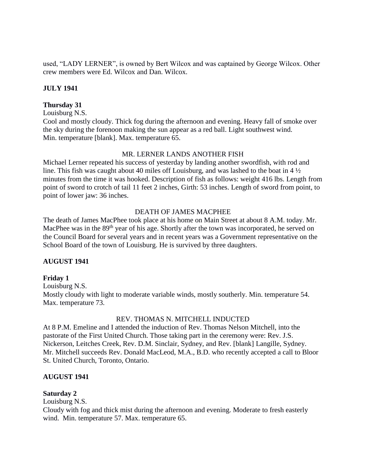used, "LADY LERNER", is owned by Bert Wilcox and was captained by George Wilcox. Other crew members were Ed. Wilcox and Dan. Wilcox.

### **JULY 1941**

#### **Thursday 31**

Louisburg N.S.

Cool and mostly cloudy. Thick fog during the afternoon and evening. Heavy fall of smoke over the sky during the forenoon making the sun appear as a red ball. Light southwest wind. Min. temperature [blank]. Max. temperature 65.

### MR. LERNER LANDS ANOTHER FISH

Michael Lerner repeated his success of yesterday by landing another swordfish, with rod and line. This fish was caught about 40 miles off Louisburg, and was lashed to the boat in 4 ½ minutes from the time it was hooked. Description of fish as follows: weight 416 lbs. Length from point of sword to crotch of tail 11 feet 2 inches, Girth: 53 inches. Length of sword from point, to point of lower jaw: 36 inches.

### DEATH OF JAMES MACPHEE

The death of James MacPhee took place at his home on Main Street at about 8 A.M. today. Mr. MacPhee was in the 89<sup>th</sup> year of his age. Shortly after the town was incorporated, he served on the Council Board for several years and in recent years was a Government representative on the School Board of the town of Louisburg. He is survived by three daughters.

#### **AUGUST 1941**

# **Friday 1**

Louisburg N.S. Mostly cloudy with light to moderate variable winds, mostly southerly. Min. temperature 54. Max. temperature 73.

#### REV. THOMAS N. MITCHELL INDUCTED

At 8 P.M. Emeline and I attended the induction of Rev. Thomas Nelson Mitchell, into the pastorate of the First United Church. Those taking part in the ceremony were: Rev. J.S. Nickerson, Leitches Creek, Rev. D.M. Sinclair, Sydney, and Rev. [blank] Langille, Sydney. Mr. Mitchell succeeds Rev. Donald MacLeod, M.A., B.D. who recently accepted a call to Bloor St. United Church, Toronto, Ontario.

#### **AUGUST 1941**

# **Saturday 2**

### Louisburg N.S.

Cloudy with fog and thick mist during the afternoon and evening. Moderate to fresh easterly wind. Min. temperature 57. Max. temperature 65.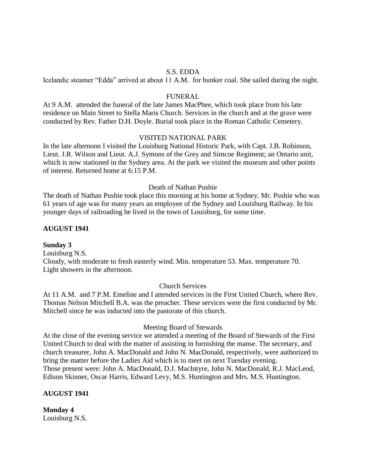#### S.S. EDDA

Icelandic steamer "Edda" arrived at about 11 A.M. for bunker coal. She sailed during the night.

#### FUNERAL

At 9 A.M. attended the funeral of the late James MacPhee, which took place from his late residence on Main Street to Stella Maris Church. Services in the church and at the grave were conducted by Rev. Father D.H. Doyle. Burial took place in the Roman Catholic Cemetery.

#### VISITED NATIONAL PARK

In the late afternoon I visited the Louisburg National Historic Park, with Capt. J.B. Robinson, Lieut. J.R. Wilson and Lieut. A.J. Symons of the Grey and Simcoe Regiment; an Ontario unit, which is now stationed in the Sydney area. At the park we visited the museum and other points of interest. Returned home at 6:15 P.M.

#### Death of Nathan Pushie

The death of Nathan Pushie took place this morning at his home at Sydney. Mr. Pushie who was 61 years of age was for many years an employee of the Sydney and Louisburg Railway. In his younger days of railroading he lived in the town of Louisburg, for some time.

#### **AUGUST 1941**

#### **Sunday 3**

Louisburg N.S. Cloudy, with moderate to fresh easterly wind. Min. temperature 53. Max. temperature 70. Light showers in the afternoon.

#### Church Services

At 11 A.M. and 7 P.M. Emeline and I attended services in the First United Church, where Rev. Thomas Nelson Mitchell B.A. was the preacher. These services were the first conducted by Mr. Mitchell since he was inducted into the pastorate of this church.

#### Meeting Board of Stewards

At the close of the evening service we attended a meeting of the Board of Stewards of the First United Church to deal with the matter of assisting in furnishing the manse. The secretary, and church treasurer, John A. MacDonald and John N. MacDonald, respectively, were authorized to bring the matter before the Ladies Aid which is to meet on next Tuesday evening. Those present were: John A. MacDonald, D.J. MacIntyre, John N. MacDonald, R.J. MacLeod, Edison Skinner, Oscar Harris, Edward Levy, M.S. Huntington and Mrs. M.S. Huntington.

#### **AUGUST 1941**

**Monday 4** Louisburg N.S.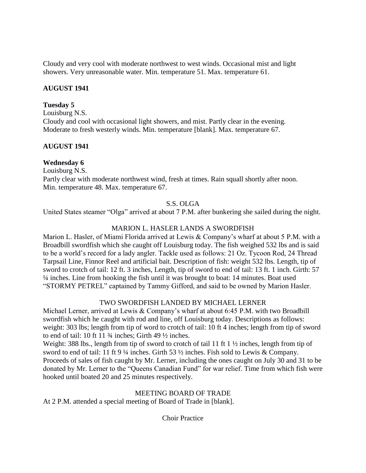Cloudy and very cool with moderate northwest to west winds. Occasional mist and light showers. Very unreasonable water. Min. temperature 51. Max. temperature 61.

# **AUGUST 1941**

# **Tuesday 5**

Louisburg N.S.

Cloudy and cool with occasional light showers, and mist. Partly clear in the evening. Moderate to fresh westerly winds. Min. temperature [blank]. Max. temperature 67.

# **AUGUST 1941**

# **Wednesday 6**

Louisburg N.S. Partly clear with moderate northwest wind, fresh at times. Rain squall shortly after noon. Min. temperature 48. Max. temperature 67.

# S.S. OLGA

United States steamer "Olga" arrived at about 7 P.M. after bunkering she sailed during the night.

# MARION L. HASLER LANDS A SWORDFISH

Marion L. Hasler, of Miami Florida arrived at Lewis & Company's wharf at about 5 P.M. with a Broadbill swordfish which she caught off Louisburg today. The fish weighed 532 lbs and is said to be a world's record for a lady angler. Tackle used as follows: 21 Oz. Tycoon Rod, 24 Thread Tarpsail Line, Finnor Reel and artificial bait. Description of fish: weight 532 lbs. Length, tip of sword to crotch of tail: 12 ft. 3 inches, Length, tip of sword to end of tail: 13 ft. 1 inch. Girth: 57 ¼ inches. Line from hooking the fish until it was brought to boat: 14 minutes. Boat used "STORMY PETREL" captained by Tammy Gifford, and said to be owned by Marion Hasler.

# TWO SWORDFISH LANDED BY MICHAEL LERNER

Michael Lerner, arrived at Lewis & Company's wharf at about 6:45 P.M. with two Broadbill swordfish which he caught with rod and line, off Louisburg today. Descriptions as follows: weight: 303 lbs; length from tip of word to crotch of tail: 10 ft 4 inches; length from tip of sword to end of tail: 10 ft 11  $\frac{3}{4}$  inches; Girth 49  $\frac{1}{2}$  inches.

Weight: 388 lbs., length from tip of sword to crotch of tail 11 ft 1 ½ inches, length from tip of sword to end of tail: 11 ft 9 ¼ inches. Girth 53 ½ inches. Fish sold to Lewis & Company. Proceeds of sales of fish caught by Mr. Lerner, including the ones caught on July 30 and 31 to be donated by Mr. Lerner to the "Queens Canadian Fund" for war relief. Time from which fish were hooked until boated 20 and 25 minutes respectively.

# MEETING BOARD OF TRADE

At 2 P.M. attended a special meeting of Board of Trade in [blank].

Choir Practice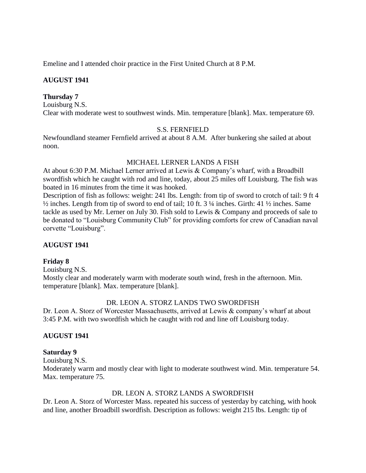Emeline and I attended choir practice in the First United Church at 8 P.M.

# **AUGUST 1941**

# **Thursday 7**

Louisburg N.S. Clear with moderate west to southwest winds. Min. temperature [blank]. Max. temperature 69.

# S.S. FERNFIELD

Newfoundland steamer Fernfield arrived at about 8 A.M. After bunkering she sailed at about noon.

# MICHAEL LERNER LANDS A FISH

At about 6:30 P.M. Michael Lerner arrived at Lewis & Company's wharf, with a Broadbill swordfish which he caught with rod and line, today, about 25 miles off Louisburg. The fish was boated in 16 minutes from the time it was hooked.

Description of fish as follows: weight: 241 lbs. Length: from tip of sword to crotch of tail: 9 ft 4 ½ inches. Length from tip of sword to end of tail; 10 ft. 3 ¼ inches. Girth: 41 ½ inches. Same tackle as used by Mr. Lerner on July 30. Fish sold to Lewis & Company and proceeds of sale to be donated to "Louisburg Community Club" for providing comforts for crew of Canadian naval corvette "Louisburg".

# **AUGUST 1941**

# **Friday 8**

Louisburg N.S. Mostly clear and moderately warm with moderate south wind, fresh in the afternoon. Min.

temperature [blank]. Max. temperature [blank].

# DR. LEON A. STORZ LANDS TWO SWORDFISH

Dr. Leon A. Storz of Worcester Massachusetts, arrived at Lewis & company's wharf at about 3:45 P.M. with two swordfish which he caught with rod and line off Louisburg today.

# **AUGUST 1941**

# **Saturday 9**

Louisburg N.S.

Moderately warm and mostly clear with light to moderate southwest wind. Min. temperature 54. Max. temperature 75.

# DR. LEON A. STORZ LANDS A SWORDFISH

Dr. Leon A. Storz of Worcester Mass. repeated his success of yesterday by catching, with hook and line, another Broadbill swordfish. Description as follows: weight 215 lbs. Length: tip of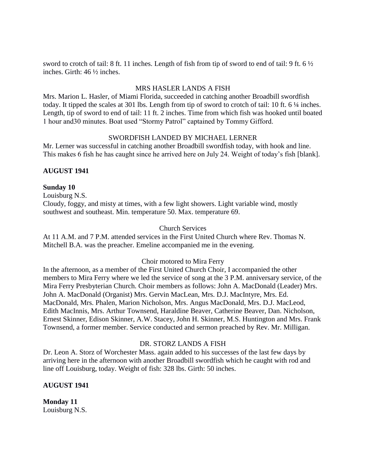sword to crotch of tail: 8 ft. 11 inches. Length of fish from tip of sword to end of tail: 9 ft. 6 ½ inches. Girth: 46 ½ inches.

#### MRS HASLER LANDS A FISH

Mrs. Marion L. Hasler, of Miami Florida, succeeded in catching another Broadbill swordfish today. It tipped the scales at 301 lbs. Length from tip of sword to crotch of tail: 10 ft. 6 ¼ inches. Length, tip of sword to end of tail: 11 ft. 2 inches. Time from which fish was hooked until boated 1 hour and30 minutes. Boat used "Stormy Patrol" captained by Tommy Gifford.

### SWORDFISH LANDED BY MICHAEL LERNER

Mr. Lerner was successful in catching another Broadbill swordfish today, with hook and line. This makes 6 fish he has caught since he arrived here on July 24. Weight of today's fish [blank].

# **AUGUST 1941**

# **Sunday 10**

Louisburg N.S. Cloudy, foggy, and misty at times, with a few light showers. Light variable wind, mostly southwest and southeast. Min. temperature 50. Max. temperature 69.

# Church Services

At 11 A.M. and 7 P.M. attended services in the First United Church where Rev. Thomas N. Mitchell B.A. was the preacher. Emeline accompanied me in the evening.

# Choir motored to Mira Ferry

In the afternoon, as a member of the First United Church Choir, I accompanied the other members to Mira Ferry where we led the service of song at the 3 P.M. anniversary service, of the Mira Ferry Presbyterian Church. Choir members as follows: John A. MacDonald (Leader) Mrs. John A. MacDonald (Organist) Mrs. Gervin MacLean, Mrs. D.J. MacIntyre, Mrs. Ed. MacDonald, Mrs. Phalen, Marion Nicholson, Mrs. Angus MacDonald, Mrs. D.J. MacLeod, Edith MacInnis, Mrs. Arthur Townsend, Haraldine Beaver, Catherine Beaver, Dan. Nicholson, Ernest Skinner, Edison Skinner, A.W. Stacey, John H. Skinner, M.S. Huntington and Mrs. Frank Townsend, a former member. Service conducted and sermon preached by Rev. Mr. Milligan.

#### DR. STORZ LANDS A FISH

Dr. Leon A. Storz of Worchester Mass. again added to his successes of the last few days by arriving here in the afternoon with another Broadbill swordfish which he caught with rod and line off Louisburg, today. Weight of fish: 328 lbs. Girth: 50 inches.

# **AUGUST 1941**

**Monday 11** Louisburg N.S.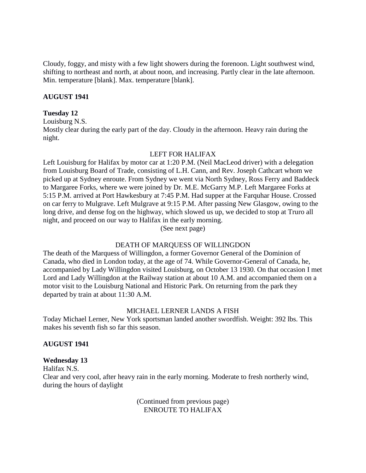Cloudy, foggy, and misty with a few light showers during the forenoon. Light southwest wind, shifting to northeast and north, at about noon, and increasing. Partly clear in the late afternoon. Min. temperature [blank]. Max. temperature [blank].

#### **AUGUST 1941**

#### **Tuesday 12**

Louisburg N.S.

Mostly clear during the early part of the day. Cloudy in the afternoon. Heavy rain during the night.

#### LEFT FOR HALIFAX

Left Louisburg for Halifax by motor car at 1:20 P.M. (Neil MacLeod driver) with a delegation from Louisburg Board of Trade, consisting of L.H. Cann, and Rev. Joseph Cathcart whom we picked up at Sydney enroute. From Sydney we went via North Sydney, Ross Ferry and Baddeck to Margaree Forks, where we were joined by Dr. M.E. McGarry M.P. Left Margaree Forks at 5:15 P.M. arrived at Port Hawkesbury at 7:45 P.M. Had supper at the Farquhar House. Crossed on car ferry to Mulgrave. Left Mulgrave at 9:15 P.M. After passing New Glasgow, owing to the long drive, and dense fog on the highway, which slowed us up, we decided to stop at Truro all night, and proceed on our way to Halifax in the early morning.

(See next page)

# DEATH OF MARQUESS OF WILLINGDON

The death of the Marquess of Willingdon, a former Governor General of the Dominion of Canada, who died in London today, at the age of 74. While Governor-General of Canada, he, accompanied by Lady Willingdon visited Louisburg, on October 13 1930. On that occasion I met Lord and Lady Willingdon at the Railway station at about 10 A.M. and accompanied them on a motor visit to the Louisburg National and Historic Park. On returning from the park they departed by train at about 11:30 A.M.

# MICHAEL LERNER LANDS A FISH

Today Michael Lerner, New York sportsman landed another swordfish. Weight: 392 lbs. This makes his seventh fish so far this season.

#### **AUGUST 1941**

#### **Wednesday 13**

Halifax N.S.

Clear and very cool, after heavy rain in the early morning. Moderate to fresh northerly wind, during the hours of daylight

> (Continued from previous page) ENROUTE TO HALIFAX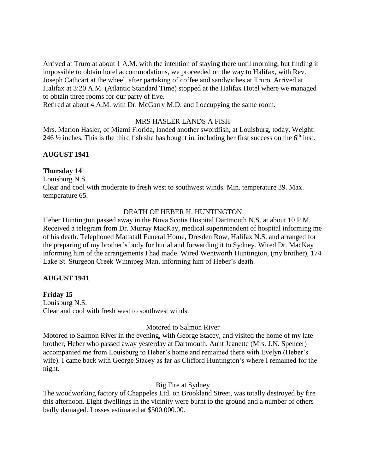Arrived at Truro at about 1 A.M. with the intention of staying there until morning, but finding it impossible to obtain hotel accommodations, we proceeded on the way to Halifax, with Rev. Joseph Cathcart at the wheel, after partaking of coffee and sandwiches at Truro. Arrived at Halifax at 3:20 A.M. (Atlantic Standard Time) stopped at the Halifax Hotel where we managed to obtain three rooms for our party of five.

Retired at about 4 A.M. with Dr. McGarry M.D. and I occupying the same room.

#### MRS HASLER LANDS A FISH

Mrs. Marion Hasler, of Miami Florida, landed another swordfish, at Louisburg, today. Weight: 246  $\frac{1}{2}$  inches. This is the third fish she has bought in, including her first success on the 6<sup>th</sup> inst.

### **AUGUST 1941**

#### **Thursday 14**

Louisburg N.S. Clear and cool with moderate to fresh west to southwest winds. Min. temperature 39. Max. temperature 65.

#### DEATH OF HEBER H. HUNTINGTON

Heber Huntington passed away in the Nova Scotia Hospital Dartmouth N.S. at about 10 P.M. Received a telegram from Dr. Murray MacKay, medical superintendent of hospital informing me of his death. Telephoned Mattatall Funeral Home, Dresden Row, Halifax N.S. and arranged for the preparing of my brother's body for burial and forwarding it to Sydney. Wired Dr. MacKay informing him of the arrangements I had made. Wired Wentworth Huntington, (my brother), 174 Lake St. Sturgeon Creek Winnipeg Man. informing him of Heber's death.

#### **AUGUST 1941**

**Friday 15** Louisburg N.S. Clear and cool with fresh west to southwest winds.

#### Motored to Salmon River

Motored to Salmon River in the evening, with George Stacey, and visited the home of my late brother, Heber who passed away yesterday at Dartmouth. Aunt Jeanette (Mrs. J.N. Spencer) accompanied me from Louisburg to Heber's home and remained there with Evelyn (Heber's wife). I came back with George Stacey as far as Clifford Huntington's where I remained for the night.

#### Big Fire at Sydney

The woodworking factory of Chappeles Ltd. on Brookland Street, was totally destroyed by fire this afternoon. Eight dwellings in the vicinity were burnt to the ground and a number of others badly damaged. Losses estimated at \$500,000.00.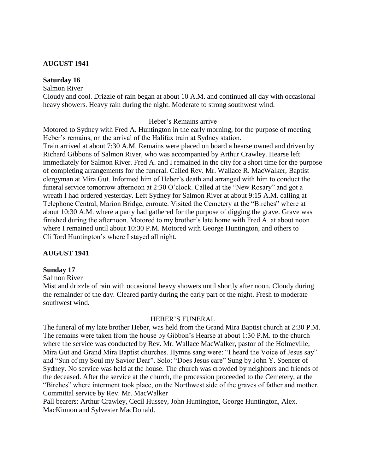#### **AUGUST 1941**

#### **Saturday 16**

Salmon River

Cloudy and cool. Drizzle of rain began at about 10 A.M. and continued all day with occasional heavy showers. Heavy rain during the night. Moderate to strong southwest wind.

#### Heber's Remains arrive

Motored to Sydney with Fred A. Huntington in the early morning, for the purpose of meeting Heber's remains, on the arrival of the Halifax train at Sydney station. Train arrived at about 7:30 A.M. Remains were placed on board a hearse owned and driven by Richard Gibbons of Salmon River, who was accompanied by Arthur Crawley. Hearse left immediately for Salmon River. Fred A. and I remained in the city for a short time for the purpose of completing arrangements for the funeral. Called Rev. Mr. Wallace R. MacWalker, Baptist clergyman at Mira Gut. Informed him of Heber's death and arranged with him to conduct the funeral service tomorrow afternoon at 2:30 O'clock. Called at the "New Rosary" and got a wreath I had ordered yesterday. Left Sydney for Salmon River at about 9:15 A.M. calling at Telephone Central, Marion Bridge, enroute. Visited the Cemetery at the "Birches" where at about 10:30 A.M. where a party had gathered for the purpose of digging the grave. Grave was finished during the afternoon. Motored to my brother's late home with Fred A. at about noon where I remained until about 10:30 P.M. Motored with George Huntington, and others to Clifford Huntington's where I stayed all night.

### **AUGUST 1941**

#### **Sunday 17**

Salmon River

Mist and drizzle of rain with occasional heavy showers until shortly after noon. Cloudy during the remainder of the day. Cleared partly during the early part of the night. Fresh to moderate southwest wind.

#### HEBER'S FUNERAL

The funeral of my late brother Heber, was held from the Grand Mira Baptist church at 2:30 P.M. The remains were taken from the house by Gibbon's Hearse at about 1:30 P.M. to the church where the service was conducted by Rev. Mr. Wallace MacWalker, pastor of the Holmeville, Mira Gut and Grand Mira Baptist churches. Hymns sang were: "I heard the Voice of Jesus say" and "Sun of my Soul my Savior Dear". Solo: "Does Jesus care" Sung by John Y. Spencer of Sydney. No service was held at the house. The church was crowded by neighbors and friends of the deceased. After the service at the church, the procession proceeded to the Cemetery, at the "Birches" where interment took place, on the Northwest side of the graves of father and mother. Committal service by Rev. Mr. MacWalker

Pall bearers: Arthur Crawley, Cecil Hussey, John Huntington, George Huntington, Alex. MacKinnon and Sylvester MacDonald.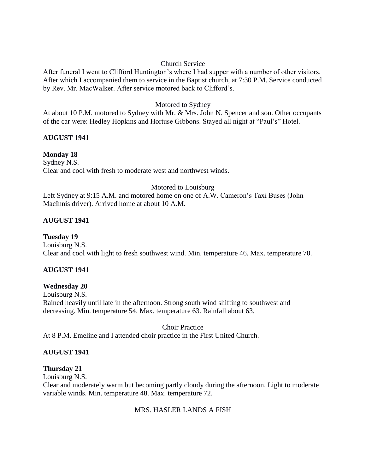#### Church Service

After funeral I went to Clifford Huntington's where I had supper with a number of other visitors. After which I accompanied them to service in the Baptist church, at 7:30 P.M. Service conducted by Rev. Mr. MacWalker. After service motored back to Clifford's.

### Motored to Sydney

At about 10 P.M. motored to Sydney with Mr. & Mrs. John N. Spencer and son. Other occupants of the car were: Hedley Hopkins and Hortuse Gibbons. Stayed all night at "Paul's" Hotel.

# **AUGUST 1941**

### **Monday 18**

Sydney N.S. Clear and cool with fresh to moderate west and northwest winds.

#### Motored to Louisburg

Left Sydney at 9:15 A.M. and motored home on one of A.W. Cameron's Taxi Buses (John MacInnis driver). Arrived home at about 10 A.M.

# **AUGUST 1941**

**Tuesday 19** Louisburg N.S. Clear and cool with light to fresh southwest wind. Min. temperature 46. Max. temperature 70.

# **AUGUST 1941**

# **Wednesday 20**

Louisburg N.S. Rained heavily until late in the afternoon. Strong south wind shifting to southwest and decreasing. Min. temperature 54. Max. temperature 63. Rainfall about 63.

Choir Practice At 8 P.M. Emeline and I attended choir practice in the First United Church.

#### **AUGUST 1941**

# **Thursday 21**

Louisburg N.S.

Clear and moderately warm but becoming partly cloudy during the afternoon. Light to moderate variable winds. Min. temperature 48. Max. temperature 72.

#### MRS. HASLER LANDS A FISH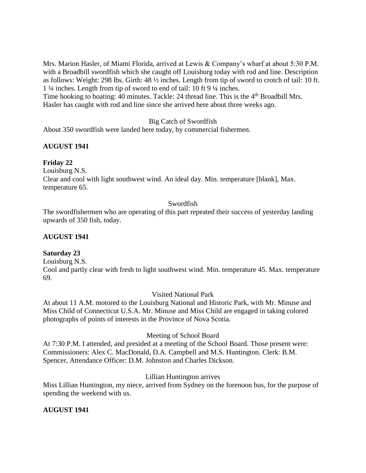Mrs. Marion Hasler, of Miami Florida, arrived at Lewis & Company's wharf at about 5:30 P.M. with a Broadbill swordfish which she caught off Louisburg today with rod and line. Description as follows: Weight: 298 lbs. Girth: 48 ½ inches. Length from tip of sword to crotch of tail: 10 ft. 1 ¼ inches. Length from tip of sword to end of tail: 10 ft 9 ¼ inches.

Time hooking to boating: 40 minutes. Tackle: 24 thread line. This is the 4<sup>th</sup> Broadbill Mrs. Hasler has caught with rod and line since she arrived here about three weeks ago.

Big Catch of Swordfish

About 350 swordfish were landed here today, by commercial fishermen.

# **AUGUST 1941**

# **Friday 22**

Louisburg N.S.

Clear and cool with light southwest wind. An ideal day. Min. temperature [blank], Max. temperature 65.

### Swordfish

The swordfishermen who are operating of this part repeated their success of yesterday landing upwards of 350 fish, today.

# **AUGUST 1941**

# **Saturday 23**

Louisburg N.S.

Cool and partly clear with fresh to light southwest wind. Min. temperature 45. Max. temperature 69.

Visited National Park

At about 11 A.M. motored to the Louisburg National and Historic Park, with Mr. Minuse and Miss Child of Connecticut U.S.A. Mr. Minuse and Miss Child are engaged in taking colored photographs of points of interests in the Province of Nova Scotia.

# Meeting of School Board

At 7:30 P.M. I attended, and presided at a meeting of the School Board. Those present were: Commissioners: Alex C. MacDonald, D.A. Campbell and M.S. Huntington. Clerk: B.M. Spencer, Attendance Officer: D.M. Johnston and Charles Dickson.

# Lillian Huntington arrives

Miss Lillian Huntington, my niece, arrived from Sydney on the forenoon bus, for the purpose of spending the weekend with us.

# **AUGUST 1941**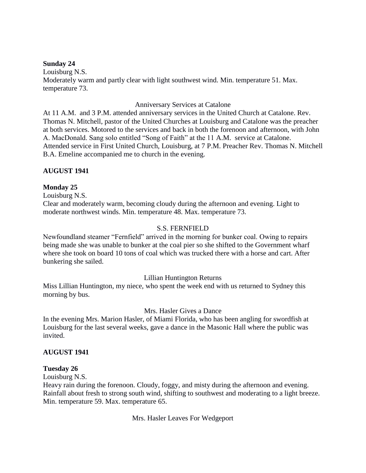#### **Sunday 24**

Louisburg N.S. Moderately warm and partly clear with light southwest wind. Min. temperature 51. Max. temperature 73.

### Anniversary Services at Catalone

At 11 A.M. and 3 P.M. attended anniversary services in the United Church at Catalone. Rev. Thomas N. Mitchell, pastor of the United Churches at Louisburg and Catalone was the preacher at both services. Motored to the services and back in both the forenoon and afternoon, with John A. MacDonald. Sang solo entitled "Song of Faith" at the 11 A.M. service at Catalone. Attended service in First United Church, Louisburg, at 7 P.M. Preacher Rev. Thomas N. Mitchell B.A. Emeline accompanied me to church in the evening.

# **AUGUST 1941**

# **Monday 25**

Louisburg N.S.

Clear and moderately warm, becoming cloudy during the afternoon and evening. Light to moderate northwest winds. Min. temperature 48. Max. temperature 73.

### S.S. FERNFIELD

Newfoundland steamer "Fernfield" arrived in the morning for bunker coal. Owing to repairs being made she was unable to bunker at the coal pier so she shifted to the Government wharf where she took on board 10 tons of coal which was trucked there with a horse and cart. After bunkering she sailed.

# Lillian Huntington Returns

Miss Lillian Huntington, my niece, who spent the week end with us returned to Sydney this morning by bus.

# Mrs. Hasler Gives a Dance

In the evening Mrs. Marion Hasler, of Miami Florida, who has been angling for swordfish at Louisburg for the last several weeks, gave a dance in the Masonic Hall where the public was invited.

#### **AUGUST 1941**

# **Tuesday 26**

Louisburg N.S.

Heavy rain during the forenoon. Cloudy, foggy, and misty during the afternoon and evening. Rainfall about fresh to strong south wind, shifting to southwest and moderating to a light breeze. Min. temperature 59. Max. temperature 65.

Mrs. Hasler Leaves For Wedgeport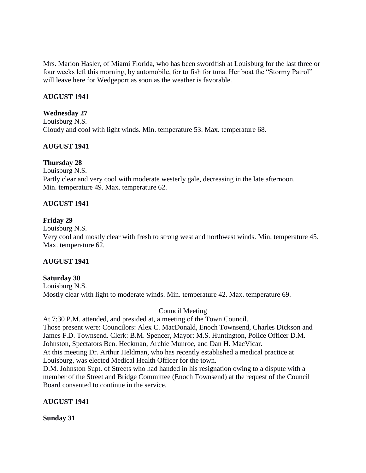Mrs. Marion Hasler, of Miami Florida, who has been swordfish at Louisburg for the last three or four weeks left this morning, by automobile, for to fish for tuna. Her boat the "Stormy Patrol" will leave here for Wedgeport as soon as the weather is favorable.

### **AUGUST 1941**

#### **Wednesday 27**

Louisburg N.S. Cloudy and cool with light winds. Min. temperature 53. Max. temperature 68.

#### **AUGUST 1941**

#### **Thursday 28**

Louisburg N.S. Partly clear and very cool with moderate westerly gale, decreasing in the late afternoon. Min. temperature 49. Max. temperature 62.

#### **AUGUST 1941**

#### **Friday 29**

Louisburg N.S.

Very cool and mostly clear with fresh to strong west and northwest winds. Min. temperature 45. Max. temperature 62.

#### **AUGUST 1941**

#### **Saturday 30**

Louisburg N.S. Mostly clear with light to moderate winds. Min. temperature 42. Max. temperature 69.

#### Council Meeting

At 7:30 P.M. attended, and presided at, a meeting of the Town Council. Those present were: Councilors: Alex C. MacDonald, Enoch Townsend, Charles Dickson and James F.D. Townsend. Clerk: B.M. Spencer, Mayor: M.S. Huntington, Police Officer D.M. Johnston, Spectators Ben. Heckman, Archie Munroe, and Dan H. MacVicar. At this meeting Dr. Arthur Heldman, who has recently established a medical practice at

Louisburg, was elected Medical Health Officer for the town.

D.M. Johnston Supt. of Streets who had handed in his resignation owing to a dispute with a member of the Street and Bridge Committee (Enoch Townsend) at the request of the Council Board consented to continue in the service.

#### **AUGUST 1941**

**Sunday 31**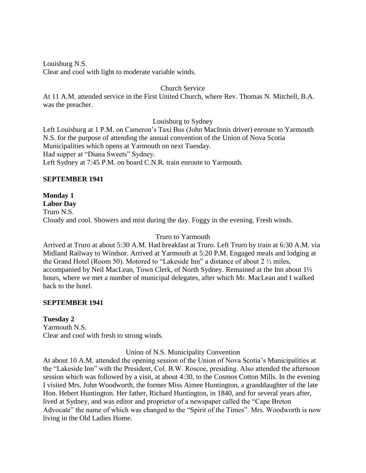Louisburg N.S.

Clear and cool with light to moderate variable winds.

### Church Service

At 11 A.M. attended service in the First United Church, where Rev. Thomas N. Mitchell, B.A. was the preacher.

### Louisburg to Sydney

Left Louisburg at 1 P.M. on Cameron's Taxi Bus (John MacInnis driver) enroute to Yarmouth N.S. for the purpose of attending the annual convention of the Union of Nova Scotia Municipalities which opens at Yarmouth on next Tuesday. Had supper at "Diana Sweets" Sydney. Left Sydney at 7:45 P.M. on board C.N.R. train enroute to Yarmouth.

# **SEPTEMBER 1941**

# **Monday 1**

**Labor Day**

Truro N.S. Cloudy and cool. Showers and mist during the day. Foggy in the evening. Fresh winds.

### Truro to Yarmouth

Arrived at Truro at about 5:30 A.M. Had breakfast at Truro. Left Truro by train at 6:30 A.M. via Midland Railway to Windsor. Arrived at Yarmouth at 5:20 P.M. Engaged meals and lodging at the Grand Hotel (Room 50). Motored to "Lakeside Inn" a distance of about 2 ½ miles, accompanied by Neil MacLean, Town Clerk, of North Sydney. Remained at the Inn about 1½ hours, where we met a number of municipal delegates, after which Mr. MacLean and I walked back to the hotel.

# **SEPTEMBER 1941**

# **Tuesday 2**

Yarmouth N.S. Clear and cool with fresh to strong winds.

Union of N.S. Municipality Convention

At about 10 A.M. attended the opening session of the Union of Nova Scotia's Municipalities at the "Lakeside Inn" with the President, Col. B.W. Roscoe, presiding. Also attended the afternoon session which was followed by a visit, at about 4:30, to the Cosmos Cotton Mills. In the evening I visited Mrs. John Woodworth, the former Miss Aimee Huntington, a granddaughter of the late Hon. Hebert Huntington. Her father, Richard Huntington, in 1840, and for several years after, lived at Sydney, and was editor and proprietor of a newspaper called the "Cape Breton Advocate" the name of which was changed to the "Spirit of the Times". Mrs. Woodworth is now living in the Old Ladies Home.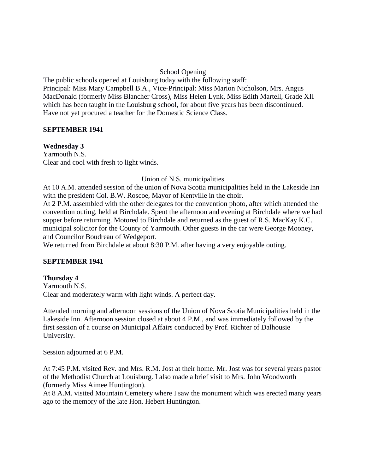#### School Opening

The public schools opened at Louisburg today with the following staff: Principal: Miss Mary Campbell B.A., Vice-Principal: Miss Marion Nicholson, Mrs. Angus MacDonald (formerly Miss Blancher Cross), Miss Helen Lynk, Miss Edith Martell, Grade XII which has been taught in the Louisburg school, for about five years has been discontinued. Have not yet procured a teacher for the Domestic Science Class.

### **SEPTEMBER 1941**

**Wednesday 3** Yarmouth N.S. Clear and cool with fresh to light winds.

### Union of N.S. municipalities

At 10 A.M. attended session of the union of Nova Scotia municipalities held in the Lakeside Inn with the president Col. B.W. Roscoe, Mayor of Kentville in the choir.

At 2 P.M. assembled with the other delegates for the convention photo, after which attended the convention outing, held at Birchdale. Spent the afternoon and evening at Birchdale where we had supper before returning. Motored to Birchdale and returned as the guest of R.S. MacKay K.C. municipal solicitor for the County of Yarmouth. Other guests in the car were George Mooney, and Councilor Boudreau of Wedgeport.

We returned from Birchdale at about 8:30 P.M. after having a very enjoyable outing.

#### **SEPTEMBER 1941**

# **Thursday 4**

Yarmouth N.S. Clear and moderately warm with light winds. A perfect day.

Attended morning and afternoon sessions of the Union of Nova Scotia Municipalities held in the Lakeside Inn. Afternoon session closed at about 4 P.M., and was immediately followed by the first session of a course on Municipal Affairs conducted by Prof. Richter of Dalhousie University.

Session adjourned at 6 P.M.

At 7:45 P.M. visited Rev. and Mrs. R.M. Jost at their home. Mr. Jost was for several years pastor of the Methodist Church at Louisburg. I also made a brief visit to Mrs. John Woodworth (formerly Miss Aimee Huntington).

At 8 A.M. visited Mountain Cemetery where I saw the monument which was erected many years ago to the memory of the late Hon. Hebert Huntington.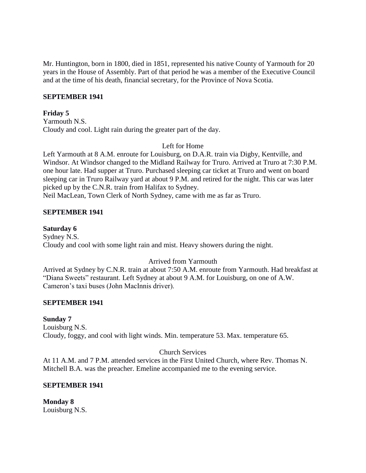Mr. Huntington, born in 1800, died in 1851, represented his native County of Yarmouth for 20 years in the House of Assembly. Part of that period he was a member of the Executive Council and at the time of his death, financial secretary, for the Province of Nova Scotia.

#### **SEPTEMBER 1941**

#### **Friday 5**

Yarmouth N.S. Cloudy and cool. Light rain during the greater part of the day.

#### Left for Home

Left Yarmouth at 8 A.M. enroute for Louisburg, on D.A.R. train via Digby, Kentville, and Windsor. At Windsor changed to the Midland Railway for Truro. Arrived at Truro at 7:30 P.M. one hour late. Had supper at Truro. Purchased sleeping car ticket at Truro and went on board sleeping car in Truro Railway yard at about 9 P.M. and retired for the night. This car was later picked up by the C.N.R. train from Halifax to Sydney.

Neil MacLean, Town Clerk of North Sydney, came with me as far as Truro.

#### **SEPTEMBER 1941**

**Saturday 6** Sydney N.S. Cloudy and cool with some light rain and mist. Heavy showers during the night.

#### Arrived from Yarmouth

Arrived at Sydney by C.N.R. train at about 7:50 A.M. enroute from Yarmouth. Had breakfast at "Diana Sweets" restaurant. Left Sydney at about 9 A.M. for Louisburg, on one of A.W. Cameron's taxi buses (John MacInnis driver).

#### **SEPTEMBER 1941**

#### **Sunday 7**

Louisburg N.S. Cloudy, foggy, and cool with light winds. Min. temperature 53. Max. temperature 65.

#### Church Services

At 11 A.M. and 7 P.M. attended services in the First United Church, where Rev. Thomas N. Mitchell B.A. was the preacher. Emeline accompanied me to the evening service.

#### **SEPTEMBER 1941**

**Monday 8** Louisburg N.S.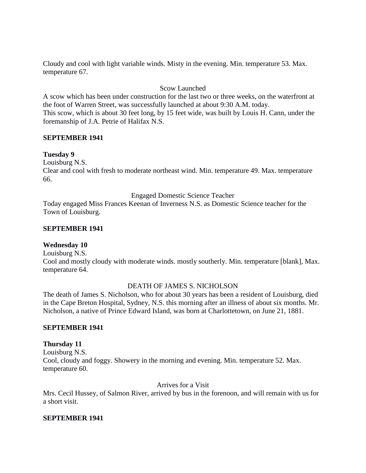Cloudy and cool with light variable winds. Misty in the evening. Min. temperature 53. Max. temperature 67.

# Scow Launched

A scow which has been under construction for the last two or three weeks, on the waterfront at the foot of Warren Street, was successfully launched at about 9:30 A.M. today. This scow, which is about 30 feet long, by 15 feet wide, was built by Louis H. Cann, under the foremanship of J.A. Petrie of Halifax N.S.

### **SEPTEMBER 1941**

### **Tuesday 9**

Louisburg N.S.

Clear and cool with fresh to moderate northeast wind. Min. temperature 49. Max. temperature 66.

Engaged Domestic Science Teacher

Today engaged Miss Frances Keenan of Inverness N.S. as Domestic Science teacher for the Town of Louisburg.

#### **SEPTEMBER 1941**

# **Wednesday 10**

Louisburg N.S.

Cool and mostly cloudy with moderate winds. mostly southerly. Min. temperature [blank], Max. temperature 64.

#### DEATH OF JAMES S. NICHOLSON

The death of James S. Nicholson, who for about 30 years has been a resident of Louisburg, died in the Cape Breton Hospital, Sydney, N.S. this morning after an illness of about six months. Mr. Nicholson, a native of Prince Edward Island, was born at Charlottetown, on June 21, 1881.

#### **SEPTEMBER 1941**

#### **Thursday 11**

Louisburg N.S. Cool, cloudy and foggy. Showery in the morning and evening. Min. temperature 52. Max. temperature 60.

Arrives for a Visit

Mrs. Cecil Hussey, of Salmon River, arrived by bus in the forenoon, and will remain with us for a short visit.

#### **SEPTEMBER 1941**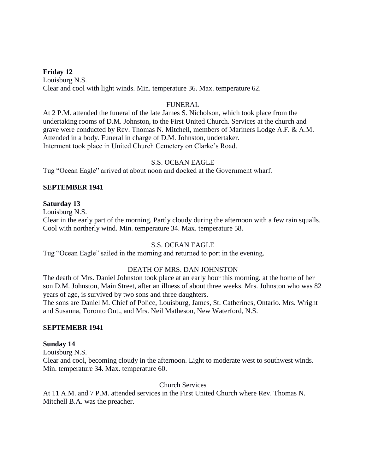**Friday 12** Louisburg N.S. Clear and cool with light winds. Min. temperature 36. Max. temperature 62.

### FUNERAL

At 2 P.M. attended the funeral of the late James S. Nicholson, which took place from the undertaking rooms of D.M. Johnston, to the First United Church. Services at the church and grave were conducted by Rev. Thomas N. Mitchell, members of Mariners Lodge A.F. & A.M. Attended in a body. Funeral in charge of D.M. Johnston, undertaker. Interment took place in United Church Cemetery on Clarke's Road.

#### S.S. OCEAN EAGLE

Tug "Ocean Eagle" arrived at about noon and docked at the Government wharf.

### **SEPTEMBER 1941**

#### **Saturday 13**

Louisburg N.S.

Clear in the early part of the morning. Partly cloudy during the afternoon with a few rain squalls. Cool with northerly wind. Min. temperature 34. Max. temperature 58.

# S.S. OCEAN EAGLE

Tug "Ocean Eagle" sailed in the morning and returned to port in the evening.

#### DEATH OF MRS. DAN JOHNSTON

The death of Mrs. Daniel Johnston took place at an early hour this morning, at the home of her son D.M. Johnston, Main Street, after an illness of about three weeks. Mrs. Johnston who was 82 years of age, is survived by two sons and three daughters.

The sons are Daniel M. Chief of Police, Louisburg, James, St. Catherines, Ontario. Mrs. Wright and Susanna, Toronto Ont., and Mrs. Neil Matheson, New Waterford, N.S.

#### **SEPTEMEBR 1941**

#### **Sunday 14**

Louisburg N.S.

Clear and cool, becoming cloudy in the afternoon. Light to moderate west to southwest winds. Min. temperature 34. Max. temperature 60.

Church Services

At 11 A.M. and 7 P.M. attended services in the First United Church where Rev. Thomas N. Mitchell B.A. was the preacher.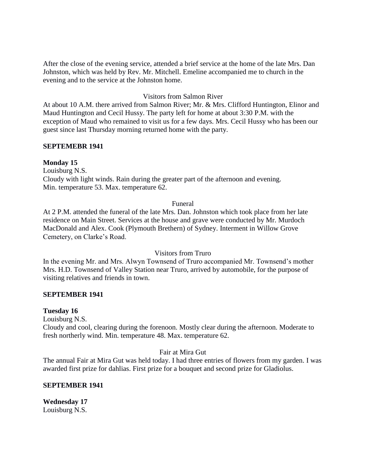After the close of the evening service, attended a brief service at the home of the late Mrs. Dan Johnston, which was held by Rev. Mr. Mitchell. Emeline accompanied me to church in the evening and to the service at the Johnston home.

### Visitors from Salmon River

At about 10 A.M. there arrived from Salmon River; Mr. & Mrs. Clifford Huntington, Elinor and Maud Huntington and Cecil Hussy. The party left for home at about 3:30 P.M. with the exception of Maud who remained to visit us for a few days. Mrs. Cecil Hussy who has been our guest since last Thursday morning returned home with the party.

#### **SEPTEMEBR 1941**

#### **Monday 15**

Louisburg N.S. Cloudy with light winds. Rain during the greater part of the afternoon and evening. Min. temperature 53. Max. temperature 62.

#### Funeral

At 2 P.M. attended the funeral of the late Mrs. Dan. Johnston which took place from her late residence on Main Street. Services at the house and grave were conducted by Mr. Murdoch MacDonald and Alex. Cook (Plymouth Brethern) of Sydney. Interment in Willow Grove Cemetery, on Clarke's Road.

#### Visitors from Truro

In the evening Mr. and Mrs. Alwyn Townsend of Truro accompanied Mr. Townsend's mother Mrs. H.D. Townsend of Valley Station near Truro, arrived by automobile, for the purpose of visiting relatives and friends in town.

#### **SEPTEMBER 1941**

#### **Tuesday 16**

Louisburg N.S.

Cloudy and cool, clearing during the forenoon. Mostly clear during the afternoon. Moderate to fresh northerly wind. Min. temperature 48. Max. temperature 62.

#### Fair at Mira Gut

The annual Fair at Mira Gut was held today. I had three entries of flowers from my garden. I was awarded first prize for dahlias. First prize for a bouquet and second prize for Gladiolus.

#### **SEPTEMBER 1941**

**Wednesday 17** Louisburg N.S.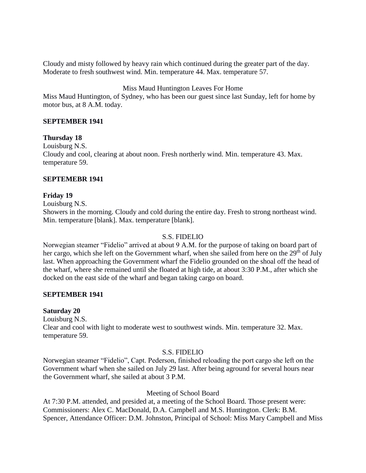Cloudy and misty followed by heavy rain which continued during the greater part of the day. Moderate to fresh southwest wind. Min. temperature 44. Max. temperature 57.

### Miss Maud Huntington Leaves For Home

Miss Maud Huntington, of Sydney, who has been our guest since last Sunday, left for home by motor bus, at 8 A.M. today.

### **SEPTEMBER 1941**

#### **Thursday 18**

Louisburg N.S. Cloudy and cool, clearing at about noon. Fresh northerly wind. Min. temperature 43. Max. temperature 59.

### **SEPTEMEBR 1941**

### **Friday 19**

Louisburg N.S.

Showers in the morning. Cloudy and cold during the entire day. Fresh to strong northeast wind. Min. temperature [blank]. Max. temperature [blank].

#### S.S. FIDELIO

Norwegian steamer "Fidelio" arrived at about 9 A.M. for the purpose of taking on board part of her cargo, which she left on the Government wharf, when she sailed from here on the 29<sup>th</sup> of July last. When approaching the Government wharf the Fidelio grounded on the shoal off the head of the wharf, where she remained until she floated at high tide, at about 3:30 P.M., after which she docked on the east side of the wharf and began taking cargo on board.

#### **SEPTEMBER 1941**

#### **Saturday 20**

Louisburg N.S.

Clear and cool with light to moderate west to southwest winds. Min. temperature 32. Max. temperature 59.

#### S.S. FIDELIO

Norwegian steamer "Fidelio", Capt. Pederson, finished reloading the port cargo she left on the Government wharf when she sailed on July 29 last. After being aground for several hours near the Government wharf, she sailed at about 3 P.M.

#### Meeting of School Board

At 7:30 P.M. attended, and presided at, a meeting of the School Board. Those present were: Commissioners: Alex C. MacDonald, D.A. Campbell and M.S. Huntington. Clerk: B.M. Spencer, Attendance Officer: D.M. Johnston, Principal of School: Miss Mary Campbell and Miss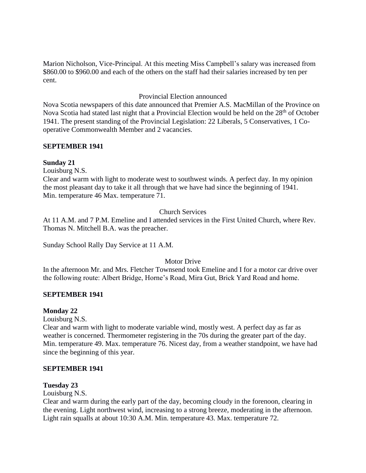Marion Nicholson, Vice-Principal. At this meeting Miss Campbell's salary was increased from \$860.00 to \$960.00 and each of the others on the staff had their salaries increased by ten per cent.

### Provincial Election announced

Nova Scotia newspapers of this date announced that Premier A.S. MacMillan of the Province on Nova Scotia had stated last night that a Provincial Election would be held on the 28<sup>th</sup> of October 1941. The present standing of the Provincial Legislation: 22 Liberals, 5 Conservatives, 1 Cooperative Commonwealth Member and 2 vacancies.

#### **SEPTEMBER 1941**

#### **Sunday 21**

Louisburg N.S.

Clear and warm with light to moderate west to southwest winds. A perfect day. In my opinion the most pleasant day to take it all through that we have had since the beginning of 1941. Min. temperature 46 Max. temperature 71.

#### Church Services

At 11 A.M. and 7 P.M. Emeline and I attended services in the First United Church, where Rev. Thomas N. Mitchell B.A. was the preacher.

Sunday School Rally Day Service at 11 A.M.

#### Motor Drive

In the afternoon Mr. and Mrs. Fletcher Townsend took Emeline and I for a motor car drive over the following route: Albert Bridge, Horne's Road, Mira Gut, Brick Yard Road and home.

#### **SEPTEMBER 1941**

#### **Monday 22**

Louisburg N.S.

Clear and warm with light to moderate variable wind, mostly west. A perfect day as far as weather is concerned. Thermometer registering in the 70s during the greater part of the day. Min. temperature 49. Max. temperature 76. Nicest day, from a weather standpoint, we have had since the beginning of this year.

#### **SEPTEMBER 1941**

#### **Tuesday 23**

Louisburg N.S.

Clear and warm during the early part of the day, becoming cloudy in the forenoon, clearing in the evening. Light northwest wind, increasing to a strong breeze, moderating in the afternoon. Light rain squalls at about 10:30 A.M. Min. temperature 43. Max. temperature 72.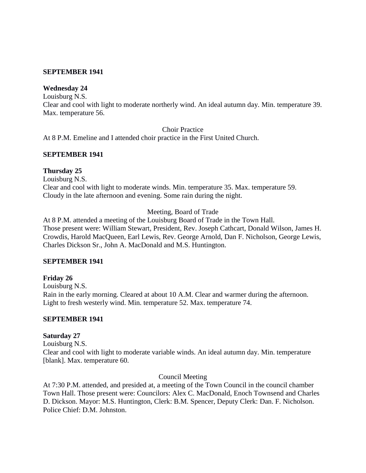#### **SEPTEMBER 1941**

# **Wednesday 24**

Louisburg N.S.

Clear and cool with light to moderate northerly wind. An ideal autumn day. Min. temperature 39. Max. temperature 56.

Choir Practice

At 8 P.M. Emeline and I attended choir practice in the First United Church.

#### **SEPTEMBER 1941**

### **Thursday 25**

Louisburg N.S.

Clear and cool with light to moderate winds. Min. temperature 35. Max. temperature 59. Cloudy in the late afternoon and evening. Some rain during the night.

Meeting, Board of Trade

At 8 P.M. attended a meeting of the Louisburg Board of Trade in the Town Hall. Those present were: William Stewart, President, Rev. Joseph Cathcart, Donald Wilson, James H. Crowdis, Harold MacQueen, Earl Lewis, Rev. George Arnold, Dan F. Nicholson, George Lewis, Charles Dickson Sr., John A. MacDonald and M.S. Huntington.

#### **SEPTEMBER 1941**

# **Friday 26**

Louisburg N.S. Rain in the early morning. Cleared at about 10 A.M. Clear and warmer during the afternoon. Light to fresh westerly wind. Min. temperature 52. Max. temperature 74.

# **SEPTEMBER 1941**

# **Saturday 27**

Louisburg N.S.

Clear and cool with light to moderate variable winds. An ideal autumn day. Min. temperature [blank]. Max. temperature 60.

#### Council Meeting

At 7:30 P.M. attended, and presided at, a meeting of the Town Council in the council chamber Town Hall. Those present were: Councilors: Alex C. MacDonald, Enoch Townsend and Charles D. Dickson. Mayor: M.S. Huntington, Clerk: B.M. Spencer, Deputy Clerk: Dan. F. Nicholson. Police Chief: D.M. Johnston.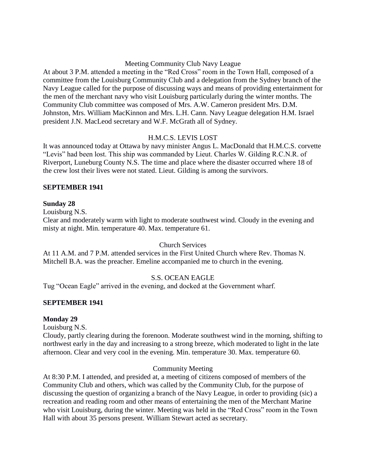#### Meeting Community Club Navy League

At about 3 P.M. attended a meeting in the "Red Cross" room in the Town Hall, composed of a committee from the Louisburg Community Club and a delegation from the Sydney branch of the Navy League called for the purpose of discussing ways and means of providing entertainment for the men of the merchant navy who visit Louisburg particularly during the winter months. The Community Club committee was composed of Mrs. A.W. Cameron president Mrs. D.M. Johnston, Mrs. William MacKinnon and Mrs. L.H. Cann. Navy League delegation H.M. Israel president J.N. MacLeod secretary and W.F. McGrath all of Sydney.

# H.M.C.S. LEVIS LOST

It was announced today at Ottawa by navy minister Angus L. MacDonald that H.M.C.S. corvette "Levis" had been lost. This ship was commanded by Lieut. Charles W. Gilding R.C.N.R. of Riverport, Luneburg County N.S. The time and place where the disaster occurred where 18 of the crew lost their lives were not stated. Lieut. Gilding is among the survivors.

### **SEPTEMBER 1941**

### **Sunday 28**

Louisburg N.S.

Clear and moderately warm with light to moderate southwest wind. Cloudy in the evening and misty at night. Min. temperature 40. Max. temperature 61.

#### Church Services

At 11 A.M. and 7 P.M. attended services in the First United Church where Rev. Thomas N. Mitchell B.A. was the preacher. Emeline accompanied me to church in the evening.

# S.S. OCEAN EAGLE

Tug "Ocean Eagle" arrived in the evening, and docked at the Government wharf.

# **SEPTEMBER 1941**

#### **Monday 29**

Louisburg N.S.

Cloudy, partly clearing during the forenoon. Moderate southwest wind in the morning, shifting to northwest early in the day and increasing to a strong breeze, which moderated to light in the late afternoon. Clear and very cool in the evening. Min. temperature 30. Max. temperature 60.

# Community Meeting

At 8:30 P.M. I attended, and presided at, a meeting of citizens composed of members of the Community Club and others, which was called by the Community Club, for the purpose of discussing the question of organizing a branch of the Navy League, in order to providing (sic) a recreation and reading room and other means of entertaining the men of the Merchant Marine who visit Louisburg, during the winter. Meeting was held in the "Red Cross" room in the Town Hall with about 35 persons present. William Stewart acted as secretary.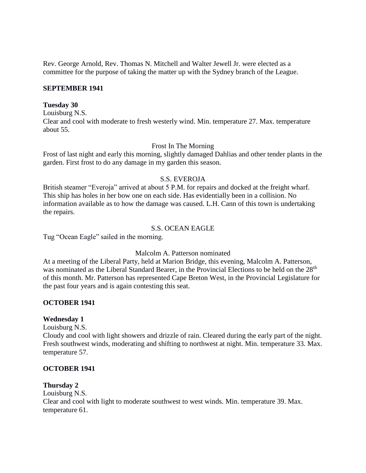Rev. George Arnold, Rev. Thomas N. Mitchell and Walter Jewell Jr. were elected as a committee for the purpose of taking the matter up with the Sydney branch of the League.

#### **SEPTEMBER 1941**

#### **Tuesday 30**

Louisburg N.S. Clear and cool with moderate to fresh westerly wind. Min. temperature 27. Max. temperature about 55.

#### Frost In The Morning

Frost of last night and early this morning, slightly damaged Dahlias and other tender plants in the garden. First frost to do any damage in my garden this season.

#### S.S. EVEROJA

British steamer "Everoja" arrived at about 5 P.M. for repairs and docked at the freight wharf. This ship has holes in her bow one on each side. Has evidentially been in a collision. No information available as to how the damage was caused. L.H. Cann of this town is undertaking the repairs.

#### S.S. OCEAN EAGLE

Tug "Ocean Eagle" sailed in the morning.

#### Malcolm A. Patterson nominated

At a meeting of the Liberal Party, held at Marion Bridge, this evening, Malcolm A. Patterson, was nominated as the Liberal Standard Bearer, in the Provincial Elections to be held on the 28<sup>th</sup> of this month. Mr. Patterson has represented Cape Breton West, in the Provincial Legislature for the past four years and is again contesting this seat.

#### **OCTOBER 1941**

#### **Wednesday 1**

Louisburg N.S.

Cloudy and cool with light showers and drizzle of rain. Cleared during the early part of the night. Fresh southwest winds, moderating and shifting to northwest at night. Min. temperature 33. Max. temperature 57.

#### **OCTOBER 1941**

#### **Thursday 2**

Louisburg N.S. Clear and cool with light to moderate southwest to west winds. Min. temperature 39. Max. temperature 61.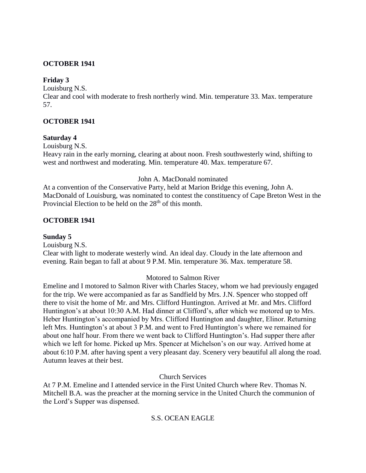# **OCTOBER 1941**

# **Friday 3**

Louisburg N.S.

Clear and cool with moderate to fresh northerly wind. Min. temperature 33. Max. temperature 57.

# **OCTOBER 1941**

### **Saturday 4**

Louisburg N.S.

Heavy rain in the early morning, clearing at about noon. Fresh southwesterly wind, shifting to west and northwest and moderating. Min. temperature 40. Max. temperature 67.

John A. MacDonald nominated

At a convention of the Conservative Party, held at Marion Bridge this evening, John A. MacDonald of Louisburg, was nominated to contest the constituency of Cape Breton West in the Provincial Election to be held on the  $28<sup>th</sup>$  of this month.

# **OCTOBER 1941**

# **Sunday 5**

Louisburg N.S.

Clear with light to moderate westerly wind. An ideal day. Cloudy in the late afternoon and evening. Rain began to fall at about 9 P.M. Min. temperature 36. Max. temperature 58.

# Motored to Salmon River

Emeline and I motored to Salmon River with Charles Stacey, whom we had previously engaged for the trip. We were accompanied as far as Sandfield by Mrs. J.N. Spencer who stopped off there to visit the home of Mr. and Mrs. Clifford Huntington. Arrived at Mr. and Mrs. Clifford Huntington's at about 10:30 A.M. Had dinner at Clifford's, after which we motored up to Mrs. Heber Huntington's accompanied by Mrs. Clifford Huntington and daughter, Elinor. Returning left Mrs. Huntington's at about 3 P.M. and went to Fred Huntington's where we remained for about one half hour. From there we went back to Clifford Huntington's. Had supper there after which we left for home. Picked up Mrs. Spencer at Michelson's on our way. Arrived home at about 6:10 P.M. after having spent a very pleasant day. Scenery very beautiful all along the road. Autumn leaves at their best.

# Church Services

At 7 P.M. Emeline and I attended service in the First United Church where Rev. Thomas N. Mitchell B.A. was the preacher at the morning service in the United Church the communion of the Lord's Supper was dispensed.

# S.S. OCEAN EAGLE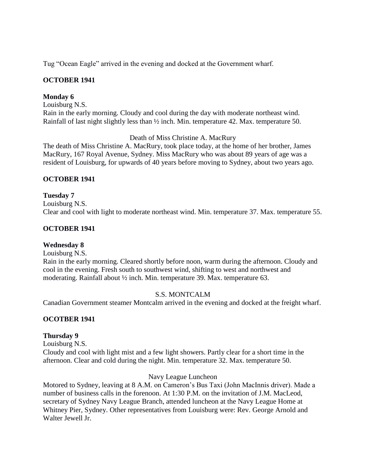Tug "Ocean Eagle" arrived in the evening and docked at the Government wharf.

# **OCTOBER 1941**

#### **Monday 6**

Louisburg N.S.

Rain in the early morning. Cloudy and cool during the day with moderate northeast wind. Rainfall of last night slightly less than ½ inch. Min. temperature 42. Max. temperature 50.

Death of Miss Christine A. MacRury

The death of Miss Christine A. MacRury, took place today, at the home of her brother, James MacRury, 167 Royal Avenue, Sydney. Miss MacRury who was about 89 years of age was a resident of Louisburg, for upwards of 40 years before moving to Sydney, about two years ago.

### **OCTOBER 1941**

### **Tuesday 7** Louisburg N.S. Clear and cool with light to moderate northeast wind. Min. temperature 37. Max. temperature 55.

# **OCTOBER 1941**

# **Wednesday 8**

Louisburg N.S.

Rain in the early morning. Cleared shortly before noon, warm during the afternoon. Cloudy and cool in the evening. Fresh south to southwest wind, shifting to west and northwest and moderating. Rainfall about ½ inch. Min. temperature 39. Max. temperature 63.

#### S.S. MONTCALM

Canadian Government steamer Montcalm arrived in the evening and docked at the freight wharf.

#### **OCOTBER 1941**

#### **Thursday 9**

Louisburg N.S.

Cloudy and cool with light mist and a few light showers. Partly clear for a short time in the afternoon. Clear and cold during the night. Min. temperature 32. Max. temperature 50.

#### Navy League Luncheon

Motored to Sydney, leaving at 8 A.M. on Cameron's Bus Taxi (John MacInnis driver). Made a number of business calls in the forenoon. At 1:30 P.M. on the invitation of J.M. MacLeod, secretary of Sydney Navy League Branch, attended luncheon at the Navy League Home at Whitney Pier, Sydney. Other representatives from Louisburg were: Rev. George Arnold and Walter Jewell Jr.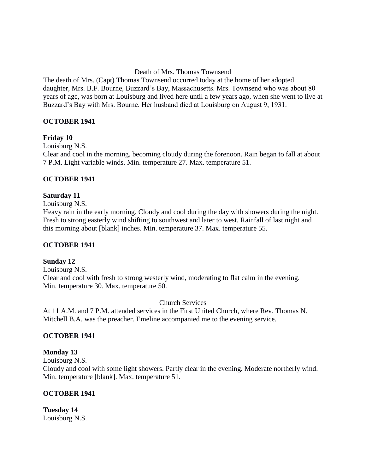### Death of Mrs. Thomas Townsend

The death of Mrs. (Capt) Thomas Townsend occurred today at the home of her adopted daughter, Mrs. B.F. Bourne, Buzzard's Bay, Massachusetts. Mrs. Townsend who was about 80 years of age, was born at Louisburg and lived here until a few years ago, when she went to live at Buzzard's Bay with Mrs. Bourne. Her husband died at Louisburg on August 9, 1931.

### **OCTOBER 1941**

### **Friday 10**

Louisburg N.S.

Clear and cool in the morning, becoming cloudy during the forenoon. Rain began to fall at about 7 P.M. Light variable winds. Min. temperature 27. Max. temperature 51.

### **OCTOBER 1941**

# **Saturday 11**

Louisburg N.S.

Heavy rain in the early morning. Cloudy and cool during the day with showers during the night. Fresh to strong easterly wind shifting to southwest and later to west. Rainfall of last night and this morning about [blank] inches. Min. temperature 37. Max. temperature 55.

#### **OCTOBER 1941**

#### **Sunday 12**

Louisburg N.S. Clear and cool with fresh to strong westerly wind, moderating to flat calm in the evening. Min. temperature 30. Max. temperature 50.

Church Services

At 11 A.M. and 7 P.M. attended services in the First United Church, where Rev. Thomas N. Mitchell B.A. was the preacher. Emeline accompanied me to the evening service.

# **OCTOBER 1941**

#### **Monday 13**

Louisburg N.S.

Cloudy and cool with some light showers. Partly clear in the evening. Moderate northerly wind. Min. temperature [blank]. Max. temperature 51.

# **OCTOBER 1941**

**Tuesday 14** Louisburg N.S.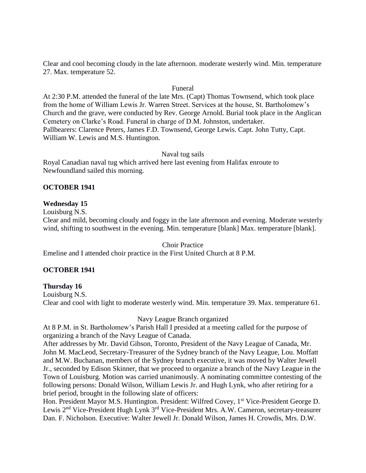Clear and cool becoming cloudy in the late afternoon. moderate westerly wind. Min. temperature 27. Max. temperature 52.

#### Funeral

At 2:30 P.M. attended the funeral of the late Mrs. (Capt) Thomas Townsend, which took place from the home of William Lewis Jr. Warren Street. Services at the house, St. Bartholomew's Church and the grave, were conducted by Rev. George Arnold. Burial took place in the Anglican Cemetery on Clarke's Road. Funeral in charge of D.M. Johnston, undertaker. Pallbearers: Clarence Peters, James F.D. Townsend, George Lewis. Capt. John Tutty, Capt. William W. Lewis and M.S. Huntington.

#### Naval tug sails

Royal Canadian naval tug which arrived here last evening from Halifax enroute to Newfoundland sailed this morning.

#### **OCTOBER 1941**

#### **Wednesday 15**

Louisburg N.S.

Clear and mild, becoming cloudy and foggy in the late afternoon and evening. Moderate westerly wind, shifting to southwest in the evening. Min. temperature [blank] Max. temperature [blank].

Choir Practice Emeline and I attended choir practice in the First United Church at 8 P.M.

#### **OCTOBER 1941**

#### **Thursday 16**

Louisburg N.S. Clear and cool with light to moderate westerly wind. Min. temperature 39. Max. temperature 61.

Navy League Branch organized

At 8 P.M. in St. Bartholomew's Parish Hall I presided at a meeting called for the purpose of organizing a branch of the Navy League of Canada.

After addresses by Mr. David Gibson, Toronto, President of the Navy League of Canada, Mr. John M. MacLeod, Secretary-Treasurer of the Sydney branch of the Navy League, Lou. Moffatt and M.W. Buchanan, members of the Sydney branch executive, it was moved by Walter Jewell Jr., seconded by Edison Skinner, that we proceed to organize a branch of the Navy League in the Town of Louisburg. Motion was carried unanimously. A nominating committee contesting of the following persons: Donald Wilson, William Lewis Jr. and Hugh Lynk, who after retiring for a brief period, brought in the following slate of officers:

Hon. President Mayor M.S. Huntington. President: Wilfred Covey, 1<sup>st</sup> Vice-President George D. Lewis 2nd Vice-President Hugh Lynk 3rd Vice-President Mrs. A.W. Cameron, secretary-treasurer Dan. F. Nicholson. Executive: Walter Jewell Jr. Donald Wilson, James H. Crowdis, Mrs. D.W.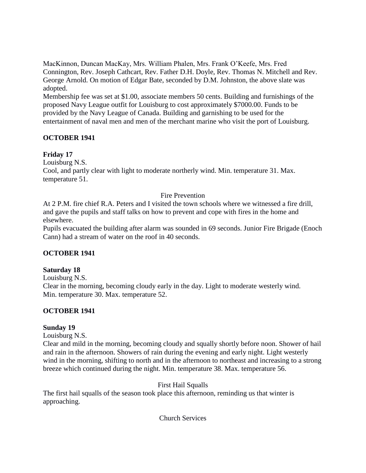MacKinnon, Duncan MacKay, Mrs. William Phalen, Mrs. Frank O'Keefe, Mrs. Fred Connington, Rev. Joseph Cathcart, Rev. Father D.H. Doyle, Rev. Thomas N. Mitchell and Rev. George Arnold. On motion of Edgar Bate, seconded by D.M. Johnston, the above slate was adopted.

Membership fee was set at \$1.00, associate members 50 cents. Building and furnishings of the proposed Navy League outfit for Louisburg to cost approximately \$7000.00. Funds to be provided by the Navy League of Canada. Building and garnishing to be used for the entertainment of naval men and men of the merchant marine who visit the port of Louisburg.

# **OCTOBER 1941**

# **Friday 17**

Louisburg N.S.

Cool, and partly clear with light to moderate northerly wind. Min. temperature 31. Max. temperature 51.

# Fire Prevention

At 2 P.M. fire chief R.A. Peters and I visited the town schools where we witnessed a fire drill, and gave the pupils and staff talks on how to prevent and cope with fires in the home and elsewhere.

Pupils evacuated the building after alarm was sounded in 69 seconds. Junior Fire Brigade (Enoch Cann) had a stream of water on the roof in 40 seconds.

# **OCTOBER 1941**

# **Saturday 18**

Louisburg N.S.

Clear in the morning, becoming cloudy early in the day. Light to moderate westerly wind. Min. temperature 30. Max. temperature 52.

# **OCTOBER 1941**

# **Sunday 19**

Louisburg N.S.

Clear and mild in the morning, becoming cloudy and squally shortly before noon. Shower of hail and rain in the afternoon. Showers of rain during the evening and early night. Light westerly wind in the morning, shifting to north and in the afternoon to northeast and increasing to a strong breeze which continued during the night. Min. temperature 38. Max. temperature 56.

First Hail Squalls

The first hail squalls of the season took place this afternoon, reminding us that winter is approaching.

Church Services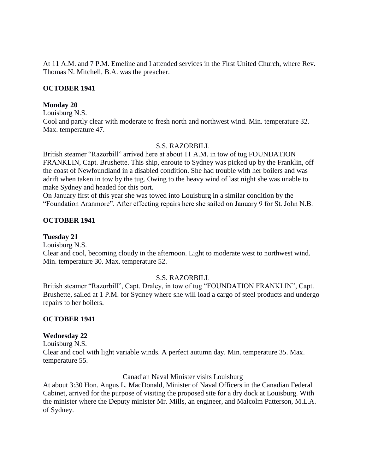At 11 A.M. and 7 P.M. Emeline and I attended services in the First United Church, where Rev. Thomas N. Mitchell, B.A. was the preacher.

#### **OCTOBER 1941**

#### **Monday 20**

Louisburg N.S.

Cool and partly clear with moderate to fresh north and northwest wind. Min. temperature 32. Max. temperature 47.

#### S.S. RAZORBILL

British steamer "Razorbill" arrived here at about 11 A.M. in tow of tug FOUNDATION FRANKLIN, Capt. Brushette. This ship, enroute to Sydney was picked up by the Franklin, off the coast of Newfoundland in a disabled condition. She had trouble with her boilers and was adrift when taken in tow by the tug. Owing to the heavy wind of last night she was unable to make Sydney and headed for this port.

On January first of this year she was towed into Louisburg in a similar condition by the "Foundation Aranmore". After effecting repairs here she sailed on January 9 for St. John N.B.

# **OCTOBER 1941**

### **Tuesday 21**

Louisburg N.S.

Clear and cool, becoming cloudy in the afternoon. Light to moderate west to northwest wind. Min. temperature 30. Max. temperature 52.

# S.S. RAZORBILL

British steamer "Razorbill", Capt. Draley, in tow of tug "FOUNDATION FRANKLIN", Capt. Brushette, sailed at 1 P.M. for Sydney where she will load a cargo of steel products and undergo repairs to her boilers.

# **OCTOBER 1941**

# **Wednesday 22**

Louisburg N.S. Clear and cool with light variable winds. A perfect autumn day. Min. temperature 35. Max. temperature 55.

Canadian Naval Minister visits Louisburg

At about 3:30 Hon. Angus L. MacDonald, Minister of Naval Officers in the Canadian Federal Cabinet, arrived for the purpose of visiting the proposed site for a dry dock at Louisburg. With the minister where the Deputy minister Mr. Mills, an engineer, and Malcolm Patterson, M.L.A. of Sydney.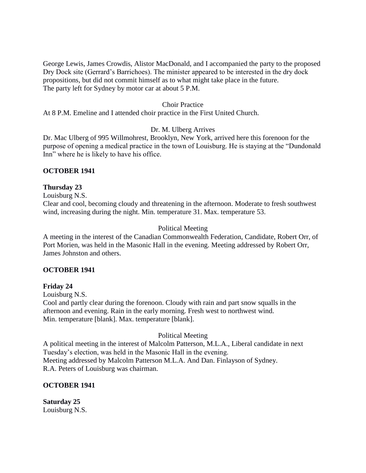George Lewis, James Crowdis, Alistor MacDonald, and I accompanied the party to the proposed Dry Dock site (Gerrard's Barrichoes). The minister appeared to be interested in the dry dock propositions, but did not commit himself as to what might take place in the future. The party left for Sydney by motor car at about 5 P.M.

#### Choir Practice

At 8 P.M. Emeline and I attended choir practice in the First United Church.

#### Dr. M. Ulberg Arrives

Dr. Mac Ulberg of 995 Willmohrest, Brooklyn, New York, arrived here this forenoon for the purpose of opening a medical practice in the town of Louisburg. He is staying at the "Dundonald Inn" where he is likely to have his office.

#### **OCTOBER 1941**

#### **Thursday 23**

Louisburg N.S.

Clear and cool, becoming cloudy and threatening in the afternoon. Moderate to fresh southwest wind, increasing during the night. Min. temperature 31. Max. temperature 53.

#### Political Meeting

A meeting in the interest of the Canadian Commonwealth Federation, Candidate, Robert Orr, of Port Morien, was held in the Masonic Hall in the evening. Meeting addressed by Robert Orr, James Johnston and others.

#### **OCTOBER 1941**

#### **Friday 24**

Louisburg N.S.

Cool and partly clear during the forenoon. Cloudy with rain and part snow squalls in the afternoon and evening. Rain in the early morning. Fresh west to northwest wind. Min. temperature [blank]. Max. temperature [blank].

#### Political Meeting

A political meeting in the interest of Malcolm Patterson, M.L.A., Liberal candidate in next Tuesday's election, was held in the Masonic Hall in the evening. Meeting addressed by Malcolm Patterson M.L.A. And Dan. Finlayson of Sydney. R.A. Peters of Louisburg was chairman.

#### **OCTOBER 1941**

**Saturday 25** Louisburg N.S.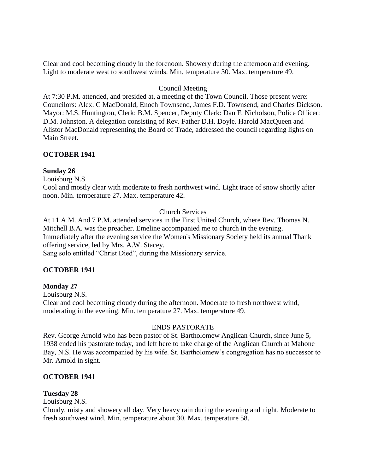Clear and cool becoming cloudy in the forenoon. Showery during the afternoon and evening. Light to moderate west to southwest winds. Min. temperature 30. Max. temperature 49.

### Council Meeting

At 7:30 P.M. attended, and presided at, a meeting of the Town Council. Those present were: Councilors: Alex. C MacDonald, Enoch Townsend, James F.D. Townsend, and Charles Dickson. Mayor: M.S. Huntington, Clerk: B.M. Spencer, Deputy Clerk: Dan F. Nicholson, Police Officer: D.M. Johnston. A delegation consisting of Rev. Father D.H. Doyle. Harold MacQueen and Alistor MacDonald representing the Board of Trade, addressed the council regarding lights on Main Street.

### **OCTOBER 1941**

#### **Sunday 26**

Louisburg N.S.

Cool and mostly clear with moderate to fresh northwest wind. Light trace of snow shortly after noon. Min. temperature 27. Max. temperature 42.

### Church Services

At 11 A.M. And 7 P.M. attended services in the First United Church, where Rev. Thomas N. Mitchell B.A. was the preacher. Emeline accompanied me to church in the evening. Immediately after the evening service the Women's Missionary Society held its annual Thank offering service, led by Mrs. A.W. Stacey.

Sang solo entitled "Christ Died", during the Missionary service.

# **OCTOBER 1941**

#### **Monday 27**

Louisburg N.S.

Clear and cool becoming cloudy during the afternoon. Moderate to fresh northwest wind, moderating in the evening. Min. temperature 27. Max. temperature 49.

#### ENDS PASTORATE

Rev. George Arnold who has been pastor of St. Bartholomew Anglican Church, since June 5, 1938 ended his pastorate today, and left here to take charge of the Anglican Church at Mahone Bay, N.S. He was accompanied by his wife. St. Bartholomew's congregation has no successor to Mr. Arnold in sight.

#### **OCTOBER 1941**

# **Tuesday 28**

Louisburg N.S.

Cloudy, misty and showery all day. Very heavy rain during the evening and night. Moderate to fresh southwest wind. Min. temperature about 30. Max. temperature 58.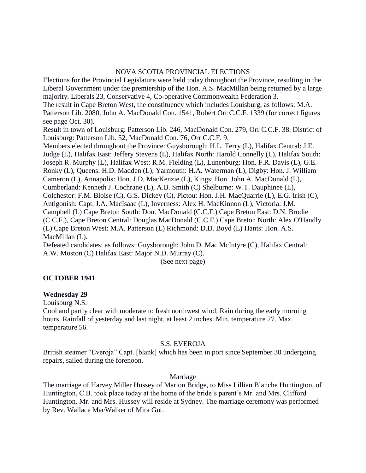#### NOVA SCOTIA PROVINCIAL ELECTIONS

Elections for the Provincial Legislature were held today throughout the Province, resulting in the Liberal Government under the premiership of the Hon. A.S. MacMillan being returned by a large majority. Liberals 23, Conservative 4, Co-operative Commonwealth Federation 3. The result in Cape Breton West, the constituency which includes Louisburg, as follows: M.A. Patterson Lib. 2080, John A. MacDonald Con. 1541, Robert Orr C.C.F. 1339 (for correct figures see page Oct. 30). Result in town of Louisburg: Patterson Lib. 246, MacDonald Con. 279, Orr C.C.F. 38. District of Louisburg: Patterson Lib. 52, MacDonald Con. 76, Orr C.C.F. 9. Members elected throughout the Province: Guysborough: H.L. Terry (L), Halifax Central: J.E. Judge (L), Halifax East: Jeffery Stevens (L), Halifax North: Harold Connelly (L), Halifax South: Joseph R. Murphy (L), Halifax West: R.M. Fielding (L), Lunenburg: Hon. F.R. Davis (L), G.E. Ronky (L), Queens: H.D. Madden (L), Yarmouth: H.A. Waterman (L), Digby: Hon. J. William Cameron (L), Annapolis: Hon. J.D. MacKenzie (L), Kings: Hon. John A. MacDonald (L), Cumberland: Kenneth J. Cochrane (L), A.B. Smith (C) Shelburne: W.T. Dauphinee (L), Colchestor: F.M. Bloise (C), G.S. Dickey (C), Pictou: Hon. J.H. MacQuarrie (L), E.G. Irish (C), Antigonish: Capt. J.A. MacIsaac (L), Inverness: Alex H. MacKinnon (L), Victoria: J.M. Campbell (L) Cape Breton South: Don. MacDonald (C.C.F.) Cape Breton East: D.N. Brodie (C.C.F.), Cape Breton Central: Douglas MacDonald (C.C.F.) Cape Breton North: Alex O'Handly (L) Cape Breton West: M.A. Patterson (L) Richmond: D.D. Boyd (L) Hants: Hon. A.S. MacMillan (L).

Defeated candidates: as follows: Guysborough: John D. Mac McIntyre (C), Halifax Central: A.W. Moston (C) Halifax East: Major N.D. Murray (C).

(See next page)

# **OCTOBER 1941**

#### **Wednesday 29**

Louisburg N.S.

Cool and partly clear with moderate to fresh northwest wind. Rain during the early morning hours. Rainfall of yesterday and last night, at least 2 inches. Min. temperature 27. Max. temperature 56.

#### S.S. EVEROJA

British steamer "Everoja" Capt. [blank] which has been in port since September 30 undergoing repairs, sailed during the forenoon.

#### Marriage

The marriage of Harvey Miller Hussey of Marion Bridge, to Miss Lillian Blanche Huntington, of Huntington, C.B. took place today at the home of the bride's parent's Mr. and Mrs. Clifford Huntington. Mr. and Mrs. Hussey will reside at Sydney. The marriage ceremony was performed by Rev. Wallace MacWalker of Mira Gut.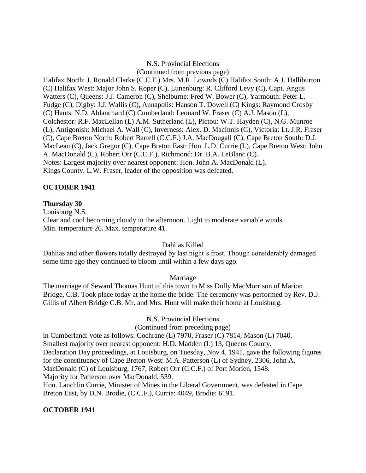### N.S. Provincial Elections

(Continued from previous page)

Halifax North: J. Ronald Clarke (C.C.F.) Mrs. M.R. Lownds (C) Halifax South: A.J. Halliburton (C) Halifax West: Major John S. Roper (C), Lunenburg: R. Clifford Levy (C), Capt. Angus Watters (C), Queens: J.J. Cameron (C), Shelburne: Fred W. Bower (C), Yarmouth: Peter L. Fudge (C), Digby: J.J. Wallis (C), Annapolis: Hanson T. Dowell (C) Kings: Raymond Crosby (C) Hants: N.D. Ablanchard (C) Cumberland: Leonard W. Fraser (C) A.J. Mason (L), Colchestor: R.F. MacLellan (L) A.M. Sutherland (L), Pictou: W.T. Hayden (C), N.G. Munroe (L), Antigonish: Michael A. Wall (C), Inverness: Alex. D. MacInnis (C), Victoria: Lt. J.R. Fraser (C), Cape Breton North: Robert Bartell (C.C.F.) J.A. MacDougall (C), Cape Breton South: D.J. MacLean (C), Jack Gregor (C), Cape Breton East: Hon. L.D. Currie (L), Cape Breton West: John A. MacDonald (C), Robert Orr (C.C.F.), Richmond: Dr. B.A. LeBlanc (C). Notes: Largest majority over nearest opponent: Hon. John A. MacDonald (L). Kings County. L.W. Fraser, leader of the opposition was defeated.

### **OCTOBER 1941**

#### **Thursday 30**

Louisburg N.S. Clear and cool becoming cloudy in the afternoon. Light to moderate variable winds. Min. temperature 26. Max. temperature 41.

#### Dahlias Killed

Dahlias and other flowers totally destroyed by last night's frost. Though considerably damaged some time ago they continued to bloom until within a few days ago.

#### Marriage

The marriage of Seward Thomas Hunt of this town to Miss Dolly MacMorrison of Marion Bridge, C.B. Took place today at the home the bride. The ceremony was performed by Rev. D.J. Gillis of Albert Bridge C.B. Mr. and Mrs. Hunt will make their home at Louisburg.

N.S. Provincial Elections

(Continued from preceding page)

in Cumberland: vote as follows: Cochrane (L) 7970, Fraser (C) 7814, Mason (L) 7040.

Smallest majority over nearest opponent: H.D. Madden (L) 13, Queens County.

Declaration Day proceedings, at Louisburg, on Tuesday, Nov 4, 1941, gave the following figures

for the constituency of Cape Breton West: M.A. Patterson (L) of Sydney, 2306, John A.

MacDonald (C) of Louisburg, 1767, Robert Orr (C.C.F.) of Port Morien, 1548.

Majority for Patterson over MacDonald, 539.

Hon. Lauchlin Currie, Minister of Mines in the Liberal Government, was defeated in Cape Breton East, by D.N. Brodie, (C.C.F.), Currie: 4049, Brodie: 6191.

# **OCTOBER 1941**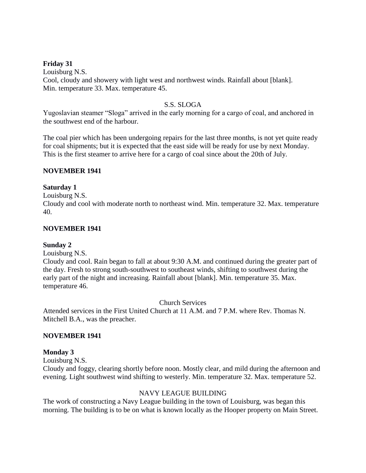### **Friday 31**

Louisburg N.S. Cool, cloudy and showery with light west and northwest winds. Rainfall about [blank]. Min. temperature 33. Max. temperature 45.

### S.S. SLOGA

Yugoslavian steamer "Sloga" arrived in the early morning for a cargo of coal, and anchored in the southwest end of the harbour.

The coal pier which has been undergoing repairs for the last three months, is not yet quite ready for coal shipments; but it is expected that the east side will be ready for use by next Monday. This is the first steamer to arrive here for a cargo of coal since about the 20th of July.

### **NOVEMBER 1941**

### **Saturday 1**

Louisburg N.S.

Cloudy and cool with moderate north to northeast wind. Min. temperature 32. Max. temperature 40.

### **NOVEMBER 1941**

### **Sunday 2**

Louisburg N.S.

Cloudy and cool. Rain began to fall at about 9:30 A.M. and continued during the greater part of the day. Fresh to strong south-southwest to southeast winds, shifting to southwest during the early part of the night and increasing. Rainfall about [blank]. Min. temperature 35. Max. temperature 46.

Church Services

Attended services in the First United Church at 11 A.M. and 7 P.M. where Rev. Thomas N. Mitchell B.A., was the preacher.

### **NOVEMBER 1941**

### **Monday 3**

Louisburg N.S.

Cloudy and foggy, clearing shortly before noon. Mostly clear, and mild during the afternoon and evening. Light southwest wind shifting to westerly. Min. temperature 32. Max. temperature 52.

### NAVY LEAGUE BUILDING

The work of constructing a Navy League building in the town of Louisburg, was began this morning. The building is to be on what is known locally as the Hooper property on Main Street.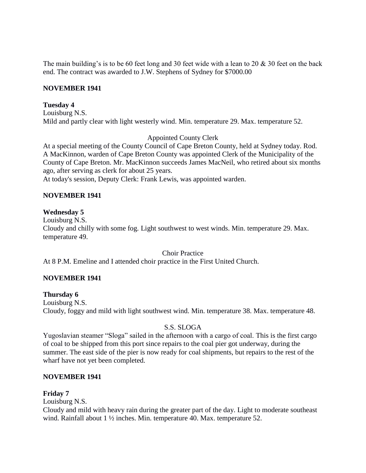The main building's is to be 60 feet long and 30 feet wide with a lean to 20 & 30 feet on the back end. The contract was awarded to J.W. Stephens of Sydney for \$7000.00

### **NOVEMBER 1941**

### **Tuesday 4**

Louisburg N.S. Mild and partly clear with light westerly wind. Min. temperature 29. Max. temperature 52.

## Appointed County Clerk

At a special meeting of the County Council of Cape Breton County, held at Sydney today. Rod. A MacKinnon, warden of Cape Breton County was appointed Clerk of the Municipality of the County of Cape Breton. Mr. MacKinnon succeeds James MacNeil, who retired about six months ago, after serving as clerk for about 25 years.

At today's session, Deputy Clerk: Frank Lewis, was appointed warden.

## **NOVEMBER 1941**

### **Wednesday 5**

Louisburg N.S. Cloudy and chilly with some fog. Light southwest to west winds. Min. temperature 29. Max. temperature 49.

Choir Practice

At 8 P.M. Emeline and I attended choir practice in the First United Church.

## **NOVEMBER 1941**

### **Thursday 6**

Louisburg N.S. Cloudy, foggy and mild with light southwest wind. Min. temperature 38. Max. temperature 48.

### S.S. SLOGA

Yugoslavian steamer "Sloga" sailed in the afternoon with a cargo of coal. This is the first cargo of coal to be shipped from this port since repairs to the coal pier got underway, during the summer. The east side of the pier is now ready for coal shipments, but repairs to the rest of the wharf have not yet been completed.

### **NOVEMBER 1941**

## **Friday 7**

Louisburg N.S.

Cloudy and mild with heavy rain during the greater part of the day. Light to moderate southeast wind. Rainfall about 1 ½ inches. Min. temperature 40. Max. temperature 52.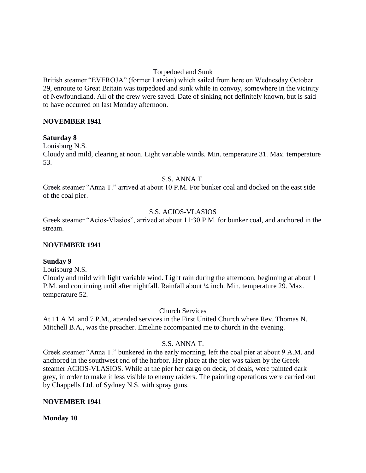### Torpedoed and Sunk

British steamer "EVEROJA" (former Latvian) which sailed from here on Wednesday October 29, enroute to Great Britain was torpedoed and sunk while in convoy, somewhere in the vicinity of Newfoundland. All of the crew were saved. Date of sinking not definitely known, but is said to have occurred on last Monday afternoon.

### **NOVEMBER 1941**

#### **Saturday 8**

Louisburg N.S.

Cloudy and mild, clearing at noon. Light variable winds. Min. temperature 31. Max. temperature 53.

#### S.S. ANNA T.

Greek steamer "Anna T." arrived at about 10 P.M. For bunker coal and docked on the east side of the coal pier.

### S.S. ACIOS-VLASIOS

Greek steamer "Acios-Vlasios", arrived at about 11:30 P.M. for bunker coal, and anchored in the stream.

### **NOVEMBER 1941**

### **Sunday 9**

Louisburg N.S.

Cloudy and mild with light variable wind. Light rain during the afternoon, beginning at about 1 P.M. and continuing until after nightfall. Rainfall about ¼ inch. Min. temperature 29. Max. temperature 52.

Church Services

At 11 A.M. and 7 P.M., attended services in the First United Church where Rev. Thomas N. Mitchell B.A., was the preacher. Emeline accompanied me to church in the evening.

### S.S. ANNA T.

Greek steamer "Anna T." bunkered in the early morning, left the coal pier at about 9 A.M. and anchored in the southwest end of the harbor. Her place at the pier was taken by the Greek steamer ACIOS-VLASIOS. While at the pier her cargo on deck, of deals, were painted dark grey, in order to make it less visible to enemy raiders. The painting operations were carried out by Chappells Ltd. of Sydney N.S. with spray guns.

### **NOVEMBER 1941**

**Monday 10**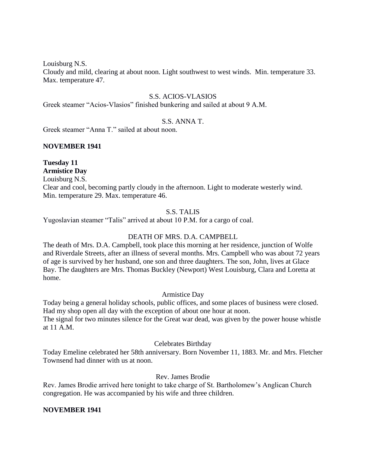Louisburg N.S.

Cloudy and mild, clearing at about noon. Light southwest to west winds. Min. temperature 33. Max. temperature 47.

#### S.S. ACIOS-VLASIOS

Greek steamer "Acios-Vlasios" finished bunkering and sailed at about 9 A.M.

#### S.S. ANNA T.

Greek steamer "Anna T." sailed at about noon.

#### **NOVEMBER 1941**

#### **Tuesday 11 Armistice Day**

Louisburg N.S.

Clear and cool, becoming partly cloudy in the afternoon. Light to moderate westerly wind. Min. temperature 29. Max. temperature 46.

### S.S. TALIS

Yugoslavian steamer "Talis" arrived at about 10 P.M. for a cargo of coal.

### DEATH OF MRS. D.A. CAMPBELL

The death of Mrs. D.A. Campbell, took place this morning at her residence, junction of Wolfe and Riverdale Streets, after an illness of several months. Mrs. Campbell who was about 72 years of age is survived by her husband, one son and three daughters. The son, John, lives at Glace Bay. The daughters are Mrs. Thomas Buckley (Newport) West Louisburg, Clara and Loretta at home.

Armistice Day

Today being a general holiday schools, public offices, and some places of business were closed. Had my shop open all day with the exception of about one hour at noon. The signal for two minutes silence for the Great war dead, was given by the power house whistle at 11 A.M.

Celebrates Birthday

Today Emeline celebrated her 58th anniversary. Born November 11, 1883. Mr. and Mrs. Fletcher Townsend had dinner with us at noon.

Rev. James Brodie

Rev. James Brodie arrived here tonight to take charge of St. Bartholomew's Anglican Church congregation. He was accompanied by his wife and three children.

#### **NOVEMBER 1941**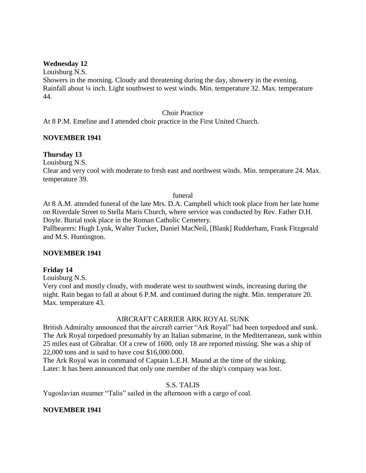### **Wednesday 12**

Louisburg N.S. Showers in the morning. Cloudy and threatening during the day, showery in the evening. Rainfall about ¼ inch. Light southwest to west winds. Min. temperature 32. Max. temperature 44.

#### Choir Practice

At 8 P.M. Emeline and I attended choir practice in the First United Church.

### **NOVEMBER 1941**

### **Thursday 13**

Louisburg N.S.

Clear and very cool with moderate to fresh east and northwest winds. Min. temperature 24. Max. temperature 39.

#### funeral

At 8 A.M. attended funeral of the late Mrs. D.A. Campbell which took place from her late home on Riverdale Street to Stella Maris Church, where service was conducted by Rev. Father D.H. Doyle. Burial took place in the Roman Catholic Cemetery.

Pallbearers: Hugh Lynk, Walter Tucker, Daniel MacNeil, [Blank] Rudderham, Frank Fitzgerald and M.S. Huntington.

#### **NOVEMBER 1941**

#### **Friday 14**

Louisburg N.S.

Very cool and mostly cloudy, with moderate west to southwest winds, increasing during the night. Rain began to fall at about 6 P.M. and continued during the night. Min. temperature 20. Max. temperature 43.

#### AIRCRAFT CARRIER ARK ROYAL SUNK

British Admiralty announced that the aircraft carrier "Ark Royal" had been torpedoed and sunk. The Ark Royal torpedoed presumably by an Italian submarine, in the Mediterranean, sunk within 25 miles east of Gibraltar. Of a crew of 1600, only 18 are reported missing. She was a ship of 22,000 tons and is said to have cost \$16,000.000.

The Ark Royal was in command of Captain L.E.H. Maund at the time of the sinking. Later: It has been announced that only one member of the ship's company was lost.

#### S.S. TALIS

Yugoslavian steamer "Talis" sailed in the afternoon with a cargo of coal.

#### **NOVEMBER 1941**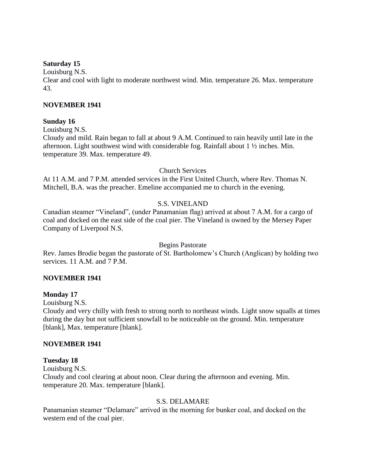### **Saturday 15**

Louisburg N.S.

Clear and cool with light to moderate northwest wind. Min. temperature 26. Max. temperature 43.

### **NOVEMBER 1941**

### **Sunday 16**

Louisburg N.S.

Cloudy and mild. Rain began to fall at about 9 A.M. Continued to rain heavily until late in the afternoon. Light southwest wind with considerable fog. Rainfall about 1 ½ inches. Min. temperature 39. Max. temperature 49.

### Church Services

At 11 A.M. and 7 P.M. attended services in the First United Church, where Rev. Thomas N. Mitchell, B.A. was the preacher. Emeline accompanied me to church in the evening.

## S.S. VINELAND

Canadian steamer "Vineland", (under Panamanian flag) arrived at about 7 A.M. for a cargo of coal and docked on the east side of the coal pier. The Vineland is owned by the Mersey Paper Company of Liverpool N.S.

Begins Pastorate

Rev. James Brodie began the pastorate of St. Bartholomew's Church (Anglican) by holding two services. 11 A.M. and 7 P.M.

## **NOVEMBER 1941**

### **Monday 17**

Louisburg N.S.

Cloudy and very chilly with fresh to strong north to northeast winds. Light snow squalls at times during the day but not sufficient snowfall to be noticeable on the ground. Min. temperature [blank], Max. temperature [blank].

### **NOVEMBER 1941**

### **Tuesday 18**

Louisburg N.S.

Cloudy and cool clearing at about noon. Clear during the afternoon and evening. Min. temperature 20. Max. temperature [blank].

### S.S. DELAMARE

Panamanian steamer "Delamare" arrived in the morning for bunker coal, and docked on the western end of the coal pier.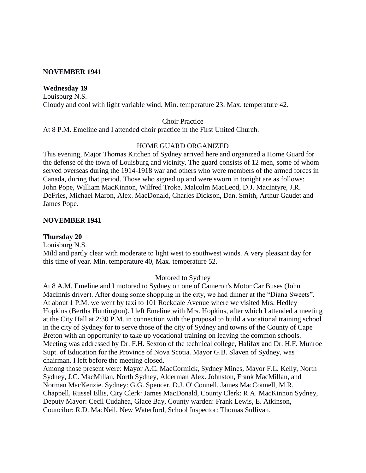#### **NOVEMBER 1941**

#### **Wednesday 19**

Louisburg N.S. Cloudy and cool with light variable wind. Min. temperature 23. Max. temperature 42.

Choir Practice

At 8 P.M. Emeline and I attended choir practice in the First United Church.

#### HOME GUARD ORGANIZED

This evening, Major Thomas Kitchen of Sydney arrived here and organized a Home Guard for the defense of the town of Louisburg and vicinity. The guard consists of 12 men, some of whom served overseas during the 1914-1918 war and others who were members of the armed forces in Canada, during that period. Those who signed up and were sworn in tonight are as follows: John Pope, William MacKinnon, Wilfred Troke, Malcolm MacLeod, D.J. MacIntyre, J.R. DeFries, Michael Maron, Alex. MacDonald, Charles Dickson, Dan. Smith, Arthur Gaudet and James Pope.

#### **NOVEMBER 1941**

### **Thursday 20**

Louisburg N.S.

Mild and partly clear with moderate to light west to southwest winds. A very pleasant day for this time of year. Min. temperature 40, Max. temperature 52.

#### Motored to Sydney

At 8 A.M. Emeline and I motored to Sydney on one of Cameron's Motor Car Buses (John MacInnis driver). After doing some shopping in the city, we had dinner at the "Diana Sweets". At about 1 P.M. we went by taxi to 101 Rockdale Avenue where we visited Mrs. Hedley Hopkins (Bertha Huntington). I left Emeline with Mrs. Hopkins, after which I attended a meeting at the City Hall at 2:30 P.M. in connection with the proposal to build a vocational training school in the city of Sydney for to serve those of the city of Sydney and towns of the County of Cape Breton with an opportunity to take up vocational training on leaving the common schools. Meeting was addressed by Dr. F.H. Sexton of the technical college, Halifax and Dr. H.F. Munroe Supt. of Education for the Province of Nova Scotia. Mayor G.B. Slaven of Sydney, was chairman. I left before the meeting closed.

Among those present were: Mayor A.C. MacCormick, Sydney Mines, Mayor F.L. Kelly, North Sydney, J.C. MacMillan, North Sydney, Alderman Alex. Johnston, Frank MacMillan, and Norman MacKenzie. Sydney: G.G. Spencer, D.J. O' Connell, James MacConnell, M.R. Chappell, Russel Ellis, City Clerk: James MacDonald, County Clerk: R.A. MacKinnon Sydney, Deputy Mayor: Cecil Cudahea, Glace Bay, County warden: Frank Lewis, E. Atkinson, Councilor: R.D. MacNeil, New Waterford, School Inspector: Thomas Sullivan.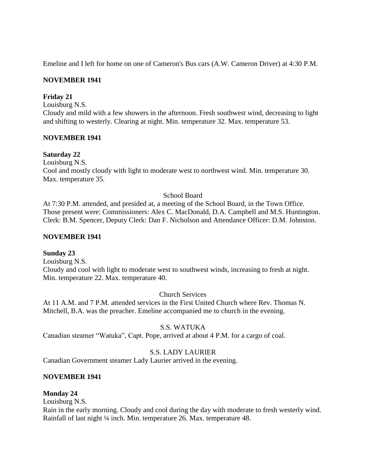Emeline and I left for home on one of Cameron's Bus cars (A.W. Cameron Driver) at 4:30 P.M.

## **NOVEMBER 1941**

## **Friday 21**

Louisburg N.S.

Cloudy and mild with a few showers in the afternoon. Fresh southwest wind, decreasing to light and shifting to westerly. Clearing at night. Min. temperature 32. Max. temperature 53.

## **NOVEMBER 1941**

### **Saturday 22**

Louisburg N.S.

Cool and mostly cloudy with light to moderate west to northwest wind. Min. temperature 30. Max. temperature 35.

### School Board

At 7:30 P.M. attended, and presided at, a meeting of the School Board, in the Town Office. Those present were: Commissioners: Alex C. MacDonald, D.A. Campbell and M.S. Huntington. Clerk: B.M. Spencer, Deputy Clerk: Dan F. Nicholson and Attendance Officer: D.M. Johnston.

### **NOVEMBER 1941**

### **Sunday 23**

Louisburg N.S. Cloudy and cool with light to moderate west to southwest winds, increasing to fresh at night. Min. temperature 22. Max. temperature 40.

### Church Services

At 11 A.M. and 7 P.M. attended services in the First United Church where Rev. Thomas N. Mitchell, B.A. was the preacher. Emeline accompanied me to church in the evening.

### S.S. WATUKA

Canadian steamer "Watuka", Capt. Pope, arrived at about 4 P.M. for a cargo of coal.

## S.S. LADY LAURIER

Canadian Government steamer Lady Laurier arrived in the evening.

### **NOVEMBER 1941**

### **Monday 24**

Louisburg N.S.

Rain in the early morning. Cloudy and cool during the day with moderate to fresh westerly wind. Rainfall of last night ¼ inch. Min. temperature 26. Max. temperature 48.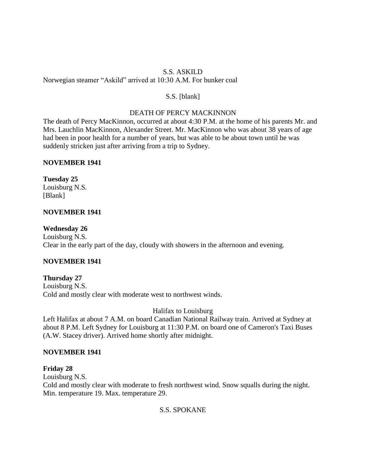## S.S. ASKILD Norwegian steamer "Askild" arrived at 10:30 A.M. For bunker coal

## S.S. [blank]

## DEATH OF PERCY MACKINNON

The death of Percy MacKinnon, occurred at about 4:30 P.M. at the home of his parents Mr. and Mrs. Lauchlin MacKinnon, Alexander Street. Mr. MacKinnon who was about 38 years of age had been in poor health for a number of years, but was able to be about town until he was suddenly stricken just after arriving from a trip to Sydney.

## **NOVEMBER 1941**

## **Tuesday 25**

Louisburg N.S. [Blank]

## **NOVEMBER 1941**

## **Wednesday 26**

Louisburg N.S. Clear in the early part of the day, cloudy with showers in the afternoon and evening.

## **NOVEMBER 1941**

## **Thursday 27**

Louisburg N.S. Cold and mostly clear with moderate west to northwest winds.

## Halifax to Louisburg

Left Halifax at about 7 A.M. on board Canadian National Railway train. Arrived at Sydney at about 8 P.M. Left Sydney for Louisburg at 11:30 P.M. on board one of Cameron's Taxi Buses (A.W. Stacey driver). Arrived home shortly after midnight.

## **NOVEMBER 1941**

# **Friday 28**

Louisburg N.S.

Cold and mostly clear with moderate to fresh northwest wind. Snow squalls during the night. Min. temperature 19. Max. temperature 29.

# S.S. SPOKANE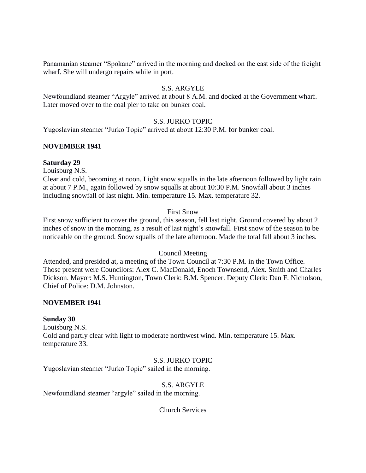Panamanian steamer "Spokane" arrived in the morning and docked on the east side of the freight wharf. She will undergo repairs while in port.

## S.S. ARGYLE

Newfoundland steamer "Argyle" arrived at about 8 A.M. and docked at the Government wharf. Later moved over to the coal pier to take on bunker coal.

### S.S. JURKO TOPIC

Yugoslavian steamer "Jurko Topic" arrived at about 12:30 P.M. for bunker coal.

### **NOVEMBER 1941**

#### **Saturday 29**

Louisburg N.S.

Clear and cold, becoming at noon. Light snow squalls in the late afternoon followed by light rain at about 7 P.M., again followed by snow squalls at about 10:30 P.M. Snowfall about 3 inches including snowfall of last night. Min. temperature 15. Max. temperature 32.

#### First Snow

First snow sufficient to cover the ground, this season, fell last night. Ground covered by about 2 inches of snow in the morning, as a result of last night's snowfall. First snow of the season to be noticeable on the ground. Snow squalls of the late afternoon. Made the total fall about 3 inches.

### Council Meeting

Attended, and presided at, a meeting of the Town Council at 7:30 P.M. in the Town Office. Those present were Councilors: Alex C. MacDonald, Enoch Townsend, Alex. Smith and Charles Dickson. Mayor: M.S. Huntington, Town Clerk: B.M. Spencer. Deputy Clerk: Dan F. Nicholson, Chief of Police: D.M. Johnston.

#### **NOVEMBER 1941**

#### **Sunday 30**

Louisburg N.S.

Cold and partly clear with light to moderate northwest wind. Min. temperature 15. Max. temperature 33.

#### S.S. JURKO TOPIC

Yugoslavian steamer "Jurko Topic" sailed in the morning.

### S.S. ARGYLE

Newfoundland steamer "argyle" sailed in the morning.

Church Services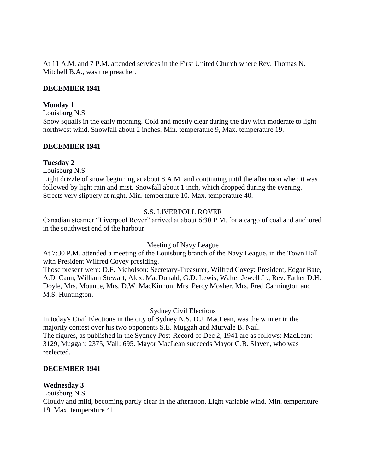At 11 A.M. and 7 P.M. attended services in the First United Church where Rev. Thomas N. Mitchell B.A., was the preacher.

### **DECEMBER 1941**

### **Monday 1**

Louisburg N.S.

Snow squalls in the early morning. Cold and mostly clear during the day with moderate to light northwest wind. Snowfall about 2 inches. Min. temperature 9, Max. temperature 19.

### **DECEMBER 1941**

### **Tuesday 2**

Louisburg N.S.

Light drizzle of snow beginning at about 8 A.M. and continuing until the afternoon when it was followed by light rain and mist. Snowfall about 1 inch, which dropped during the evening. Streets very slippery at night. Min. temperature 10. Max. temperature 40.

## S.S. LIVERPOLL ROVER

Canadian steamer "Liverpool Rover" arrived at about 6:30 P.M. for a cargo of coal and anchored in the southwest end of the harbour.

Meeting of Navy League

At 7:30 P.M. attended a meeting of the Louisburg branch of the Navy League, in the Town Hall with President Wilfred Covey presiding.

Those present were: D.F. Nicholson: Secretary-Treasurer, Wilfred Covey: President, Edgar Bate, A.D. Cann, William Stewart, Alex. MacDonald, G.D. Lewis, Walter Jewell Jr., Rev. Father D.H. Doyle, Mrs. Mounce, Mrs. D.W. MacKinnon, Mrs. Percy Mosher, Mrs. Fred Cannington and M.S. Huntington.

Sydney Civil Elections

In today's Civil Elections in the city of Sydney N.S. D.J. MacLean, was the winner in the majority contest over his two opponents S.E. Muggah and Murvale B. Nail. The figures, as published in the Sydney Post-Record of Dec 2, 1941 are as follows: MacLean: 3129, Muggah: 2375, Vail: 695. Mayor MacLean succeeds Mayor G.B. Slaven, who was reelected.

### **DECEMBER 1941**

### **Wednesday 3**

Louisburg N.S.

Cloudy and mild, becoming partly clear in the afternoon. Light variable wind. Min. temperature 19. Max. temperature 41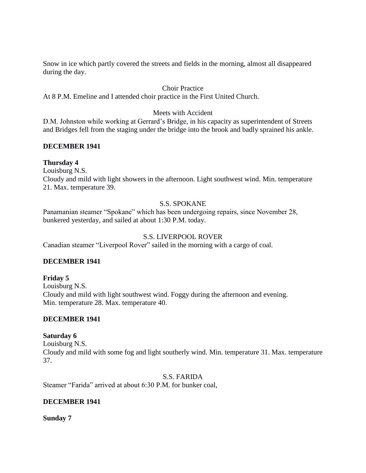Snow in ice which partly covered the streets and fields in the morning, almost all disappeared during the day.

## Choir Practice

At 8 P.M. Emeline and I attended choir practice in the First United Church.

### Meets with Accident

D.M. Johnston while working at Gerrard's Bridge, in his capacity as superintendent of Streets and Bridges fell from the staging under the bridge into the brook and badly sprained his ankle.

### **DECEMBER 1941**

### **Thursday 4**

Louisburg N.S.

Cloudy and mild with light showers in the afternoon. Light southwest wind. Min. temperature 21. Max. temperature 39.

## S.S. SPOKANE

Panamanian steamer "Spokane" which has been undergoing repairs, since November 28, bunkered yesterday, and sailed at about 1:30 P.M. today.

## S.S. LIVERPOOL ROVER

Canadian steamer "Liverpool Rover" sailed in the morning with a cargo of coal.

## **DECEMBER 1941**

## **Friday 5**

Louisburg N.S. Cloudy and mild with light southwest wind. Foggy during the afternoon and evening. Min. temperature 28. Max. temperature 40.

### **DECEMBER 1941**

## **Saturday 6**

Louisburg N.S. Cloudy and mild with some fog and light southerly wind. Min. temperature 31. Max. temperature 37.

S.S. FARIDA

Steamer "Farida" arrived at about 6:30 P.M. for bunker coal,

### **DECEMBER 1941**

**Sunday 7**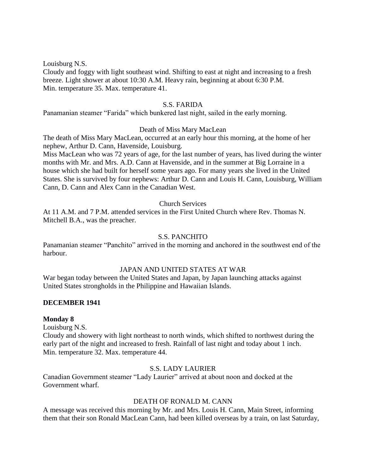Louisburg N.S.

Cloudy and foggy with light southeast wind. Shifting to east at night and increasing to a fresh breeze. Light shower at about 10:30 A.M. Heavy rain, beginning at about 6:30 P.M. Min. temperature 35. Max. temperature 41.

### S.S. FARIDA

Panamanian steamer "Farida" which bunkered last night, sailed in the early morning.

#### Death of Miss Mary MacLean

The death of Miss Mary MacLean, occurred at an early hour this morning, at the home of her nephew, Arthur D. Cann, Havenside, Louisburg.

Miss MacLean who was 72 years of age, for the last number of years, has lived during the winter months with Mr. and Mrs. A.D. Cann at Havenside, and in the summer at Big Lorraine in a house which she had built for herself some years ago. For many years she lived in the United States. She is survived by four nephews: Arthur D. Cann and Louis H. Cann, Louisburg, William Cann, D. Cann and Alex Cann in the Canadian West.

### Church Services

At 11 A.M. and 7 P.M. attended services in the First United Church where Rev. Thomas N. Mitchell B.A., was the preacher.

#### S.S. PANCHITO

Panamanian steamer "Panchito" arrived in the morning and anchored in the southwest end of the harbour.

### JAPAN AND UNITED STATES AT WAR

War began today between the United States and Japan, by Japan launching attacks against United States strongholds in the Philippine and Hawaiian Islands.

#### **DECEMBER 1941**

#### **Monday 8**

Louisburg N.S.

Cloudy and showery with light northeast to north winds, which shifted to northwest during the early part of the night and increased to fresh. Rainfall of last night and today about 1 inch. Min. temperature 32. Max. temperature 44.

## S.S. LADY LAURIER

Canadian Government steamer "Lady Laurier" arrived at about noon and docked at the Government wharf.

### DEATH OF RONALD M. CANN

A message was received this morning by Mr. and Mrs. Louis H. Cann, Main Street, informing them that their son Ronald MacLean Cann, had been killed overseas by a train, on last Saturday,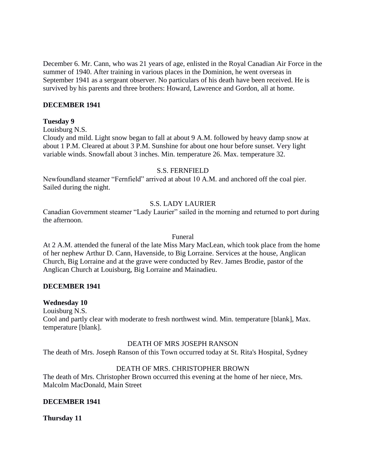December 6. Mr. Cann, who was 21 years of age, enlisted in the Royal Canadian Air Force in the summer of 1940. After training in various places in the Dominion, he went overseas in September 1941 as a sergeant observer. No particulars of his death have been received. He is survived by his parents and three brothers: Howard, Lawrence and Gordon, all at home.

### **DECEMBER 1941**

#### **Tuesday 9**

Louisburg N.S.

Cloudy and mild. Light snow began to fall at about 9 A.M. followed by heavy damp snow at about 1 P.M. Cleared at about 3 P.M. Sunshine for about one hour before sunset. Very light variable winds. Snowfall about 3 inches. Min. temperature 26. Max. temperature 32.

#### S.S. FERNFIELD

Newfoundland steamer "Fernfield" arrived at about 10 A.M. and anchored off the coal pier. Sailed during the night.

### S.S. LADY LAURIER

Canadian Government steamer "Lady Laurier" sailed in the morning and returned to port during the afternoon.

#### Funeral

At 2 A.M. attended the funeral of the late Miss Mary MacLean, which took place from the home of her nephew Arthur D. Cann, Havenside, to Big Lorraine. Services at the house, Anglican Church, Big Lorraine and at the grave were conducted by Rev. James Brodie, pastor of the Anglican Church at Louisburg, Big Lorraine and Mainadieu.

### **DECEMBER 1941**

### **Wednesday 10**

Louisburg N.S. Cool and partly clear with moderate to fresh northwest wind. Min. temperature [blank], Max. temperature [blank].

#### DEATH OF MRS JOSEPH RANSON

The death of Mrs. Joseph Ranson of this Town occurred today at St. Rita's Hospital, Sydney

### DEATH OF MRS. CHRISTOPHER BROWN

The death of Mrs. Christopher Brown occurred this evening at the home of her niece, Mrs. Malcolm MacDonald, Main Street

### **DECEMBER 1941**

### **Thursday 11**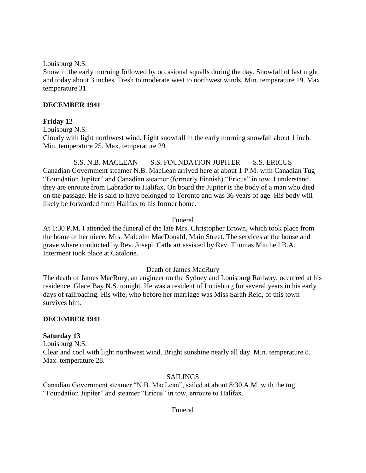Louisburg N.S.

Snow in the early morning followed by occasional squalls during the day. Snowfall of last night and today about 3 inches. Fresh to moderate west to northwest winds. Min. temperature 19. Max. temperature 31.

### **DECEMBER 1941**

### **Friday 12**

Louisburg N.S.

Cloudy with light northwest wind. Light snowfall in the early morning snowfall about 1 inch. Min. temperature 25. Max. temperature 29.

S.S. N.B. MACLEAN S.S. FOUNDATION JUPITER S.S. ERICUS Canadian Government steamer N.B. MacLean arrived here at about 1 P.M. with Canadian Tug "Foundation Jupiter" and Canadian steamer (formerly Finnish) "Ericus" in tow. I understand they are enroute from Labrador to Halifax. On board the Jupiter is the body of a man who died on the passage. He is said to have belonged to Toronto and was 36 years of age. His body will likely be forwarded from Halifax to his former home.

### Funeral

At 1:30 P.M. I attended the funeral of the late Mrs. Christopher Brown, which took place from the home of her niece, Mrs. Malcolm MacDonald, Main Street. The services at the house and grave where conducted by Rev. Joseph Cathcart assisted by Rev. Thomas Mitchell B.A. Interment took place at Catalone.

### Death of James MacRury

The death of James MacRury, an engineer on the Sydney and Louisburg Railway, occurred at his residence, Glace Bay N.S. tonight. He was a resident of Louisburg for several years in his early days of railroading. His wife, who before her marriage was Miss Sarah Reid, of this town survives him.

### **DECEMBER 1941**

## **Saturday 13**

Louisburg N.S. Clear and cool with light northwest wind. Bright sunshine nearly all day. Min. temperature 8. Max. temperature 28.

### SAILINGS

Canadian Government steamer "N.B. MacLean", sailed at about 8:30 A.M. with the tug "Foundation Jupiter" and steamer "Ericus" in tow, enroute to Halifax.

Funeral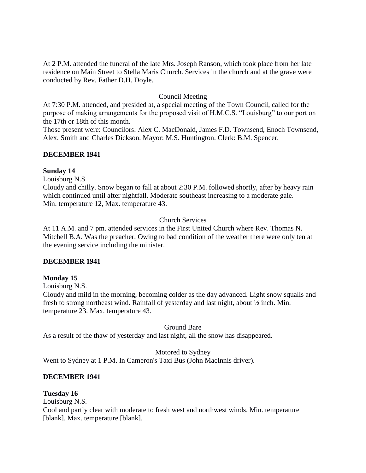At 2 P.M. attended the funeral of the late Mrs. Joseph Ranson, which took place from her late residence on Main Street to Stella Maris Church. Services in the church and at the grave were conducted by Rev. Father D.H. Doyle.

## Council Meeting

At 7:30 P.M. attended, and presided at, a special meeting of the Town Council, called for the purpose of making arrangements for the proposed visit of H.M.C.S. "Louisburg" to our port on the 17th or 18th of this month.

Those present were: Councilors: Alex C. MacDonald, James F.D. Townsend, Enoch Townsend, Alex. Smith and Charles Dickson. Mayor: M.S. Huntington. Clerk: B.M. Spencer.

### **DECEMBER 1941**

### **Sunday 14**

Louisburg N.S.

Cloudy and chilly. Snow began to fall at about 2:30 P.M. followed shortly, after by heavy rain which continued until after nightfall. Moderate southeast increasing to a moderate gale. Min. temperature 12, Max. temperature 43.

## Church Services

At 11 A.M. and 7 pm. attended services in the First United Church where Rev. Thomas N. Mitchell B.A. Was the preacher. Owing to bad condition of the weather there were only ten at the evening service including the minister.

### **DECEMBER 1941**

## **Monday 15**

Louisburg N.S.

Cloudy and mild in the morning, becoming colder as the day advanced. Light snow squalls and fresh to strong northeast wind. Rainfall of yesterday and last night, about ½ inch. Min. temperature 23. Max. temperature 43.

Ground Bare

As a result of the thaw of yesterday and last night, all the snow has disappeared.

### Motored to Sydney

Went to Sydney at 1 P.M. In Cameron's Taxi Bus (John MacInnis driver).

## **DECEMBER 1941**

## **Tuesday 16**

Louisburg N.S.

Cool and partly clear with moderate to fresh west and northwest winds. Min. temperature [blank]. Max. temperature [blank].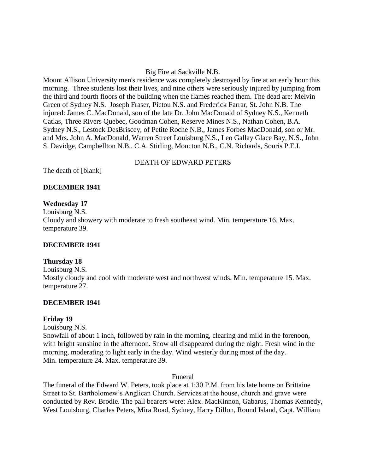### Big Fire at Sackville N.B.

Mount Allison University men's residence was completely destroyed by fire at an early hour this morning. Three students lost their lives, and nine others were seriously injured by jumping from the third and fourth floors of the building when the flames reached them. The dead are: Melvin Green of Sydney N.S. Joseph Fraser, Pictou N.S. and Frederick Farrar, St. John N.B. The injured: James C. MacDonald, son of the late Dr. John MacDonald of Sydney N.S., Kenneth Catlas, Three Rivers Quebec, Goodman Cohen, Reserve Mines N.S., Nathan Cohen, B.A. Sydney N.S., Lestock DesBriscey, of Petite Roche N.B., James Forbes MacDonald, son or Mr. and Mrs. John A. MacDonald, Warren Street Louisburg N.S., Leo Gallay Glace Bay, N.S., John S. Davidge, Campbellton N.B.. C.A. Stirling, Moncton N.B., C.N. Richards, Souris P.E.I.

#### DEATH OF EDWARD PETERS

The death of [blank]

### **DECEMBER 1941**

#### **Wednesday 17**

Louisburg N.S. Cloudy and showery with moderate to fresh southeast wind. Min. temperature 16. Max. temperature 39.

### **DECEMBER 1941**

#### **Thursday 18**

Louisburg N.S. Mostly cloudy and cool with moderate west and northwest winds. Min. temperature 15. Max. temperature 27.

### **DECEMBER 1941**

#### **Friday 19**

Louisburg N.S.

Snowfall of about 1 inch, followed by rain in the morning, clearing and mild in the forenoon, with bright sunshine in the afternoon. Snow all disappeared during the night. Fresh wind in the morning, moderating to light early in the day. Wind westerly during most of the day. Min. temperature 24. Max. temperature 39.

#### Funeral

The funeral of the Edward W. Peters, took place at 1:30 P.M. from his late home on Brittaine Street to St. Bartholomew's Anglican Church. Services at the house, church and grave were conducted by Rev. Brodie. The pall bearers were: Alex. MacKinnon, Gabarus, Thomas Kennedy, West Louisburg, Charles Peters, Mira Road, Sydney, Harry Dillon, Round Island, Capt. William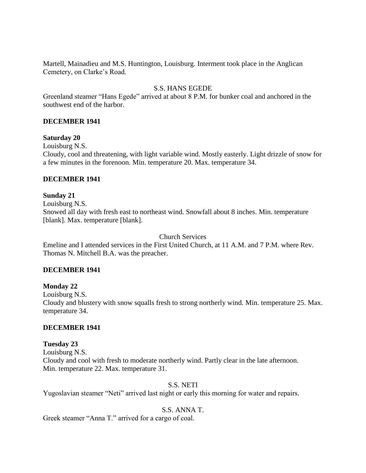Martell, Mainadieu and M.S. Huntington, Louisburg. Interment took place in the Anglican Cemetery, on Clarke's Road.

## S.S. HANS EGEDE

Greenland steamer "Hans Egede" arrived at about 8 P.M. for bunker coal and anchored in the southwest end of the harbor.

### **DECEMBER 1941**

### **Saturday 20**

Louisburg N.S.

Cloudy, cool and threatening, with light variable wind. Mostly easterly. Light drizzle of snow for a few minutes in the forenoon. Min. temperature 20. Max. temperature 34.

### **DECEMBER 1941**

### **Sunday 21**

Louisburg N.S.

Snowed all day with fresh east to northeast wind. Snowfall about 8 inches. Min. temperature [blank]. Max. temperature [blank].

Church Services

Emeline and I attended services in the First United Church, at 11 A.M. and 7 P.M. where Rev. Thomas N. Mitchell B.A. was the preacher.

### **DECEMBER 1941**

### **Monday 22**

Louisburg N.S. Cloudy and blustery with snow squalls fresh to strong northerly wind. Min. temperature 25. Max. temperature 34.

### **DECEMBER 1941**

### **Tuesday 23**

Louisburg N.S. Cloudy and cool with fresh to moderate northerly wind. Partly clear in the late afternoon. Min. temperature 22. Max. temperature 31.

### S.S. NETI

Yugoslavian steamer "Neti" arrived last night or early this morning for water and repairs.

### S.S. ANNA T.

Greek steamer "Anna T." arrived for a cargo of coal.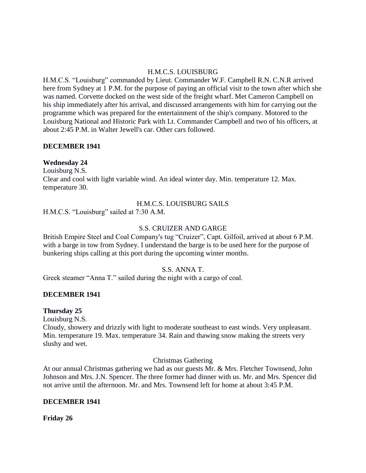### H.M.C.S. LOUISBURG

H.M.C.S. "Louisburg" commanded by Lieut. Commander W.F. Campbell R.N. C.N.R arrived here from Sydney at 1 P.M. for the purpose of paying an official visit to the town after which she was named. Corvette docked on the west side of the freight wharf. Met Cameron Campbell on his ship immediately after his arrival, and discussed arrangements with him for carrying out the programme which was prepared for the entertainment of the ship's company. Motored to the Louisburg National and Historic Park with Lt. Commander Campbell and two of his officers, at about 2:45 P.M. in Walter Jewell's car. Other cars followed.

### **DECEMBER 1941**

### **Wednesday 24**

Louisburg N.S.

Clear and cool with light variable wind. An ideal winter day. Min. temperature 12. Max. temperature 30.

## H.M.C.S. LOUISBURG SAILS

H.M.C.S. "Louisburg" sailed at 7:30 A.M.

### S.S. CRUIZER AND GARGE

British Empire Steel and Coal Company's tug "Cruizer", Capt. Gilfoil, arrived at about 6 P.M. with a barge in tow from Sydney. I understand the barge is to be used here for the purpose of bunkering ships calling at this port during the upcoming winter months.

### S.S. ANNA T.

Greek steamer "Anna T." sailed during the night with a cargo of coal.

### **DECEMBER 1941**

### **Thursday 25**

Louisburg N.S.

Cloudy, showery and drizzly with light to moderate southeast to east winds. Very unpleasant. Min. temperature 19. Max. temperature 34. Rain and thawing snow making the streets very slushy and wet.

### Christmas Gathering

At our annual Christmas gathering we had as our guests Mr. & Mrs. Fletcher Townsend, John Johnson and Mrs. J.N. Spencer. The three former had dinner with us. Mr. and Mrs. Spencer did not arrive until the afternoon. Mr. and Mrs. Townsend left for home at about 3:45 P.M.

### **DECEMBER 1941**

**Friday 26**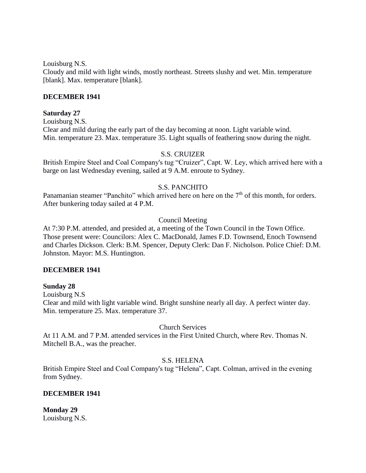Louisburg N.S.

Cloudy and mild with light winds, mostly northeast. Streets slushy and wet. Min. temperature [blank]. Max. temperature [blank].

### **DECEMBER 1941**

### **Saturday 27**

Louisburg N.S. Clear and mild during the early part of the day becoming at noon. Light variable wind. Min. temperature 23. Max. temperature 35. Light squalls of feathering snow during the night.

### S.S. CRUIZER

British Empire Steel and Coal Company's tug "Cruizer", Capt. W. Ley, which arrived here with a barge on last Wednesday evening, sailed at 9 A.M. enroute to Sydney.

### S.S. PANCHITO

Panamanian steamer "Panchito" which arrived here on here on the  $7<sup>th</sup>$  of this month, for orders. After bunkering today sailed at 4 P.M.

## Council Meeting

At 7:30 P.M. attended, and presided at, a meeting of the Town Council in the Town Office. Those present were: Councilors: Alex C. MacDonald, James F.D. Townsend, Enoch Townsend and Charles Dickson. Clerk: B.M. Spencer, Deputy Clerk: Dan F. Nicholson. Police Chief: D.M. Johnston. Mayor: M.S. Huntington.

### **DECEMBER 1941**

### **Sunday 28**

Louisburg N.S

Clear and mild with light variable wind. Bright sunshine nearly all day. A perfect winter day. Min. temperature 25. Max. temperature 37.

### Church Services

At 11 A.M. and 7 P.M. attended services in the First United Church, where Rev. Thomas N. Mitchell B.A., was the preacher.

### S.S. HELENA

British Empire Steel and Coal Company's tug "Helena", Capt. Colman, arrived in the evening from Sydney.

### **DECEMBER 1941**

**Monday 29** Louisburg N.S.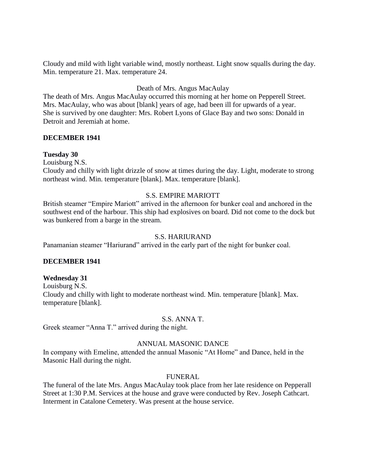Cloudy and mild with light variable wind, mostly northeast. Light snow squalls during the day. Min. temperature 21. Max. temperature 24.

## Death of Mrs. Angus MacAulay

The death of Mrs. Angus MacAulay occurred this morning at her home on Pepperell Street. Mrs. MacAulay, who was about [blank] years of age, had been ill for upwards of a year. She is survived by one daughter: Mrs. Robert Lyons of Glace Bay and two sons: Donald in Detroit and Jeremiah at home.

### **DECEMBER 1941**

### **Tuesday 30**

Louisburg N.S.

Cloudy and chilly with light drizzle of snow at times during the day. Light, moderate to strong northeast wind. Min. temperature [blank]. Max. temperature [blank].

### S.S. EMPIRE MARIOTT

British steamer "Empire Mariott" arrived in the afternoon for bunker coal and anchored in the southwest end of the harbour. This ship had explosives on board. Did not come to the dock but was bunkered from a barge in the stream.

### S.S. HARIURAND

Panamanian steamer "Hariurand" arrived in the early part of the night for bunker coal.

### **DECEMBER 1941**

### **Wednesday 31**

Louisburg N.S. Cloudy and chilly with light to moderate northeast wind. Min. temperature [blank]. Max. temperature [blank].

### S.S. ANNA T.

Greek steamer "Anna T." arrived during the night.

### ANNUAL MASONIC DANCE

In company with Emeline, attended the annual Masonic "At Home" and Dance, held in the Masonic Hall during the night.

### FUNERAL

The funeral of the late Mrs. Angus MacAulay took place from her late residence on Pepperall Street at 1:30 P.M. Services at the house and grave were conducted by Rev. Joseph Cathcart. Interment in Catalone Cemetery. Was present at the house service.